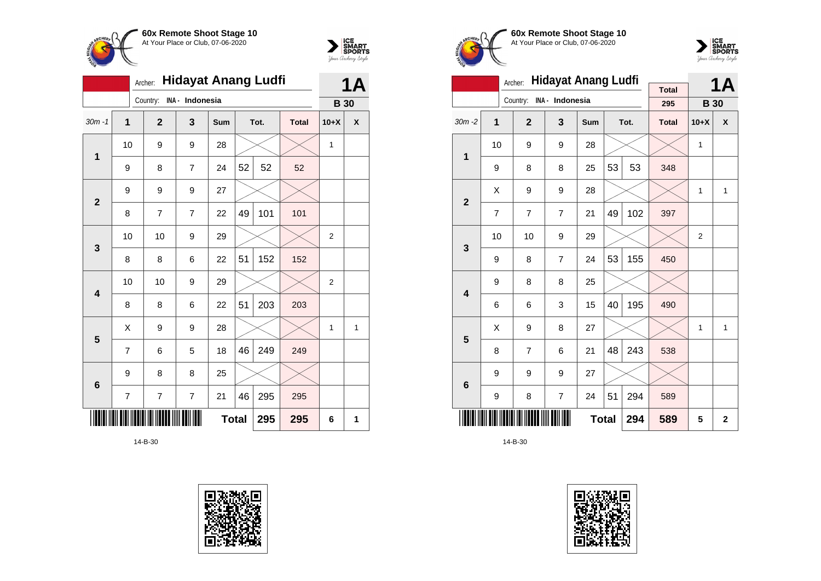



|                 | <b>Hidayat Anang Ludfi</b><br>Archer:                   |  |              |                 |              |    |      |              |                | 1Α           |  |
|-----------------|---------------------------------------------------------|--|--------------|-----------------|--------------|----|------|--------------|----------------|--------------|--|
|                 |                                                         |  | Country:     | INA - Indonesia |              |    |      |              | <b>B</b> 30    |              |  |
| $30m - 1$       | $\mathbf{1}$                                            |  | $\mathbf{2}$ | 3               | Sum          |    | Tot. | <b>Total</b> | $10+X$         | X            |  |
| $\mathbf 1$     | 10                                                      |  | 9            | 9               | 28           |    |      |              | 1              |              |  |
|                 | 9                                                       |  | 8            | $\overline{7}$  | 24           | 52 | 52   | 52           |                |              |  |
|                 | 9                                                       |  | 9            | 9               | 27           |    |      |              |                |              |  |
|                 | $\overline{2}$<br>49<br>101<br>7<br>7<br>101<br>8<br>22 |  |              |                 |              |    |      |              |                |              |  |
| $\mathbf{3}$    | 10                                                      |  | 10           | 9               | 29           |    |      |              | $\overline{2}$ |              |  |
|                 | 8                                                       |  | 8            | 6               | 22           | 51 | 152  | 152          |                |              |  |
| 4               | 10                                                      |  | 10           | 9               | 29           |    |      |              | $\overline{2}$ |              |  |
|                 | 8                                                       |  | 8            | 6               | 22           | 51 | 203  | 203          |                |              |  |
| $5\phantom{1}$  | X                                                       |  | 9            | 9               | 28           |    |      |              | 1              | $\mathbf{1}$ |  |
|                 | $\overline{7}$                                          |  | 6            | 5               | 18           | 46 | 249  | 249          |                |              |  |
| $6\phantom{1}6$ | 9                                                       |  | 8            | 8               | 25           |    |      |              |                |              |  |
|                 | 7                                                       |  | 7            | 7               | 21           | 46 | 295  | 295          |                |              |  |
|                 |                                                         |  |              |                 | <b>Total</b> |    | 295  | 295          | 6              | 1            |  |









|                         |    | Archer:        | <b>Hidayat Anang Ludfi</b> |              |    |      | <b>1A</b>           |                |              |
|-------------------------|----|----------------|----------------------------|--------------|----|------|---------------------|----------------|--------------|
|                         |    | Country:       | INA - Indonesia            |              |    |      | <b>Total</b><br>295 | <b>B</b> 30    |              |
| $30m - 2$               | 1  | $\overline{2}$ | 3                          | <b>Sum</b>   |    | Tot. | <b>Total</b>        | $10+X$         | X            |
| 1                       | 10 | 9              | 9                          | 28           |    |      |                     | 1              |              |
|                         | 9  | 8              | 8                          | 25           | 53 | 53   | 348                 |                |              |
| $\overline{2}$          | X  | 9              | 9                          | 28           |    |      |                     | 1              | $\mathbf{1}$ |
|                         | 7  | $\overline{7}$ | $\overline{7}$             | 21           | 49 | 102  | 397                 |                |              |
| 3                       | 10 | 10             | 9                          | 29           |    |      |                     | $\overline{2}$ |              |
|                         | 9  | 8              | $\overline{7}$             | 24           | 53 | 155  | 450                 |                |              |
| $\overline{\mathbf{4}}$ | 9  | 8              | 8                          | 25           |    |      |                     |                |              |
|                         | 6  | 6              | 3                          | 15           | 40 | 195  | 490                 |                |              |
| 5                       | X  | 9              | 8                          | 27           |    |      |                     | 1              | 1            |
|                         | 8  | $\overline{7}$ | 6                          | 21           | 48 | 243  | 538                 |                |              |
| $6\phantom{1}6$         | 9  | 9              | 9                          | 27           |    |      |                     |                |              |
|                         | 9  | 8              | $\overline{7}$             | 24           | 51 | 294  | 589                 |                |              |
|                         |    |                |                            | <b>Total</b> |    | 294  | 589                 | 5              | $\mathbf{2}$ |

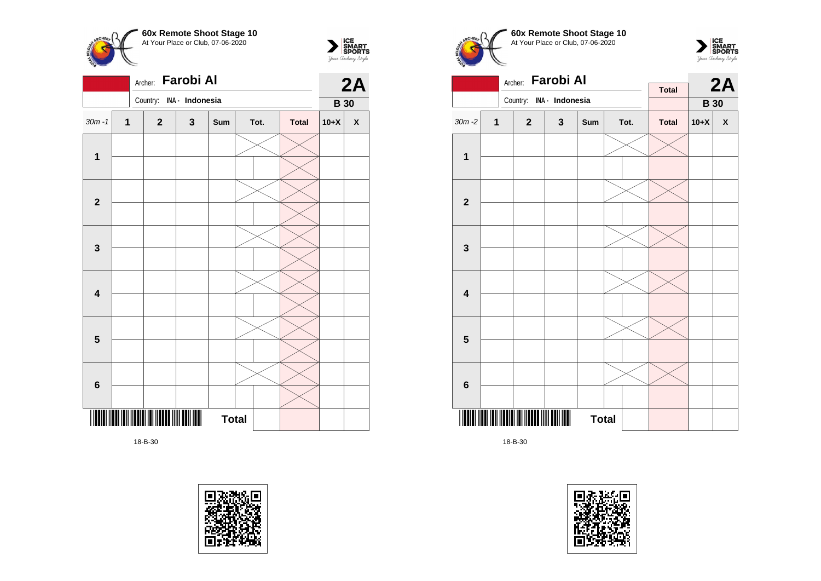



|                         | Archer: Farobi Al<br>Country: INA - Indonesia |                                |              |              |  |      |              |             |                    |  |
|-------------------------|-----------------------------------------------|--------------------------------|--------------|--------------|--|------|--------------|-------------|--------------------|--|
|                         |                                               |                                |              |              |  |      |              | <b>B</b> 30 | 2A                 |  |
| $30m - 1$               | $\mathbf 1$                                   | $\mathbf{2}$                   | $\mathbf{3}$ | Sum          |  | Tot. | <b>Total</b> | $10+X$      | $\pmb{\mathsf{X}}$ |  |
| $\mathbf{1}$            |                                               |                                |              |              |  |      |              |             |                    |  |
|                         |                                               |                                |              |              |  |      |              |             |                    |  |
|                         |                                               |                                |              |              |  |      |              |             |                    |  |
| $\overline{2}$          |                                               |                                |              |              |  |      |              |             |                    |  |
|                         |                                               |                                |              |              |  |      |              |             |                    |  |
| $\mathbf{3}$            |                                               |                                |              |              |  |      |              |             |                    |  |
|                         |                                               |                                |              |              |  |      |              |             |                    |  |
| $\overline{\mathbf{4}}$ |                                               |                                |              |              |  |      |              |             |                    |  |
|                         |                                               |                                |              |              |  |      |              |             |                    |  |
| $\overline{\mathbf{5}}$ |                                               |                                |              |              |  |      |              |             |                    |  |
|                         |                                               |                                |              |              |  |      |              |             |                    |  |
| $\bf 6$                 |                                               |                                |              |              |  |      |              |             |                    |  |
| IIII                    |                                               | <b>TIIIIIIIIIIIIIIIIIIIIII</b> |              | <b>Total</b> |  |      |              |             |                    |  |







|                         | Archer: | Farobi Al                |             | <b>Total</b> |  | 2A   |              |             |   |
|-------------------------|---------|--------------------------|-------------|--------------|--|------|--------------|-------------|---|
|                         |         | Country: INA - Indonesia |             |              |  |      |              | <b>B</b> 30 |   |
| $30m - 2$               | 1       | $\mathbf 2$              | $\mathbf 3$ | Sum          |  | Tot. | <b>Total</b> | $10+X$      | X |
| $\mathbf{1}$            |         |                          |             |              |  |      |              |             |   |
|                         |         |                          |             |              |  |      |              |             |   |
| $\overline{\mathbf{2}}$ |         |                          |             |              |  |      |              |             |   |
|                         |         |                          |             |              |  |      |              |             |   |
|                         |         |                          |             |              |  |      |              |             |   |
| $\mathbf{3}$            |         |                          |             |              |  |      |              |             |   |
|                         |         |                          |             |              |  |      |              |             |   |
| $\overline{\mathbf{4}}$ |         |                          |             |              |  |      |              |             |   |
|                         |         |                          |             |              |  |      |              |             |   |
| $5\phantom{1}$          |         |                          |             |              |  |      |              |             |   |
|                         |         |                          |             |              |  |      |              |             |   |
| $\bf 6$                 |         |                          |             |              |  |      |              |             |   |
|                         |         |                          |             | <b>Total</b> |  |      |              |             |   |

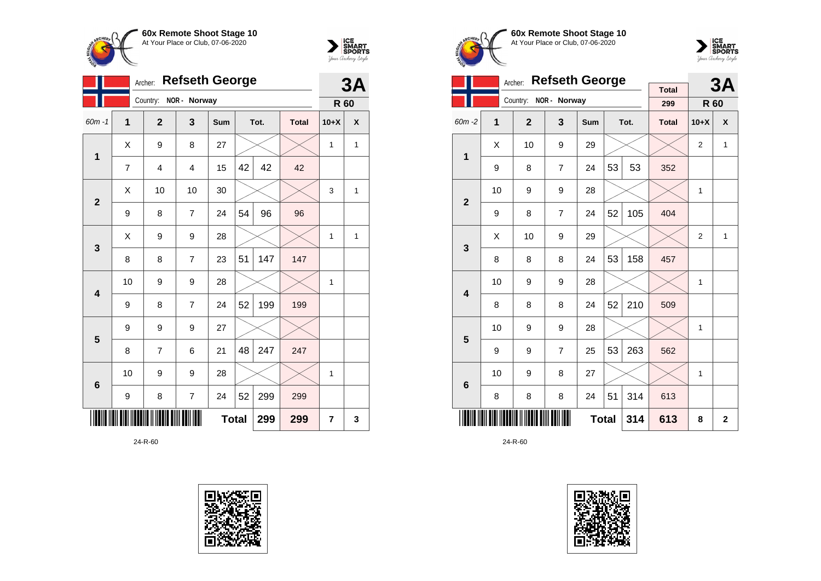



|              |              | <b>Refseth George</b><br>Archer: |                | 3A           |    |      |              |              |              |
|--------------|--------------|----------------------------------|----------------|--------------|----|------|--------------|--------------|--------------|
|              |              | Country:                         | NOR - Norway   |              |    |      |              | R 60         |              |
| $60m - 1$    | $\mathbf{1}$ | $\mathbf{2}$                     | 3              | <b>Sum</b>   |    | Tot. | <b>Total</b> | $10+X$       | X            |
| $\mathbf{1}$ | X            | 9                                | 8              | 27           |    |      |              | $\mathbf{1}$ | $\mathbf{1}$ |
|              | 7            | 4                                | 4              | 15           | 42 | 42   | 42           |              |              |
| $\mathbf{2}$ | X            | 10                               | 10             | 30           |    |      |              | 3            | 1            |
|              | 9            | 8                                | $\overline{7}$ | 24           | 54 | 96   | 96           |              |              |
| 3            | X            | 9                                | 9              | 28           |    |      |              | $\mathbf{1}$ | $\mathbf{1}$ |
|              | 8            | 8                                | 7              | 23           | 51 | 147  | 147          |              |              |
| 4            | 10           | 9                                | 9              | 28           |    |      |              | 1            |              |
|              | 9            | 8                                | 7              | 24           | 52 | 199  | 199          |              |              |
| 5            | 9            | 9                                | 9              | 27           |    |      |              |              |              |
|              | 8            | $\overline{7}$                   | 6              | 21           | 48 | 247  | 247          |              |              |
| 6            | 10           | 9                                | 9              | 28           |    |      |              | 1            |              |
|              | 9            | 8                                | $\overline{7}$ | 24           | 52 | 299  | 299          |              |              |
|              |              |                                  |                | <b>Total</b> |    | 299  | 299          | 7            | 3            |









|                         |    | <b>Refseth George</b><br>Archer: |                       |              |    | 3A   |                     |                |              |
|-------------------------|----|----------------------------------|-----------------------|--------------|----|------|---------------------|----------------|--------------|
|                         |    |                                  | Country: NOR - Norway |              |    |      | <b>Total</b><br>299 |                |              |
|                         |    |                                  |                       |              |    |      |                     | R 60           |              |
| 60m-2                   | 1  | $\overline{2}$                   | 3                     | <b>Sum</b>   |    | Tot. | <b>Total</b>        | $10+X$         | X            |
| 1                       | X  | 10                               | 9                     | 29           |    |      |                     | $\overline{2}$ | $\mathbf{1}$ |
|                         | 9  | 8                                | $\overline{7}$        | 24           | 53 | 53   | 352                 |                |              |
| $\overline{2}$          | 10 | 9                                | 9                     | 28           |    |      |                     | 1              |              |
|                         | 9  | 8                                | $\overline{7}$        | 24           | 52 | 105  | 404                 |                |              |
| 3                       | X  | 10                               | 9                     | 29           |    |      |                     | $\overline{2}$ | $\mathbf{1}$ |
|                         | 8  | 8                                | 8                     | 24           | 53 | 158  | 457                 |                |              |
| $\overline{\mathbf{4}}$ | 10 | 9                                | 9                     | 28           |    |      |                     | $\mathbf{1}$   |              |
|                         | 8  | 8                                | 8                     | 24           | 52 | 210  | 509                 |                |              |
| 5                       | 10 | 9                                | 9                     | 28           |    |      |                     | 1              |              |
|                         | 9  | 9                                | $\overline{7}$        | 25           | 53 | 263  | 562                 |                |              |
| $6\phantom{1}$          | 10 | 9                                | 8                     | 27           |    |      |                     | 1              |              |
|                         | 8  | 8                                | 8                     | 24           | 51 | 314  | 613                 |                |              |
|                         |    |                                  |                       | <b>Total</b> |    | 314  | 613                 | 8              | $\mathbf{2}$ |

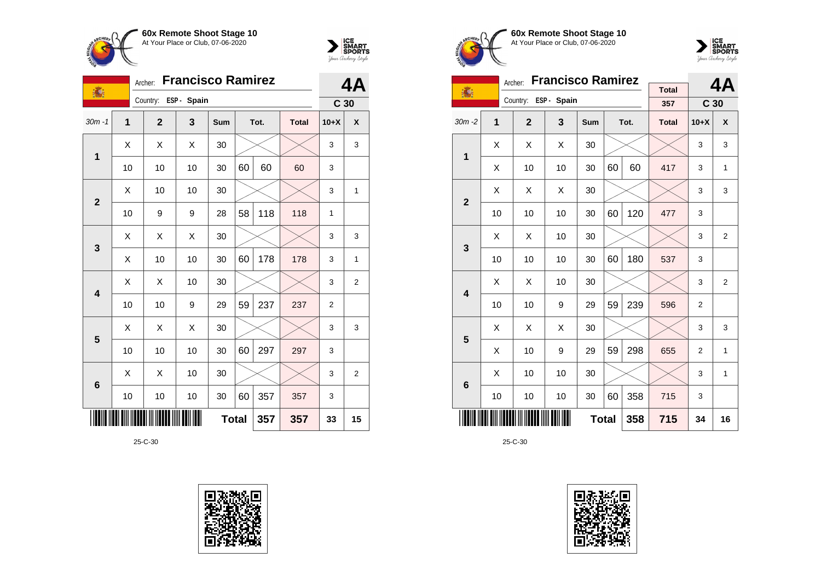



| <b>Francisco Ramirez</b><br>Archer:<br>16 |                |                      |    |     |              |      |              |                 | <b>4A</b> |  |
|-------------------------------------------|----------------|----------------------|----|-----|--------------|------|--------------|-----------------|-----------|--|
|                                           |                | Country: ESP - Spain |    |     |              |      |              | C <sub>30</sub> |           |  |
| $30m - 1$                                 | $\overline{1}$ | $\overline{2}$       | 3  | Sum |              | Tot. | <b>Total</b> | $10+X$          | X         |  |
| 1                                         | X              | X                    | X  | 30  |              |      |              | 3               | 3         |  |
|                                           | 10             | 10                   | 10 | 30  | 60           | 60   | 60           | 3               |           |  |
| $\overline{2}$                            | X              | 10                   | 10 | 30  |              |      |              | 3               | 1         |  |
|                                           | 10             | 9                    | 9  | 28  | 58           | 118  | 118          | $\mathbf{1}$    |           |  |
| 3                                         | X              | X                    | X  | 30  |              |      |              | 3               | 3         |  |
|                                           | Χ              | 10                   | 10 | 30  | 60           | 178  | 178          | 3               | 1         |  |
| 4                                         | X              | X                    | 10 | 30  |              |      |              | 3               | 2         |  |
|                                           | 10             | 10                   | 9  | 29  | 59           | 237  | 237          | 2               |           |  |
| 5                                         | X              | X                    | X  | 30  |              |      |              | 3               | 3         |  |
|                                           | 10             | 10                   | 10 | 30  | 60           | 297  | 297          | 3               |           |  |
| 6                                         | X              | X                    | 10 | 30  |              |      |              | 3               | 2         |  |
|                                           | 10             | 10                   | 10 | 30  | 60           | 357  | 357          | 3               |           |  |
|                                           |                |                      |    |     | <b>Total</b> | 357  | 357          | 33              | 15        |  |







|                         |                     | Archer:              | <b>Francisco Ramirez</b> | <b>Total</b> |    | 4Α   |              |                 |                |
|-------------------------|---------------------|----------------------|--------------------------|--------------|----|------|--------------|-----------------|----------------|
| 1                       |                     | Country: ESP - Spain |                          |              |    |      | 357          | C <sub>30</sub> |                |
| $30m - 2$               | 1                   | $\overline{2}$       | 3                        | <b>Sum</b>   |    | Tot. | <b>Total</b> | $10+X$          | X              |
|                         | X                   | X                    | Χ                        | 30           |    |      |              | 3               | 3              |
| 1                       | X                   | 10                   | 10                       | 30           | 60 | 60   | 417          | 3               | $\mathbf{1}$   |
| $\overline{2}$          | X                   | X                    | X                        | 30           |    |      |              | 3               | 3              |
|                         | 10                  | 10                   | 10                       | 30           | 60 | 120  | 477          | 3               |                |
| 3                       | X                   | X                    | 10                       | 30           |    |      |              | 3               | $\overline{2}$ |
|                         | 10                  | 10                   | 10                       | 30           | 60 | 180  | 537          | 3               |                |
| $\overline{\mathbf{4}}$ | Χ                   | X                    | 10                       | 30           |    |      |              | 3               | $\overline{2}$ |
|                         | 10                  | 10                   | 9                        | 29           | 59 | 239  | 596          | 2               |                |
| 5                       | X                   | X                    | Χ                        | 30           |    |      |              | 3               | 3              |
|                         | X                   | 10                   | 9                        | 29           | 59 | 298  | 655          | $\overline{2}$  | $\mathbf{1}$   |
|                         | X                   | 10                   | 10                       | 30           |    |      |              | 3               | $\mathbf{1}$   |
|                         | 6<br>10<br>10<br>10 |                      |                          |              | 60 | 358  | 715          | 3               |                |
|                         |                     |                      |                          | <b>Total</b> |    | 358  | 715          | 34              | 16             |

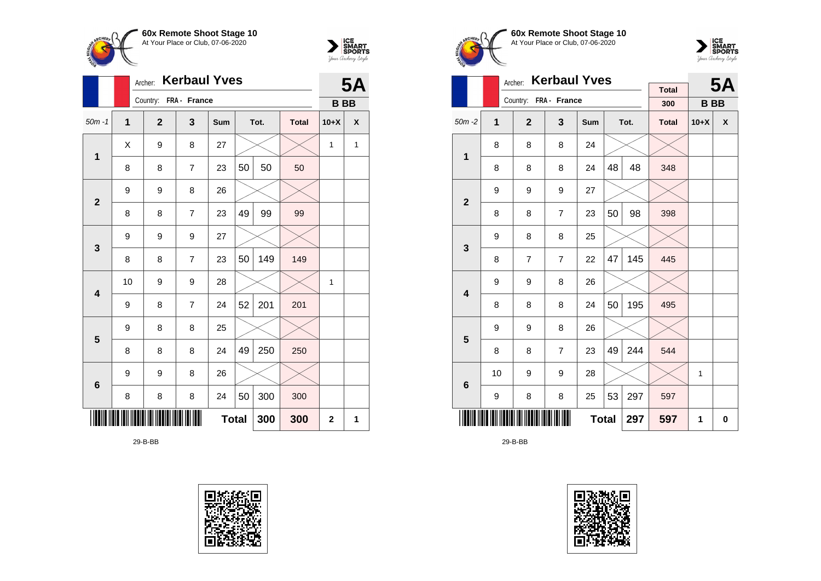



|                         |                | <b>Kerbaul Yves</b><br>Archer: |                |              |    |      |              |              |   |  |
|-------------------------|----------------|--------------------------------|----------------|--------------|----|------|--------------|--------------|---|--|
|                         |                | Country: FRA - France          |                |              |    |      |              | <b>BB</b>    |   |  |
| $50m - 1$               | $\overline{1}$ | $\overline{2}$                 | 3              | Sum          |    | Tot. | <b>Total</b> | $10+X$       | X |  |
| 1                       | X              | 9                              | 8              | 27           |    |      |              | $\mathbf{1}$ | 1 |  |
|                         | 8              | 8                              | $\overline{7}$ | 23           | 50 | 50   | 50           |              |   |  |
| $\overline{2}$          | 9              | 9                              | 8              | 26           |    |      |              |              |   |  |
|                         | 8              | 8                              | $\overline{7}$ | 23           | 49 | 99   | 99           |              |   |  |
| 3                       | 9              | 9                              | 9              | 27           |    |      |              |              |   |  |
|                         | 8              | 8                              | $\overline{7}$ | 23           | 50 | 149  | 149          |              |   |  |
| $\overline{\mathbf{4}}$ | 10             | 9                              | 9              | 28           |    |      |              | 1            |   |  |
|                         | 9              | 8                              | $\overline{7}$ | 24           | 52 | 201  | 201          |              |   |  |
| 5                       | 9              | 8                              | 8              | 25           |    |      |              |              |   |  |
|                         | 8              | 8                              | 8              | 24           | 49 | 250  | 250          |              |   |  |
| $6\phantom{1}6$         | 9              | 9                              | 8              | 26           |    |      |              |              |   |  |
|                         | 8              | 8                              | 8              | 24           | 50 | 300  | 300          |              |   |  |
|                         |                |                                |                | <b>Total</b> |    | 300  | 300          | $\mathbf{2}$ | 1 |  |







|                         |    | Archer:               | <b>Kerbaul Yves</b>     |              |    |      | <b>5A</b>    |           |                    |
|-------------------------|----|-----------------------|-------------------------|--------------|----|------|--------------|-----------|--------------------|
|                         |    | Country: FRA - France |                         |              |    |      | <b>Total</b> |           |                    |
|                         |    |                       |                         |              |    |      | 300          | <b>BB</b> |                    |
| $50m - 2$               | 1  | $\overline{2}$        | $\overline{\mathbf{3}}$ | Sum          |    | Tot. | <b>Total</b> | $10+X$    | $\pmb{\mathsf{X}}$ |
| 1                       | 8  | 8                     | 8                       | 24           |    |      |              |           |                    |
|                         | 8  | 8                     | 8                       | 24           | 48 | 48   | 348          |           |                    |
| $\overline{2}$          | 9  | 9                     | 9                       | 27           |    |      |              |           |                    |
|                         | 8  | 8                     | $\overline{7}$          | 23           | 50 | 98   | 398          |           |                    |
| 3                       | 9  | 8                     | 8                       | 25           |    |      |              |           |                    |
|                         | 8  | 7                     | $\overline{7}$          | 22           | 47 | 145  | 445          |           |                    |
| $\overline{\mathbf{4}}$ | 9  | 9                     | 8                       | 26           |    |      |              |           |                    |
|                         | 8  | 8                     | 8                       | 24           | 50 | 195  | 495          |           |                    |
| 5                       | 9  | 9                     | 8                       | 26           |    |      |              |           |                    |
|                         | 8  | 8                     | $\overline{7}$          | 23           | 49 | 244  | 544          |           |                    |
| 6                       | 10 | 9                     | 9                       | 28           |    |      |              | 1         |                    |
|                         | 9  | 8                     | 8                       | 25           | 53 | 297  | 597          |           |                    |
|                         |    |                       |                         | <b>Total</b> |    | 297  | 597          | 1         | 0                  |

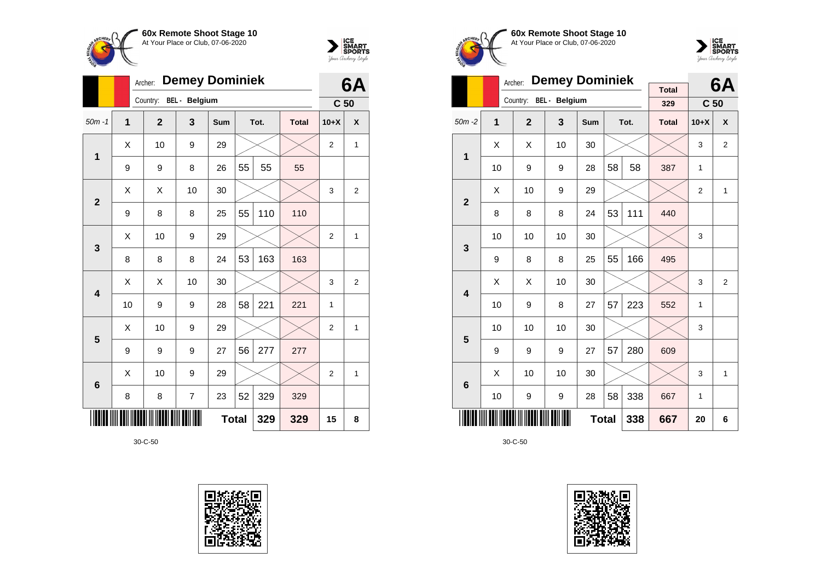



|                |                | <b>Demey Dominiek</b><br>Archer: |                |     | 6A           |      |              |                 |   |
|----------------|----------------|----------------------------------|----------------|-----|--------------|------|--------------|-----------------|---|
|                |                | Country: BEL - Belgium           |                |     |              |      |              | C <sub>50</sub> |   |
| $50m - 1$      | $\overline{1}$ | $\mathbf{2}$                     | 3              | Sum |              | Tot. | <b>Total</b> | $10+X$          | X |
| 1              | X              | 10                               | 9              | 29  |              |      |              | $\overline{2}$  | 1 |
|                | 9              | 9                                | 8              | 26  | 55           | 55   | 55           |                 |   |
| $\overline{2}$ | X              | X                                | 10             | 30  |              |      |              | 3               | 2 |
|                | 9              | 8                                | 8              | 25  | 55           | 110  | 110          |                 |   |
| 3              | Χ              | 10                               | 9              | 29  |              |      |              | $\overline{2}$  | 1 |
|                | 8              | 8                                | 8              | 24  | 53           | 163  | 163          |                 |   |
| 4              | X              | X                                | 10             | 30  |              |      |              | 3               | 2 |
|                | 10             | 9                                | 9              | 28  | 58           | 221  | 221          | $\mathbf{1}$    |   |
| 5              | X              | 10                               | 9              | 29  |              |      |              | $\overline{2}$  | 1 |
|                | 9              | 9                                | 9              | 27  | 56           | 277  | 277          |                 |   |
| 6              | X              | 10                               | 9              | 29  |              |      |              | $\overline{2}$  | 1 |
|                | 8              | 8                                | $\overline{7}$ | 23  | 52           | 329  | 329          |                 |   |
|                |                |                                  |                |     | <b>Total</b> | 329  | 329          | 15              | 8 |







|                         |    | <b>Demey Dominiek</b><br>Archer: |                      | <b>Total</b> |    | 6A   |              |                 |                |
|-------------------------|----|----------------------------------|----------------------|--------------|----|------|--------------|-----------------|----------------|
|                         |    | Country:                         | <b>BEL</b> - Belgium |              |    |      | 329          | C <sub>50</sub> |                |
| $50m - 2$               | 1  | $\overline{2}$                   | 3                    | <b>Sum</b>   |    | Tot. | <b>Total</b> | $10+X$          | X              |
| 1                       | X  | X                                | 10                   | 30           |    |      |              | 3               | $\overline{2}$ |
|                         | 10 | 9                                | 9                    | 28           | 58 | 58   | 387          | 1               |                |
| $\overline{2}$          | X  | 10                               | 9                    | 29           |    |      |              | $\overline{2}$  | $\mathbf{1}$   |
|                         | 8  | 8                                | 8                    | 24           | 53 | 111  | 440          |                 |                |
| 3                       | 10 | 10                               | 10                   | 30           |    |      |              | 3               |                |
|                         | 9  | 8                                | 8                    | 25           | 55 | 166  | 495          |                 |                |
| $\overline{\mathbf{4}}$ | X  | X                                | 10                   | 30           |    |      |              | 3               | $\overline{2}$ |
|                         | 10 | 9                                | 8                    | 27           | 57 | 223  | 552          | 1               |                |
| 5                       | 10 | 10                               | 10                   | 30           |    |      |              | 3               |                |
|                         | 9  | 9                                | 9                    | 27           | 57 | 280  | 609          |                 |                |
| $6\phantom{1}6$         | X  | 10                               | 10                   | 30           |    |      |              | 3               | 1              |
|                         | 10 | 9                                | 9                    | 28           | 58 | 338  | 667          | 1               |                |
|                         |    |                                  |                      | <b>Total</b> |    | 338  | 667          | 20              | 6              |

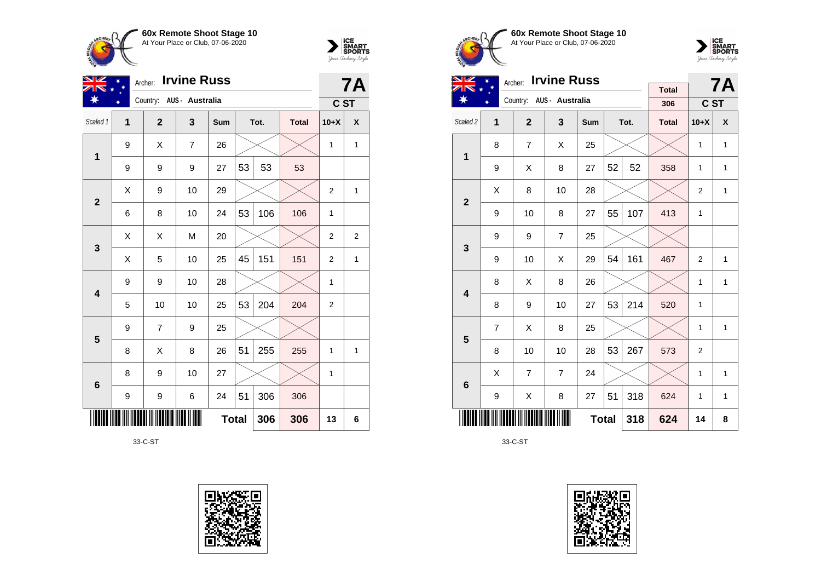



| NZ              | Archer: |                          | <b>7A</b>      |              |    |      |              |                |                |
|-----------------|---------|--------------------------|----------------|--------------|----|------|--------------|----------------|----------------|
|                 |         | Country: AUS - Australia |                |              |    |      |              | C ST           |                |
| Scaled 1        | 1       | $\overline{2}$           | 3              | Sum          |    | Tot. | <b>Total</b> | $10+X$         | X              |
| 1               | 9       | X                        | $\overline{7}$ | 26           |    |      |              | $\mathbf{1}$   | 1              |
|                 | 9       | 9                        | 9              | 27           | 53 | 53   | 53           |                |                |
| $\mathbf{2}$    | X       | 9                        | 10             | 29           |    |      |              | $\overline{2}$ | 1              |
|                 | 6       | 8                        | 10             | 24           | 53 | 106  | 106          | $\mathbf{1}$   |                |
| $\mathbf{3}$    | X       | Χ                        | M              | 20           |    |      |              | $\overline{2}$ | $\overline{2}$ |
|                 | X       | 5                        | 10             | 25           | 45 | 151  | 151          | $\overline{2}$ | 1              |
| 4               | 9       | 9                        | 10             | 28           |    |      |              | $\mathbf{1}$   |                |
|                 | 5       | 10                       | 10             | 25           | 53 | 204  | 204          | 2              |                |
| 5               | 9       | 7                        | 9              | 25           |    |      |              |                |                |
|                 | 8       | Χ                        | 8              | 26           | 51 | 255  | 255          | $\mathbf{1}$   | 1              |
| $6\phantom{1}6$ | 8       | 9                        | 10             | 27           |    |      |              | 1              |                |
|                 | 9       | 9                        | 6              | 24           | 51 | 306  | 306          |                |                |
|                 |         |                          |                | <b>Total</b> |    | 306  | 306          | 13             | 6              |

33-C-ST







| VZ                      | <b>Irvine Russ</b><br>Archer: |                          |                |              |    |      |              |                | 7Α                        |
|-------------------------|-------------------------------|--------------------------|----------------|--------------|----|------|--------------|----------------|---------------------------|
|                         |                               | Country: AUS - Australia |                |              |    |      | <b>Total</b> |                |                           |
|                         |                               |                          |                |              |    |      | 306          | C ST           |                           |
| Scaled <sub>2</sub>     | 1                             | $\overline{2}$           | 3              | Sum          |    | Tot. | <b>Total</b> | $10+X$         | $\boldsymbol{\mathsf{x}}$ |
| 1                       | 8                             | $\overline{7}$           | X              | 25           |    |      |              | $\mathbf{1}$   | $\mathbf{1}$              |
|                         | 9                             | Χ                        | 8              | 27           | 52 | 52   | 358          | $\mathbf{1}$   | 1                         |
| $\mathbf{2}$            | X                             | 8                        | 10             | 28           |    |      |              | 2              | 1                         |
|                         | 9                             | 10                       | 8              | 27           | 55 | 107  | 413          | 1              |                           |
| 3                       | 9                             | 9                        | $\overline{7}$ | 25           |    |      |              |                |                           |
|                         | 9                             | 10                       | X              | 29           | 54 | 161  | 467          | $\overline{2}$ | 1                         |
| $\overline{\mathbf{4}}$ | 8                             | Χ                        | 8              | 26           |    |      |              | $\mathbf{1}$   | 1                         |
|                         | 8                             | 9                        | 10             | 27           | 53 | 214  | 520          | 1              |                           |
| 5                       | $\overline{7}$                | X                        | 8              | 25           |    |      |              | $\mathbf{1}$   | $\mathbf{1}$              |
|                         | 8                             | 10                       | 10             | 28           | 53 | 267  | 573          | 2              |                           |
| 6                       | X                             | $\overline{7}$           | $\overline{7}$ | 24           |    |      |              | $\mathbf{1}$   | 1                         |
|                         | 9                             | Χ                        | 8              | 27           | 51 | 318  | 624          | 1              | 1                         |
|                         |                               |                          |                | <b>Total</b> |    | 318  | 624          | 14             | 8                         |

33-C-ST

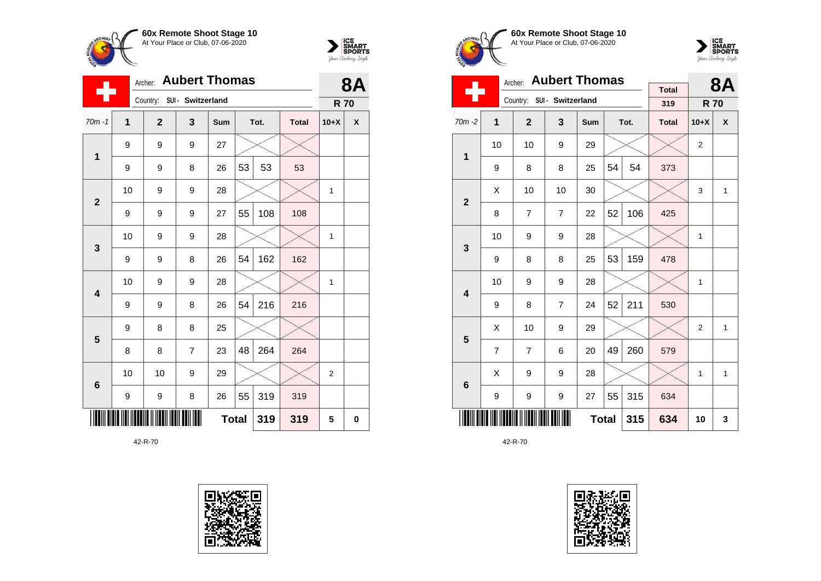



|                 | <b>Aubert Thomas</b><br>Archer: |                            |                |              |    |      | 81           |                |   |
|-----------------|---------------------------------|----------------------------|----------------|--------------|----|------|--------------|----------------|---|
|                 |                                 | Country: SUI - Switzerland |                |              |    |      |              | <b>R70</b>     |   |
| $70m - 1$       | $\mathbf{1}$                    | $\mathbf{2}$               | 3              | Sum          |    | Tot. | <b>Total</b> | $10+X$         | X |
| 1               | 9                               | 9                          | 9              | 27           |    |      |              |                |   |
|                 | 9                               | 9                          | 8              | 26           | 53 | 53   | 53           |                |   |
|                 | 10                              | 9                          | 9              | 28           |    |      |              | 1              |   |
| $\mathbf{2}$    | 9                               | 9                          | 9              | 27           | 55 | 108  | 108          |                |   |
| 3               | 10                              | 9                          | 9              | 28           |    |      |              | 1              |   |
|                 | 9                               | 9                          | 8              | 26           | 54 | 162  | 162          |                |   |
| 4               | 10                              | 9                          | 9              | 28           |    |      |              | 1              |   |
|                 | 9                               | 9                          | 8              | 26           | 54 | 216  | 216          |                |   |
| 5               | 9                               | 8                          | 8              | 25           |    |      |              |                |   |
|                 | 8                               | 8                          | $\overline{7}$ | 23           | 48 | 264  | 264          |                |   |
| $6\phantom{1}6$ | 10                              | 10                         | 9              | 29           |    |      |              | $\overline{2}$ |   |
|                 | 9                               | 9                          | 8              | 26           | 55 | 319  | 319          |                |   |
|                 |                                 |                            |                | <b>Total</b> |    | 319  | 319          | 5              | 0 |







|                         |                | <b>Aubert Thomas</b><br>Archer: |                |              |    | 8A   |                     |                |              |
|-------------------------|----------------|---------------------------------|----------------|--------------|----|------|---------------------|----------------|--------------|
|                         |                | Country: SUI - Switzerland      |                |              |    |      | <b>Total</b><br>319 | <b>R70</b>     |              |
| $70m - 2$               | 1              | $\overline{2}$                  | 3              | Sum          |    | Tot. | <b>Total</b>        | $10+X$         | X            |
| 1                       | 10             | 10                              | 9              | 29           |    |      |                     | $\overline{2}$ |              |
|                         | 9              | 8                               | 8              | 25           | 54 | 54   | 373                 |                |              |
| $\overline{2}$          | X              | 10                              | 10             | 30           |    |      |                     | 3              | $\mathbf{1}$ |
|                         | 8              | $\overline{7}$                  | $\overline{7}$ | 22           | 52 | 106  | 425                 |                |              |
| 3                       | 10             | 9                               | 9              | 28           |    |      |                     | 1              |              |
|                         | 9              | 8                               | 8              | 25           | 53 | 159  | 478                 |                |              |
| $\overline{\mathbf{4}}$ | 10             | 9                               | 9              | 28           |    |      |                     | $\mathbf{1}$   |              |
|                         | 9              | 8                               | $\overline{7}$ | 24           | 52 | 211  | 530                 |                |              |
| 5                       | X              | 10                              | 9              | 29           |    |      |                     | $\overline{2}$ | 1            |
|                         | $\overline{7}$ | $\overline{7}$                  | 6              | 20           | 49 | 260  | 579                 |                |              |
| 6                       | X              | 9                               | 9              | 28           |    |      |                     | $\mathbf{1}$   | $\mathbf{1}$ |
|                         | 9              | 9                               | 9              | 27           | 55 | 315  | 634                 |                |              |
|                         |                |                                 |                | <b>Total</b> |    | 315  | 634                 | 10             | 3            |

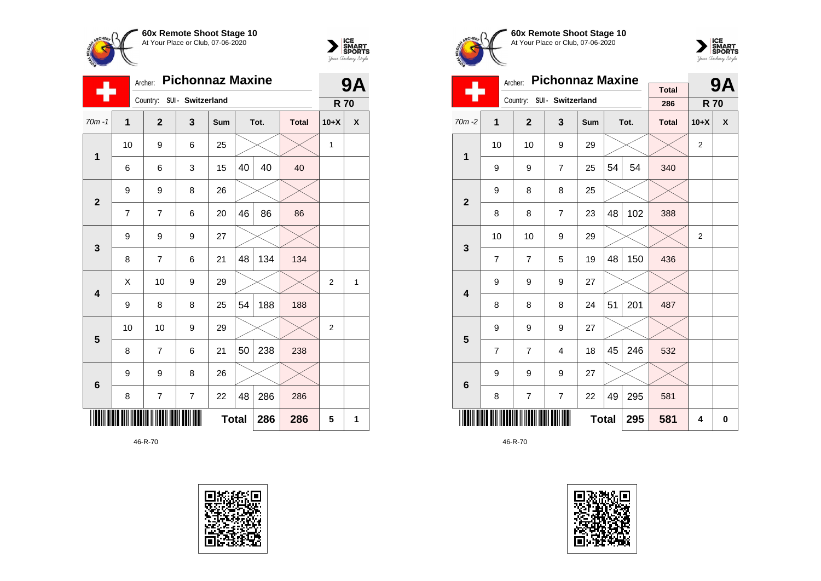



|                | Archer:        |                            |                | <b>9A</b>    |    |      |              |            |   |
|----------------|----------------|----------------------------|----------------|--------------|----|------|--------------|------------|---|
|                |                | Country: SUI - Switzerland |                |              |    |      |              | <b>R70</b> |   |
| $70m - 1$      | $\overline{1}$ | $\overline{2}$             | 3              | Sum          |    | Tot. | <b>Total</b> | $10+X$     | X |
| $\mathbf 1$    | 10             | 9                          | 6              | 25           |    |      |              | 1          |   |
|                | 6              | 6                          | 3              | 15           | 40 | 40   | 40           |            |   |
| $\overline{2}$ | 9              | 9                          | 8              | 26           |    |      |              |            |   |
|                | 7              | 7                          | 6              | 20           | 46 | 86   | 86           |            |   |
| 3              | 9              | 9                          | 9              | 27           |    |      |              |            |   |
|                | 8              | $\overline{7}$             | 6              | 21           | 48 | 134  | 134          |            |   |
| 4              | X              | 10                         | 9              | 29           |    |      |              | 2          | 1 |
|                | 9              | 8                          | 8              | 25           | 54 | 188  | 188          |            |   |
| 5              | 10             | 10                         | 9              | 29           |    |      |              | 2          |   |
|                | 8              | 7                          | 6              | 21           | 50 | 238  | 238          |            |   |
| $\bf 6$        | 9              | 9                          | 8              | 26           |    |      |              |            |   |
|                | 8              | $\overline{7}$             | $\overline{7}$ | 22           | 48 | 286  | 286          |            |   |
|                |                |                            |                | <b>Total</b> |    | 286  | 286          | 5          | 1 |







|                         |                | Archer:        | <b>Pichonnaz Maxine</b>    | <b>Total</b> |    | 9Α   |              |                |   |
|-------------------------|----------------|----------------|----------------------------|--------------|----|------|--------------|----------------|---|
|                         |                |                | Country: SUI - Switzerland |              |    |      | 286          | <b>R70</b>     |   |
| $70m - 2$               | 1              | $\overline{2}$ | 3                          | Sum          |    | Tot. | <b>Total</b> | $10+X$         | X |
| 1                       | 10             | 10             | 9                          | 29           |    |      |              | $\overline{2}$ |   |
|                         | 9              | 9              | $\overline{7}$             | 25           | 54 | 54   | 340          |                |   |
| $\overline{2}$          | 9              | 8              | 8                          | 25           |    |      |              |                |   |
|                         | 8              | 8              | $\overline{7}$             | 23           | 48 | 102  | 388          |                |   |
| 3                       | 10             | 10             | 9                          | 29           |    |      |              | 2              |   |
|                         | $\overline{7}$ | $\overline{7}$ | 5                          | 19           | 48 | 150  | 436          |                |   |
| $\overline{\mathbf{4}}$ | 9              | 9              | 9                          | 27           |    |      |              |                |   |
|                         | 8              | 8              | 8                          | 24           | 51 | 201  | 487          |                |   |
| 5                       | 9              | 9              | 9                          | 27           |    |      |              |                |   |
|                         | $\overline{7}$ | $\overline{7}$ | $\overline{4}$             | 18           | 45 | 246  | 532          |                |   |
| 6                       | 9              | 9              | 9                          | 27           |    |      |              |                |   |
|                         | 8              | $\overline{7}$ | $\overline{7}$             | 22           | 49 | 295  | 581          |                |   |
|                         |                |                |                            | <b>Total</b> |    | 295  | 581          | 4              | 0 |

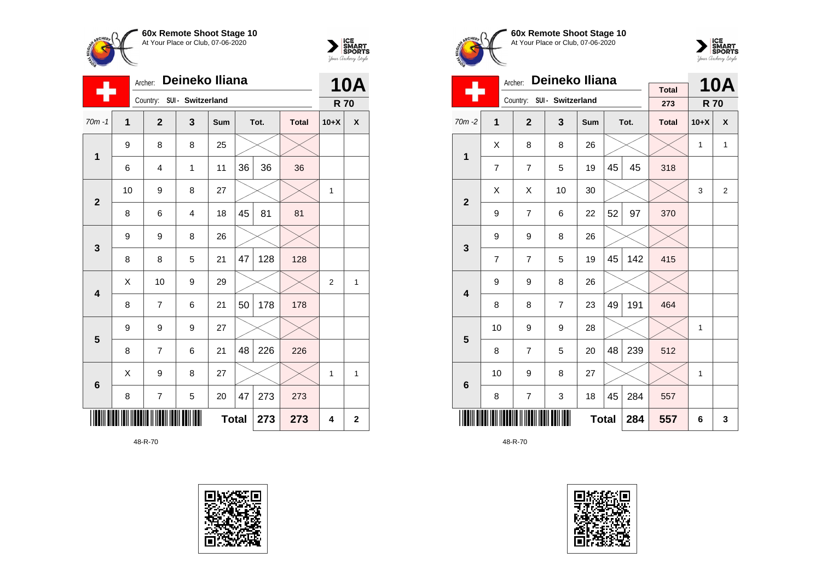



| - 11                    |              | Archer:                    | Deineko Iliana |              |    |      | <b>10A</b>   |                |                |
|-------------------------|--------------|----------------------------|----------------|--------------|----|------|--------------|----------------|----------------|
|                         |              | Country: SUI - Switzerland |                |              |    |      |              | <b>R70</b>     |                |
| $70m - 1$               | $\mathbf{1}$ | $\mathbf{2}$               | 3              | Sum          |    | Tot. | <b>Total</b> | $10+X$         | X              |
| $\mathbf{1}$            | 9            | 8                          | 8              | 25           |    |      |              |                |                |
|                         | 6            | 4                          | 1              | 11           | 36 | 36   | 36           |                |                |
| $\overline{2}$          | 10           | 9                          | 8              | 27           |    |      |              | 1              |                |
|                         | 8            | 6                          | $\overline{4}$ | 18           | 45 | 81   | 81           |                |                |
| 3                       | 9            | 9                          | 8              | 26           |    |      |              |                |                |
|                         | 8            | 8                          | 5              | 21           | 47 | 128  | 128          |                |                |
| $\overline{\mathbf{4}}$ | Χ            | 10                         | 9              | 29           |    |      |              | $\overline{2}$ | 1              |
|                         | 8            | 7                          | 6              | 21           | 50 | 178  | 178          |                |                |
| 5                       | 9            | 9                          | 9              | 27           |    |      |              |                |                |
|                         | 8            | $\overline{7}$             | 6              | 21           | 48 | 226  | 226          |                |                |
| $6\phantom{1}6$         | X            | 9                          | 8              | 27           |    |      |              | 1              | 1              |
|                         | 8            | 7                          | 5              | 20           | 47 | 273  | 273          |                |                |
|                         |              |                            |                | <b>Total</b> |    | 273  | 273          | 4              | $\overline{2}$ |







|                         |                | Archer:        | Deineko Iliana             |     |              |      |                     |              | <b>10A</b>     |
|-------------------------|----------------|----------------|----------------------------|-----|--------------|------|---------------------|--------------|----------------|
|                         |                |                | Country: SUI - Switzerland |     |              |      | <b>Total</b><br>273 | <b>R70</b>   |                |
| 70m-2                   | 1              | $\overline{2}$ | 3                          | Sum |              | Tot. | <b>Total</b>        | $10+X$       | X              |
| 1                       | X              | 8              | 8                          | 26  |              |      |                     | 1            | $\mathbf{1}$   |
|                         | $\overline{7}$ | $\overline{7}$ | 5                          | 19  | 45           | 45   | 318                 |              |                |
| $\overline{2}$          | X              | X              | 10                         | 30  |              |      |                     | 3            | $\overline{2}$ |
|                         | 9              | $\overline{7}$ | 6                          | 22  | 52           | 97   | 370                 |              |                |
| 3                       | 9              | 9              | 8                          | 26  |              |      |                     |              |                |
|                         | $\overline{7}$ | $\overline{7}$ | 5                          | 19  | 45           | 142  | 415                 |              |                |
| $\overline{\mathbf{4}}$ | 9              | 9              | 8                          | 26  |              |      |                     |              |                |
|                         | 8              | 8              | $\overline{7}$             | 23  | 49           | 191  | 464                 |              |                |
| 5                       | 10             | 9              | 9                          | 28  |              |      |                     | 1            |                |
|                         | 8              | $\overline{7}$ | 5                          | 20  | 48           | 239  | 512                 |              |                |
| 6                       | 10             | 9              | 8                          | 27  |              |      |                     | $\mathbf{1}$ |                |
|                         | 8              | $\overline{7}$ | 3                          | 18  | 45           | 284  | 557                 |              |                |
|                         |                |                |                            |     | <b>Total</b> | 284  | 557                 | 6            | 3              |

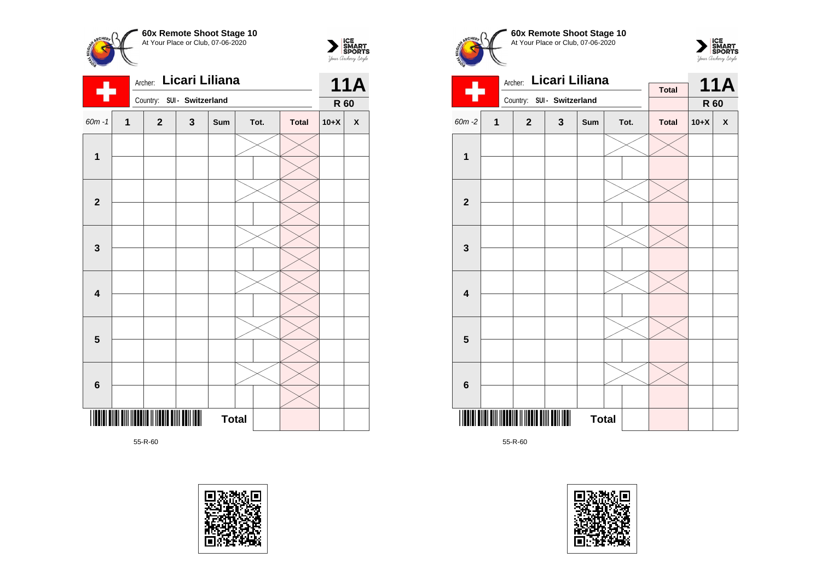



|                         |                         | <b>11A</b>                 |             |              |      |              |        |                    |
|-------------------------|-------------------------|----------------------------|-------------|--------------|------|--------------|--------|--------------------|
|                         |                         | Country: SUI - Switzerland |             |              |      |              |        | R 60               |
| $60m - 1$               | $\overline{\mathbf{1}}$ | $\mathbf{2}$               | $\mathbf 3$ | Sum          | Tot. | <b>Total</b> | $10+X$ | $\pmb{\mathsf{X}}$ |
|                         |                         |                            |             |              |      |              |        |                    |
| 1                       |                         |                            |             |              |      |              |        |                    |
|                         |                         |                            |             |              |      |              |        |                    |
| $\overline{\mathbf{2}}$ |                         |                            |             |              |      |              |        |                    |
|                         |                         |                            |             |              |      |              |        |                    |
| 3                       |                         |                            |             |              |      |              |        |                    |
|                         |                         |                            |             |              |      |              |        |                    |
| 4                       |                         |                            |             |              |      |              |        |                    |
|                         |                         |                            |             |              |      |              |        |                    |
| $\overline{\mathbf{5}}$ |                         |                            |             |              |      |              |        |                    |
|                         |                         |                            |             |              |      |              |        |                    |
| $\bf 6$                 |                         |                            |             |              |      |              |        |                    |
| IIII                    |                         |                            |             | <b>Total</b> |      |              |        |                    |









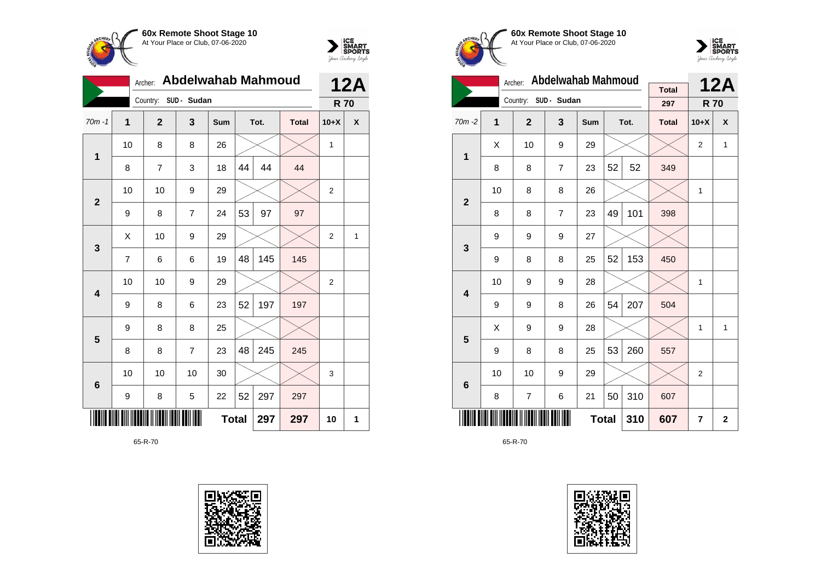



|                | Archer:        | <b>Abdelwahab Mahmoud</b> | <b>12A</b>     |            |              |      |              |                |   |
|----------------|----------------|---------------------------|----------------|------------|--------------|------|--------------|----------------|---|
|                |                | Country: SUD - Sudan      |                |            |              |      |              | <b>R70</b>     |   |
| $70m - 1$      | $\overline{1}$ | $\mathbf{2}$              | 3              | <b>Sum</b> |              | Tot. | <b>Total</b> | $10+X$         | X |
| 1              | 10             | 8                         | 8              | 26         |              |      |              | 1              |   |
|                | 8              | 7                         | 3              | 18         | 44           | 44   | 44           |                |   |
| $\overline{2}$ | 10             | 10                        | 9              | 29         |              |      |              | $\overline{2}$ |   |
|                | 9              | 8                         | $\overline{7}$ | 24         | 53           | 97   | 97           |                |   |
| 3              | Χ              | 10                        | 9              | 29         |              |      |              | $\overline{2}$ | 1 |
|                | $\overline{7}$ | 6                         | 6              | 19         | 48           | 145  | 145          |                |   |
| 4              | 10             | 10                        | 9              | 29         |              |      |              | $\overline{2}$ |   |
|                | 9              | 8                         | 6              | 23         | 52           | 197  | 197          |                |   |
| 5              | 9              | 8                         | 8              | 25         |              |      |              |                |   |
|                | 8              | 8                         | $\overline{7}$ | 23         | 48           | 245  | 245          |                |   |
| 6              | 10             | 10                        | 10             | 30         |              |      |              | 3              |   |
|                | 9              | 8                         | 5              | 22         | 52           | 297  | 297          |                |   |
|                |                |                           |                |            | <b>Total</b> | 297  | 297          | 10             | 1 |









|                         |    | Archer:        | <b>Abdelwahab Mahmoud</b> | <b>Total</b> |    | <b>12A</b> |              |                |              |
|-------------------------|----|----------------|---------------------------|--------------|----|------------|--------------|----------------|--------------|
|                         |    | Country:       | SUD - Sudan               |              |    |            | 297          | <b>R70</b>     |              |
| $70m - 2$               | 1  | $\overline{2}$ | $\mathbf{3}$              | Sum          |    | Tot.       | <b>Total</b> | $10+X$         | X            |
| 1                       | X  | 10             | 9                         | 29           |    |            |              | $\overline{2}$ | 1            |
|                         | 8  | 8              | $\overline{7}$            | 23           | 52 | 52         | 349          |                |              |
| $\overline{2}$          | 10 | 8              | 8                         | 26           |    |            |              | 1              |              |
|                         | 8  | 8              | $\overline{7}$            | 23           | 49 | 101        | 398          |                |              |
| 3                       | 9  | 9              | 9                         | 27           |    |            |              |                |              |
|                         | 9  | 8              | 8                         | 25           | 52 | 153        | 450          |                |              |
| $\overline{\mathbf{4}}$ | 10 | 9              | 9                         | 28           |    |            |              | $\mathbf{1}$   |              |
|                         | 9  | 9              | 8                         | 26           | 54 | 207        | 504          |                |              |
| 5                       | X  | 9              | 9                         | 28           |    |            |              | 1              | 1            |
|                         | 9  | 8              | 8                         | 25           | 53 | 260        | 557          |                |              |
| $6\phantom{1}6$         | 10 | 10             | 9                         | 29           |    |            |              | $\overline{2}$ |              |
|                         | 8  | 7              | 6                         | 21           | 50 | 310        | 607          |                |              |
|                         |    |                |                           | <b>Total</b> |    | 310        | 607          | 7              | $\mathbf{2}$ |

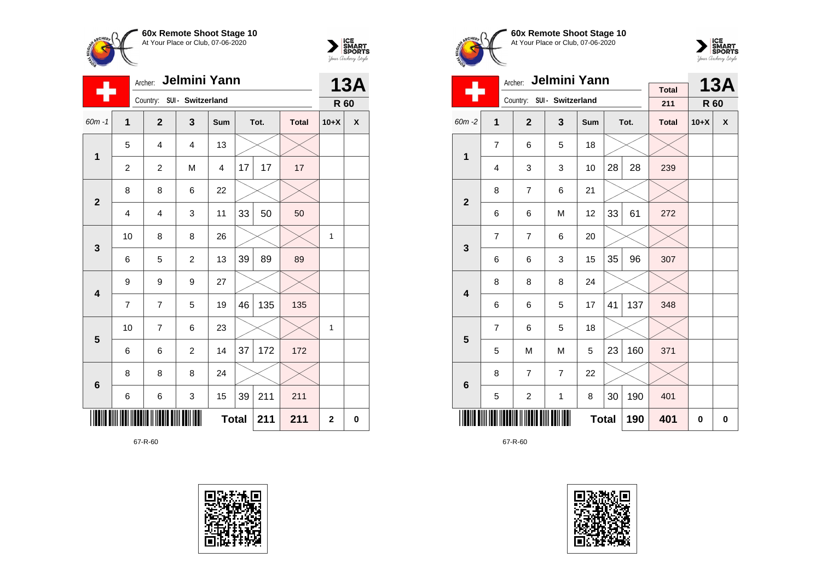



| <b>Jelmini Yann</b><br>Archer: |                |                            |                |              |    |      |              | <b>13A</b>   |   |
|--------------------------------|----------------|----------------------------|----------------|--------------|----|------|--------------|--------------|---|
|                                |                | Country: SUI - Switzerland |                |              |    |      |              | R 60         |   |
| $60m - 1$                      | $\overline{1}$ | $\overline{2}$             | $\mathbf{3}$   | Sum          |    | Tot. | <b>Total</b> | $10+X$       | X |
| $\mathbf 1$                    | 5              | 4                          | $\overline{4}$ | 13           |    |      |              |              |   |
|                                | $\overline{c}$ | $\overline{c}$             | M              | 4            | 17 | 17   | 17           |              |   |
| $\overline{\mathbf{2}}$        | 8              | 8                          | 6              | 22           |    |      |              |              |   |
|                                | 4              | 4                          | 3              | 11           | 33 | 50   | 50           |              |   |
| 3                              | 10             | 8                          | 8              | 26           |    |      |              | 1            |   |
|                                | 6              | 5                          | $\overline{c}$ | 13           | 39 | 89   | 89           |              |   |
| 4                              | 9              | 9                          | 9              | 27           |    |      |              |              |   |
|                                | $\overline{7}$ | $\overline{7}$             | 5              | 19           | 46 | 135  | 135          |              |   |
| $\overline{\mathbf{5}}$        | 10             | $\overline{7}$             | 6              | 23           |    |      |              | 1            |   |
|                                | 6              | 6                          | $\overline{c}$ | 14           | 37 | 172  | 172          |              |   |
| $\bf 6$                        | 8              | 8                          | 8              | 24           |    |      |              |              |   |
|                                | 6              | 6                          | 3              | 15           | 39 | 211  | 211          |              |   |
|                                |                |                            |                | <b>Total</b> |    | 211  | 211          | $\mathbf{2}$ | 0 |









|                         |                | Jelmini Yann<br>Archer: |                            |              |    | <b>13A</b> |                     |        |                    |
|-------------------------|----------------|-------------------------|----------------------------|--------------|----|------------|---------------------|--------|--------------------|
|                         |                |                         | Country: SUI - Switzerland |              |    |            | <b>Total</b><br>211 | R 60   |                    |
| 60m-2                   | 1              | $\overline{2}$          | $\overline{\mathbf{3}}$    | Sum          |    | Tot.       | <b>Total</b>        | $10+X$ | $\pmb{\mathsf{x}}$ |
| 1                       | $\overline{7}$ | 6                       | 5                          | 18           |    |            |                     |        |                    |
|                         | 4              | 3                       | 3                          | 10           | 28 | 28         | 239                 |        |                    |
| $\overline{2}$          | 8              | $\overline{7}$          | 6                          | 21           |    |            |                     |        |                    |
|                         | 6              | 6                       | M                          | 12           | 33 | 61         | 272                 |        |                    |
| 3                       | $\overline{7}$ | $\overline{7}$          | 6                          | 20           |    |            |                     |        |                    |
|                         | 6              | 6                       | 3                          | 15           | 35 | 96         | 307                 |        |                    |
| $\overline{\mathbf{4}}$ | 8              | 8                       | 8                          | 24           |    |            |                     |        |                    |
|                         | 6              | 6                       | 5                          | 17           | 41 | 137        | 348                 |        |                    |
| 5                       | $\overline{7}$ | 6                       | 5                          | 18           |    |            |                     |        |                    |
|                         | 5              | M                       | M                          | 5            | 23 | 160        | 371                 |        |                    |
| 6                       | 8              | $\overline{7}$          | $\overline{7}$             | 22           |    |            |                     |        |                    |
|                         | 5              | $\overline{\mathbf{c}}$ | 1                          | 8            | 30 | 190        | 401                 |        |                    |
|                         |                |                         |                            | <b>Total</b> |    | 190        | 401                 | 0      | 0                  |

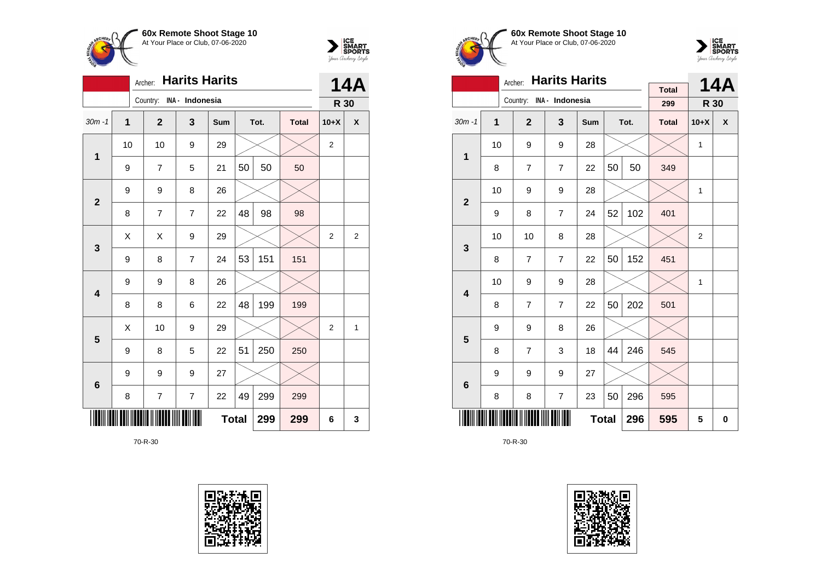



|           |                                                                    | Archer:                  | <b>Harits Harits</b> |              |    |      |              | <b>14A</b>     |                |
|-----------|--------------------------------------------------------------------|--------------------------|----------------------|--------------|----|------|--------------|----------------|----------------|
|           |                                                                    | Country: INA - Indonesia |                      |              |    |      |              | R 30           |                |
| $30m - 1$ | $\mathbf{1}$                                                       | $\overline{2}$           | 3                    | Sum          |    | Tot. | <b>Total</b> | $10+X$         | X              |
| 1         | 10                                                                 | 10                       | 9                    | 29           |    |      |              | $\overline{2}$ |                |
|           | 9                                                                  | 7                        | 5                    | 21           | 50 | 50   | 50           |                |                |
|           | 9                                                                  | 9                        | 8                    | 26           |    |      |              |                |                |
|           | $\overline{2}$<br>48<br>98<br>98<br>8<br>7<br>$\overline{7}$<br>22 |                          |                      |              |    |      |              |                |                |
| 3         | Χ                                                                  | X                        | 9                    | 29           |    |      |              | $\overline{2}$ | $\overline{2}$ |
|           | 9                                                                  | 8                        | $\overline{7}$       | 24           | 53 | 151  | 151          |                |                |
| 4         | 9                                                                  | 9                        | 8                    | 26           |    |      |              |                |                |
|           | 8                                                                  | 8                        | 6                    | 22           | 48 | 199  | 199          |                |                |
| 5         | X                                                                  | 10                       | 9                    | 29           |    |      |              | $\overline{2}$ | 1              |
|           | 9                                                                  | 8                        | 5                    | 22           | 51 | 250  | 250          |                |                |
| 6         | 9                                                                  | 9                        | 9                    | 27           |    |      |              |                |                |
|           | 8                                                                  | 7                        | $\overline{7}$       | 22           | 49 | 299  | 299          |                |                |
|           |                                                                    |                          |                      | <b>Total</b> |    | 299  | 299          | 6              | 3              |







|                         |    | <b>Harits Harits</b><br>Archer: |                |              |    | <b>14A</b> |              |              |                  |
|-------------------------|----|---------------------------------|----------------|--------------|----|------------|--------------|--------------|------------------|
|                         |    | Country: INA - Indonesia        |                |              |    |            | <b>Total</b> |              |                  |
|                         |    |                                 |                |              |    |            | 299          | R 30         |                  |
| $30m - 1$               | 1  | $\overline{2}$                  | 3              | Sum          |    | Tot.       | <b>Total</b> | $10+X$       | $\boldsymbol{x}$ |
| $\mathbf{1}$            | 10 | 9                               | 9              | 28           |    |            |              | 1            |                  |
|                         | 8  | $\overline{7}$                  | $\overline{7}$ | 22           | 50 | 50         | 349          |              |                  |
| $\overline{2}$          | 10 | 9                               | 9              | 28           |    |            |              | $\mathbf{1}$ |                  |
|                         | 9  | 8                               | $\overline{7}$ | 24           | 52 | 102        | 401          |              |                  |
| 3                       | 10 | 10                              | 8              | 28           |    |            |              | 2            |                  |
|                         | 8  | $\overline{7}$                  | $\overline{7}$ | 22           | 50 | 152        | 451          |              |                  |
| $\overline{\mathbf{4}}$ | 10 | 9                               | 9              | 28           |    |            |              | 1            |                  |
|                         | 8  | $\overline{7}$                  | $\overline{7}$ | 22           | 50 | 202        | 501          |              |                  |
| 5                       | 9  | 9                               | 8              | 26           |    |            |              |              |                  |
|                         | 8  | $\overline{7}$                  | 3              | 18           | 44 | 246        | 545          |              |                  |
| 6                       | 9  | 9                               | 9              | 27           |    |            |              |              |                  |
|                         | 8  | 8                               | $\overline{7}$ | 23           | 50 | 296        | 595          |              |                  |
|                         |    |                                 |                | <b>Total</b> |    | 296        | 595          | 5            | 0                |

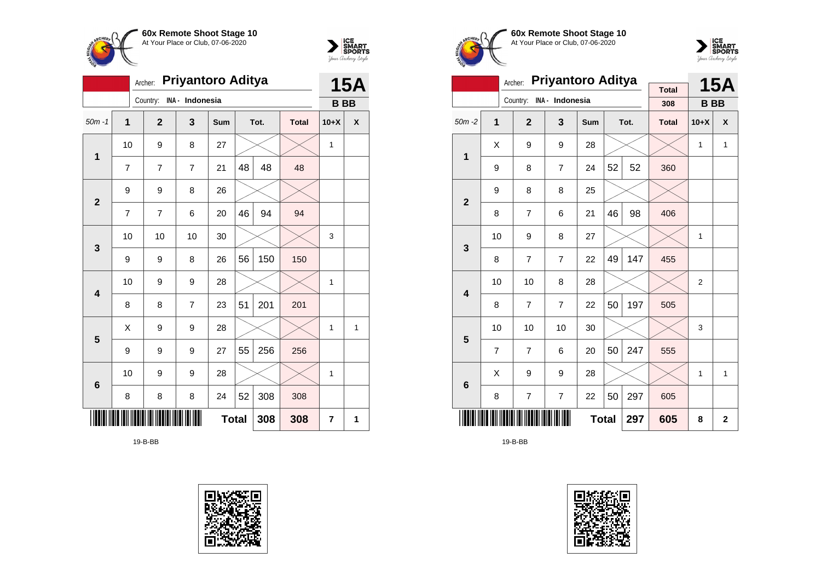



|           |                                                                    | <b>15A</b>     |                 |     |    |      |              |           |   |
|-----------|--------------------------------------------------------------------|----------------|-----------------|-----|----|------|--------------|-----------|---|
|           |                                                                    | Country:       | INA - Indonesia |     |    |      |              | <b>BB</b> |   |
| $50m - 1$ | 1                                                                  | $\overline{2}$ | 3               | Sum |    | Tot. | <b>Total</b> | $10+X$    | X |
| 1         | 10                                                                 | 9              | 8               | 27  |    |      |              | 1         |   |
|           | 7                                                                  | 7              | 7               | 21  | 48 | 48   | 48           |           |   |
|           | 9                                                                  | 9              | 8               | 26  |    |      |              |           |   |
|           | $\overline{2}$<br>46<br>$\overline{7}$<br>7<br>94<br>94<br>6<br>20 |                |                 |     |    |      |              |           |   |
| 3         | 10                                                                 | 10             | 10              | 30  |    |      |              | 3         |   |
|           | 9                                                                  | 9              | 8               | 26  | 56 | 150  | 150          |           |   |
| 4         | 10                                                                 | 9              | 9               | 28  |    |      |              | 1         |   |
|           | 8                                                                  | 8              | 7               | 23  | 51 | 201  | 201          |           |   |
| 5         | Χ                                                                  | 9              | 9               | 28  |    |      |              | 1         | 1 |
|           | 9                                                                  | 9              | 9               | 27  | 55 | 256  | 256          |           |   |
| 6         | 10                                                                 | 9              | 9               | 28  |    |      |              | 1         |   |
|           | 8                                                                  | 8              | 8               | 24  | 52 | 308  | 308          |           |   |
|           | <b>Total</b><br>308<br>308                                         |                |                 |     |    |      |              |           |   |







|                         |                | Archer:        | <b>Priyantoro Aditya</b> |     |    | <b>15A</b>     |              |                |              |
|-------------------------|----------------|----------------|--------------------------|-----|----|----------------|--------------|----------------|--------------|
|                         |                | Country:       | INA - Indonesia          |     |    |                | <b>Total</b> |                |              |
|                         |                |                |                          |     |    |                | 308          | <b>BB</b>      |              |
| $50m - 2$               | 1              | $\overline{2}$ | 3                        | Sum |    | Tot.           | <b>Total</b> | $10+X$         | X            |
| 1                       | Χ              | 9              | 9                        | 28  |    |                |              | 1              | $\mathbf{1}$ |
|                         | 9              | 8              | $\overline{7}$           | 24  | 52 | 52             | 360          |                |              |
| $\overline{2}$          | 9              | 8              | 8                        | 25  |    |                |              |                |              |
|                         | 8              | $\overline{7}$ | 6                        | 21  | 46 | 98             | 406          |                |              |
| 3                       | 10             | 9              | 8                        | 27  |    |                |              | 1              |              |
|                         | 8              | $\overline{7}$ | $\overline{7}$           | 22  | 49 | 147            | 455          |                |              |
| $\overline{\mathbf{4}}$ | 10             | 10             | 8                        | 28  |    |                |              | $\overline{2}$ |              |
|                         | 8              | $\overline{7}$ | $\overline{7}$           | 22  | 50 | 197            | 505          |                |              |
| 5                       | 10             | 10             | 10                       | 30  |    |                |              | 3              |              |
|                         | $\overline{7}$ | $\overline{7}$ | 6                        | 20  | 50 | 247            | 555          |                |              |
| 6                       | Χ              | 9              | 9                        | 28  |    |                |              | 1              | $\mathbf{1}$ |
|                         | 8              | $\overline{7}$ | $\overline{7}$           | 22  | 50 | 297            | 605          |                |              |
|                         |                |                | 297                      | 605 | 8  | $\overline{2}$ |              |                |              |

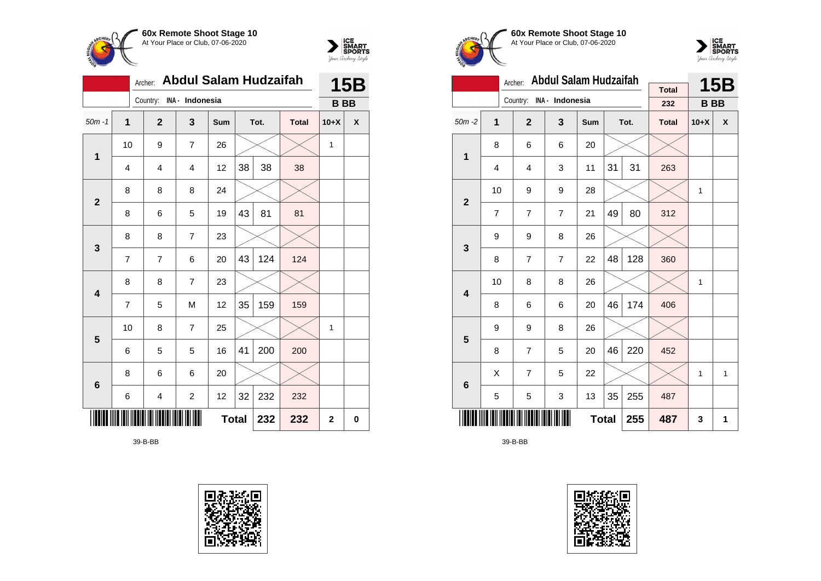



|           |                               |  | Archer:      | Abdul Salam Hudzaifah    |     |              |      |              | <b>15B</b> |   |
|-----------|-------------------------------|--|--------------|--------------------------|-----|--------------|------|--------------|------------|---|
|           |                               |  |              | Country: INA - Indonesia |     |              |      |              | <b>BB</b>  |   |
| $50m - 1$ | $\overline{1}$                |  | $\mathbf{2}$ | 3                        | Sum |              | Tot. | <b>Total</b> | $10+X$     | χ |
| 1         | 10                            |  | 9            | $\overline{7}$           | 26  |              |      |              | 1          |   |
|           | 4                             |  | 4            | $\overline{4}$           | 12  | 38           | 38   | 38           |            |   |
|           | 8                             |  | 8            | 8                        | 24  |              |      |              |            |   |
|           | $\overline{2}$<br>8<br>6<br>5 |  |              |                          |     | 43           | 81   | 81           |            |   |
| 3         | 8                             |  | 8            | $\overline{7}$           | 23  |              |      |              |            |   |
|           | $\overline{7}$                |  | 7            | 6                        | 20  | 43           | 124  | 124          |            |   |
| 4         | 8                             |  | 8            | $\overline{7}$           | 23  |              |      |              |            |   |
|           | $\overline{7}$                |  | 5            | M                        | 12  | 35           | 159  | 159          |            |   |
| 5         | 10                            |  | 8            | $\overline{7}$           | 25  |              |      |              | 1          |   |
|           | 6                             |  | 5            | 5                        | 16  | 41           | 200  | 200          |            |   |
| 6         | 8                             |  | 6            | 6                        | 20  |              |      |              |            |   |
|           | $\overline{c}$<br>6<br>4      |  |              |                          |     | 32           | 232  | 232          |            |   |
|           |                               |  |              |                          |     | <b>Total</b> | 232  | 232          | 2          | 0 |





**60x Remote Shoot Stage 10** At Your Place or Club, 07-06-2020



|                         |                     | Archer:        | <b>Abdul Salam Hudzaifah</b> |     |    | <b>15B</b> |                     |                |   |
|-------------------------|---------------------|----------------|------------------------------|-----|----|------------|---------------------|----------------|---|
|                         |                     |                | Country: INA - Indonesia     |     |    |            | <b>Total</b><br>232 | <b>BB</b>      |   |
|                         |                     |                |                              |     |    |            |                     |                |   |
| $50m - 2$               | 1                   | $\overline{2}$ | 3                            | Sum |    | Tot.       | <b>Total</b>        | $10+X$         | X |
| 1                       | 8                   | 6              | 6                            | 20  |    |            |                     |                |   |
|                         | 4                   | 4              | 3                            | 11  | 31 | 31         | 263                 |                |   |
| $\overline{2}$          | 10                  | 9              | 9                            | 28  |    |            |                     | 1              |   |
|                         | 7                   | $\overline{7}$ | $\overline{7}$               | 21  | 49 | 80         | 312                 |                |   |
| 3                       | 9                   | 9              | 8                            | 26  |    |            |                     |                |   |
|                         | 8                   | $\overline{7}$ | $\overline{7}$               | 22  | 48 | 128        | 360                 |                |   |
| $\overline{\mathbf{4}}$ | 10                  | 8              | 8                            | 26  |    |            |                     | 1              |   |
|                         | 8                   | 6              | 6                            | 20  | 46 | 174        | 406                 |                |   |
| 5                       | 9                   | 9              | 8                            | 26  |    |            |                     |                |   |
|                         | 8                   | 7              | 5                            | 20  | 46 | 220        | 452                 |                |   |
| 6                       | Χ                   | 7              | 5                            | 22  |    |            |                     | $\overline{1}$ | 1 |
|                         | 5                   | 5              | 3                            | 13  | 35 | 255        | 487                 |                |   |
|                         | <b>Total</b><br>255 |                |                              |     |    |            | 487                 | 3              | 1 |

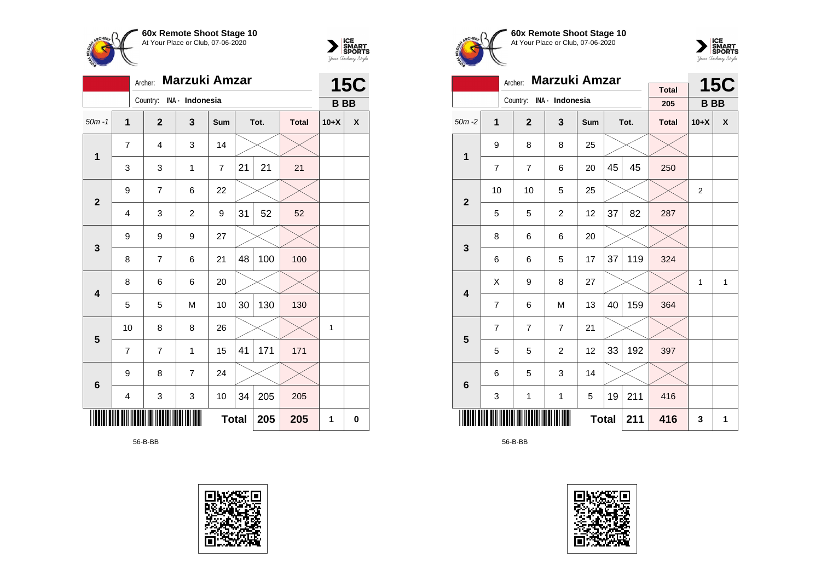



|                | Marzuki Amzar<br>Archer:    |  |                |                 |                |              |      |              |           | <b>15C</b> |  |
|----------------|-----------------------------|--|----------------|-----------------|----------------|--------------|------|--------------|-----------|------------|--|
|                |                             |  | Country:       | INA - Indonesia |                |              |      |              | <b>BB</b> |            |  |
| $50m - 1$      | $\mathbf 1$                 |  | $\mathbf{2}$   | 3               | Sum            |              | Tot. | <b>Total</b> | $10+X$    | X          |  |
| $\mathbf 1$    | $\overline{7}$              |  | 4              | 3               | 14             |              |      |              |           |            |  |
|                | 3                           |  | 3              | 1               | $\overline{7}$ | 21           | 21   | 21           |           |            |  |
|                | 9                           |  | $\overline{7}$ | 6               | 22             |              |      |              |           |            |  |
|                | $\mathbf{2}$<br>4<br>3<br>2 |  |                |                 |                | 31           | 52   | 52           |           |            |  |
| 3              | 9                           |  | 9              | 9               | 27             |              |      |              |           |            |  |
|                | 8                           |  | 7              | 6               | 21             | 48           | 100  | 100          |           |            |  |
| 4              | 8                           |  | 6              | 6               | 20             |              |      |              |           |            |  |
|                | 5                           |  | 5              | M               | 10             | 30           | 130  | 130          |           |            |  |
| 5              | 10                          |  | 8              | 8               | 26             |              |      |              | 1         |            |  |
|                | $\overline{7}$              |  | $\overline{7}$ | 1               | 15             | 41           | 171  | 171          |           |            |  |
| $6\phantom{1}$ | 9                           |  | 8              | $\overline{7}$  | 24             |              |      |              |           |            |  |
|                | 3<br>4<br>3                 |  |                |                 |                | 34           | 205  | 205          |           |            |  |
|                |                             |  |                |                 |                | <b>Total</b> | 205  | 205          | 1         | 0          |  |







|              |                                            | <b>Marzuki Amzar</b><br>Archer: |                |     |    | <b>15C</b> |              |                |              |
|--------------|--------------------------------------------|---------------------------------|----------------|-----|----|------------|--------------|----------------|--------------|
|              |                                            | Country: INA - Indonesia        |                |     |    |            | <b>Total</b> |                |              |
|              |                                            |                                 |                |     |    |            | 205          | <b>BB</b>      |              |
| $50m - 2$    | 1                                          | $\overline{2}$                  | 3              | Sum |    | Tot.       | <b>Total</b> | $10+X$         | X            |
| 1            | 9                                          | 8                               | 8              | 25  |    |            |              |                |              |
|              | $\overline{7}$                             | $\overline{7}$                  | 6              | 20  | 45 | 45         | 250          |                |              |
| $\mathbf{2}$ | 10                                         | 10                              | 5              | 25  |    |            |              | $\overline{2}$ |              |
|              | 37<br>82<br>$\overline{2}$<br>12<br>5<br>5 |                                 |                |     |    |            | 287          |                |              |
| 3            | 8                                          | 6                               | 6              | 20  |    |            |              |                |              |
|              | 6                                          | 6                               | 5              | 17  | 37 | 119        | 324          |                |              |
| 4            | X                                          | 9                               | 8              | 27  |    |            |              | $\mathbf{1}$   | $\mathbf{1}$ |
|              | $\overline{7}$                             | 6                               | M              | 13  | 40 | 159        | 364          |                |              |
| 5            | $\overline{7}$                             | $\overline{7}$                  | $\overline{7}$ | 21  |    |            |              |                |              |
|              | 5                                          | 5                               | $\overline{c}$ | 12  | 33 | 192        | 397          |                |              |
| 6            | 6                                          | 5                               | 3              | 14  |    |            |              |                |              |
|              | 3                                          | 1                               | 1              | 5   | 19 | 211        | 416          |                |              |
|              | <b>Total</b>                               |                                 |                |     |    |            | 416          | 3              | 1            |

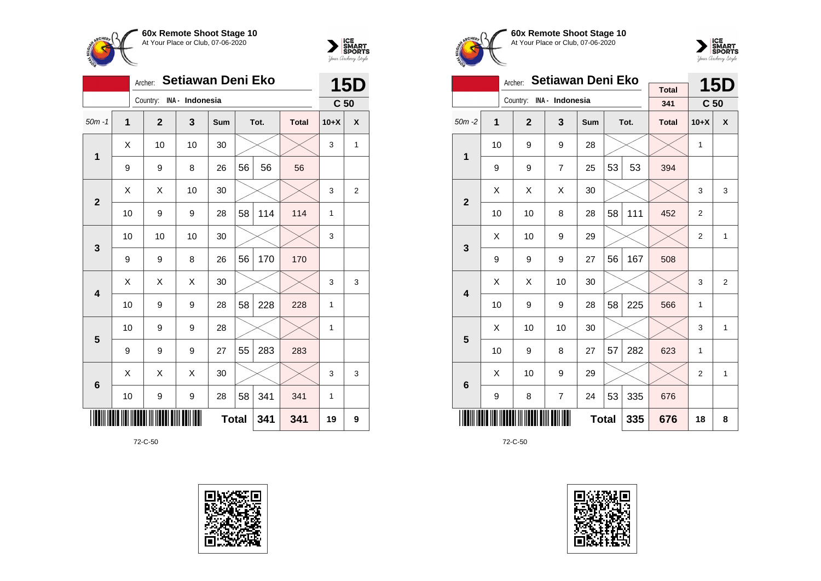



|                | Setiawan Deni Eko<br>Archer: |                |                 |     |              |      |              |                 |                |
|----------------|------------------------------|----------------|-----------------|-----|--------------|------|--------------|-----------------|----------------|
|                |                              | Country:       | INA - Indonesia |     |              |      |              | C <sub>50</sub> |                |
| $50m - 1$      | $\overline{1}$               | $\overline{2}$ | 3               | Sum |              | Tot. | <b>Total</b> | $10+X$          | X              |
| 1              | Χ                            | 10             | 10              | 30  |              |      |              | 3               | 1              |
|                | 9                            | 9              | 8               | 26  | 56           | 56   | 56           |                 |                |
| $\overline{2}$ | Χ                            | X              | 10              | 30  |              |      |              | 3               | $\overline{2}$ |
|                | 10                           | 9              | 9               | 28  | 58           | 114  | 114          | 1               |                |
| 3              | 10                           | 10             | 10              | 30  |              |      |              | 3               |                |
|                | 9                            | 9              | 8               | 26  | 56           | 170  | 170          |                 |                |
| 4              | Χ                            | X              | X               | 30  |              |      |              | 3               | 3              |
|                | 10                           | 9              | 9               | 28  | 58           | 228  | 228          | 1               |                |
| 5              | 10                           | 9              | 9               | 28  |              |      |              | 1               |                |
|                | 9                            | 9              | 9               | 27  | 55           | 283  | 283          |                 |                |
| 6              | X                            | X              | Χ               | 30  |              |      |              | 3               | 3              |
|                | 10                           | 9              | 9               | 28  | 58           | 341  | 341          | 1               |                |
|                |                              |                |                 |     | <b>Total</b> | 341  | 341          | 19              | 9              |







|                         |    | Archer:        | Setiawan Deni Eko |     |    | <b>15D</b> |                     |                 |                |
|-------------------------|----|----------------|-------------------|-----|----|------------|---------------------|-----------------|----------------|
|                         |    | Country:       | INA - Indonesia   |     |    |            | <b>Total</b><br>341 | C <sub>50</sub> |                |
|                         |    |                |                   |     |    |            |                     |                 |                |
| $50m - 2$               | 1  | $\overline{2}$ | 3                 | Sum |    | Tot.       | <b>Total</b>        | $10+X$          | X              |
| 1                       | 10 | 9              | 9                 | 28  |    |            |                     | $\mathbf{1}$    |                |
|                         | 9  | 9              | $\overline{7}$    | 25  | 53 | 53         | 394                 |                 |                |
| $\overline{2}$          | Χ  | X              | X                 | 30  |    |            |                     | 3               | 3              |
|                         | 10 | 10             | 8                 | 28  | 58 | 111        | 452                 | 2               |                |
| 3                       | X  | 10             | 9                 | 29  |    |            |                     | $\overline{2}$  | 1              |
|                         | 9  | 9              | 9                 | 27  | 56 | 167        | 508                 |                 |                |
| $\overline{\mathbf{4}}$ | Χ  | X              | 10                | 30  |    |            |                     | 3               | $\overline{2}$ |
|                         | 10 | 9              | 9                 | 28  | 58 | 225        | 566                 | $\mathbf{1}$    |                |
| 5                       | Χ  | 10             | 10                | 30  |    |            |                     | 3               | 1              |
|                         | 10 | 9              | 8                 | 27  | 57 | 282        | 623                 | $\mathbf{1}$    |                |
| 6                       | X  | 10             | 9                 | 29  |    |            |                     | $\overline{2}$  | 1              |
|                         | 9  | 8              | $\overline{7}$    | 24  | 53 | 335        | 676                 |                 |                |
|                         |    |                | 335               | 676 | 18 | 8          |                     |                 |                |

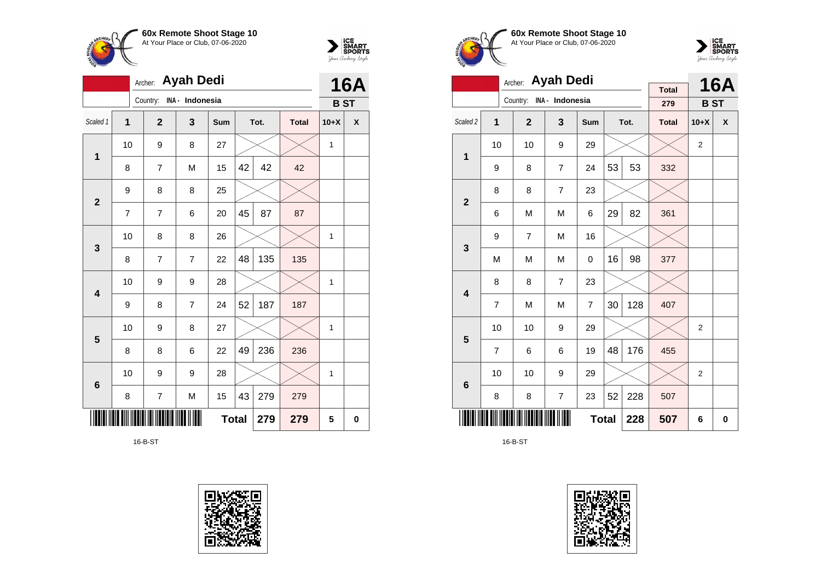



|             | <b>Ayah Dedi</b><br>Archer: |                |                 |              |    |      |              |            |            |
|-------------|-----------------------------|----------------|-----------------|--------------|----|------|--------------|------------|------------|
|             |                             | Country:       | INA - Indonesia |              |    |      |              | <b>BST</b> | <b>16A</b> |
| Scaled 1    | $\mathbf{1}$                | $\overline{2}$ | 3               | Sum          |    | Tot. | <b>Total</b> | $10+X$     | X          |
| $\mathbf 1$ | 10                          | 9              | 8               | 27           |    |      |              | 1          |            |
|             | 8                           | 7              | M               | 15           | 42 | 42   | 42           |            |            |
| $\mathbf 2$ | 9                           | 8              | 8               | 25           |    |      |              |            |            |
|             | 7                           | $\overline{7}$ | 6               | 20           | 45 | 87   | 87           |            |            |
| 3           | 10                          | 8              | 8               | 26           |    |      |              | 1          |            |
|             | 8                           | $\overline{7}$ | $\overline{7}$  | 22           | 48 | 135  | 135          |            |            |
| 4           | 10                          | 9              | 9               | 28           |    |      |              | 1          |            |
|             | 9                           | 8              | $\overline{7}$  | 24           | 52 | 187  | 187          |            |            |
| 5           | 10                          | 9              | 8               | 27           |    |      |              | 1          |            |
|             | 8                           | 8              | 6               | 22           | 49 | 236  | 236          |            |            |
| 6           | 10                          | 9              | 9               | 28           |    |      |              | 1          |            |
|             | 8                           | 7              | M               | 15           | 43 | 279  | 279          |            |            |
|             |                             |                |                 | <b>Total</b> |    | 279  | 279          | 5          | 0          |

16-B-ST







|                                       |                     | <b>Ayah Dedi</b><br>Archer: |                 |                |    | <b>16A</b> |                     |                |                    |
|---------------------------------------|---------------------|-----------------------------|-----------------|----------------|----|------------|---------------------|----------------|--------------------|
|                                       |                     | Country:                    | INA - Indonesia |                |    |            | <b>Total</b><br>279 | <b>BST</b>     |                    |
| Scaled <sub>2</sub>                   | 1                   | $\overline{2}$              | 3               | Sum            |    | Tot.       | <b>Total</b>        | $10+X$         | $\pmb{\mathsf{X}}$ |
| 1                                     | 10                  | 10                          | 9               | 29             |    |            |                     | $\overline{2}$ |                    |
|                                       | 9                   | 8                           | $\overline{7}$  | 24             | 53 | 53         | 332                 |                |                    |
| $\overline{\mathbf{2}}$               | 8                   |                             |                 |                |    |            |                     |                |                    |
|                                       | 6                   | M                           | 82              | 361            |    |            |                     |                |                    |
| 3                                     | 9                   | $\overline{7}$              | M               | 16             |    |            |                     |                |                    |
|                                       | M                   | M                           | M               | 0              | 16 | 98         | 377                 |                |                    |
| $\overline{\mathbf{4}}$               | 8                   | 8                           | $\overline{7}$  | 23             |    |            |                     |                |                    |
|                                       | $\overline{7}$      | M                           | M               | $\overline{7}$ | 30 | 128        | 407                 |                |                    |
| 5                                     | 10                  | 10                          | 9               | 29             |    |            |                     | $\overline{c}$ |                    |
|                                       | $\overline{7}$      | 6                           | 6               | 19             | 48 | 176        | 455                 |                |                    |
| 10<br>10<br>9<br>29<br>$6\phantom{a}$ |                     |                             |                 |                |    |            |                     | $\overline{2}$ |                    |
|                                       | 8                   | 228                         | 507             |                |    |            |                     |                |                    |
|                                       | <b>Total</b><br>228 |                             |                 |                |    |            |                     | 6              | 0                  |

16-B-ST

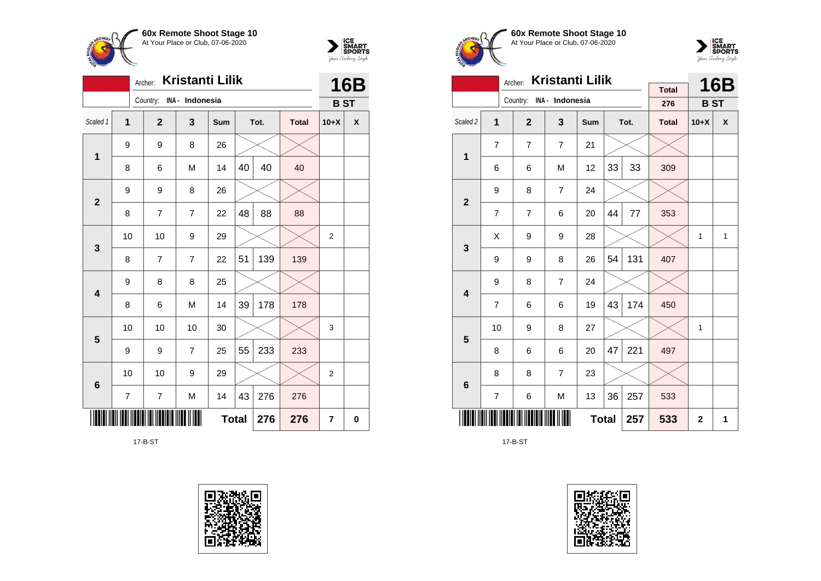



| <b>Kristanti Lilik</b><br>Archer: |                            |                                                          |                |     |    |      |              |                | 16B |  |
|-----------------------------------|----------------------------|----------------------------------------------------------|----------------|-----|----|------|--------------|----------------|-----|--|
|                                   |                            | Country: INA - Indonesia                                 |                |     |    |      |              | <b>BST</b>     |     |  |
| Scaled 1                          | $\overline{1}$             | $\overline{2}$                                           | 3              | Sum |    | Tot. | <b>Total</b> | $10+X$         | X   |  |
| 1                                 | 9                          | 9                                                        | 8              | 26  |    |      |              |                |     |  |
|                                   | 8                          | 6                                                        | M              | 14  | 40 | 40   | 40           |                |     |  |
| $\overline{2}$                    | 9                          | 9                                                        | 8              | 26  |    |      |              |                |     |  |
|                                   | 8                          | 48<br>88<br>88<br>$\overline{7}$<br>$\overline{7}$<br>22 |                |     |    |      |              |                |     |  |
| 3                                 | 10                         | 10                                                       | 9              | 29  |    |      |              | $\overline{2}$ |     |  |
|                                   | 8                          | 7                                                        | $\overline{7}$ | 22  | 51 | 139  | 139          |                |     |  |
| 4                                 | 9                          | 8                                                        | 8              | 25  |    |      |              |                |     |  |
|                                   | 8                          | 6                                                        | M              | 14  | 39 | 178  | 178          |                |     |  |
| 5                                 | 10                         | 10                                                       | 10             | 30  |    |      |              | 3              |     |  |
|                                   | 9                          | 9                                                        | $\overline{7}$ | 25  | 55 | 233  | 233          |                |     |  |
| $6\phantom{1}6$                   | 10                         | 10                                                       | 9              | 29  |    |      |              | $\overline{2}$ |     |  |
|                                   | 7                          | 7                                                        | M              | 14  | 43 | 276  | 276          |                |     |  |
|                                   | <b>Total</b><br>276<br>276 |                                                          |                |     |    |      |              |                | 0   |  |

17-B-ST







|             |                                                                           | <b>Kristanti Lilik</b><br>Archer: |                |     |              | <b>16B</b> |                     |              |   |
|-------------|---------------------------------------------------------------------------|-----------------------------------|----------------|-----|--------------|------------|---------------------|--------------|---|
|             |                                                                           | Country: INA - Indonesia          |                |     |              |            | <b>Total</b><br>276 | <b>BST</b>   |   |
| Scaled 2    | 1                                                                         | $\overline{2}$                    | 3              | Sum |              | Tot.       | <b>Total</b>        | $10+X$       | X |
| $\mathbf 1$ | $\overline{7}$                                                            | $\overline{7}$                    | $\overline{7}$ | 21  |              |            |                     |              |   |
|             | 6                                                                         | 6                                 | M              | 12  | 33           | 33         | 309                 |              |   |
|             | 9                                                                         | 8                                 | $\overline{7}$ | 24  |              |            |                     |              |   |
|             | $\overline{2}$<br>44<br>77<br>$\overline{7}$<br>$\overline{7}$<br>6<br>20 |                                   |                |     |              |            |                     |              |   |
| 3           | X                                                                         | 9                                 | 9              | 28  |              |            |                     | $\mathbf{1}$ | 1 |
|             | 9                                                                         | 9                                 | 8              | 26  | 54           | 131        | 407                 |              |   |
| 4           | 9                                                                         | 8                                 | $\overline{7}$ | 24  |              |            |                     |              |   |
|             | $\overline{7}$                                                            | 6                                 | 6              | 19  | 43           | 174        | 450                 |              |   |
| 5           | 10                                                                        | 9                                 | 8              | 27  |              |            |                     | 1            |   |
|             | 8                                                                         | 6                                 | 6              | 20  | 47           | 221        | 497                 |              |   |
| 6           | 8                                                                         | 8                                 | $\overline{7}$ | 23  |              |            |                     |              |   |
|             | 36<br>257<br>$\overline{7}$<br>M<br>13<br>6                               |                                   |                |     |              |            |                     |              |   |
|             |                                                                           |                                   | 257            | 533 | $\mathbf{2}$ | 1          |                     |              |   |

17-B-ST

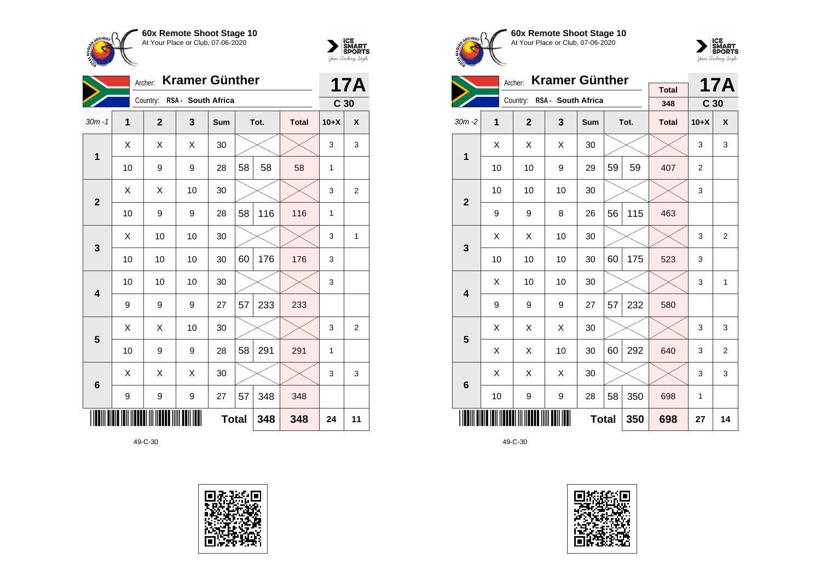



|                         | Archer:                    |                             |                  | <b>17A</b> |    |      |              |                 |              |
|-------------------------|----------------------------|-----------------------------|------------------|------------|----|------|--------------|-----------------|--------------|
|                         |                            | Country: RSA - South Africa |                  |            |    |      |              | C <sub>30</sub> |              |
| $30m - 1$               | 1                          | $\overline{2}$              | 3                | Sum        |    | Tot. | <b>Total</b> | $10+X$          | X            |
| 1                       | X                          | X                           | X                | 30         |    |      |              | 3               | 3            |
|                         | 10                         | 9                           | 9                | 28         | 58 | 58   | 58           | 1               |              |
| $\mathbf{2}$            | X                          | X                           | 10               | 30         |    |      |              | 3               | 2            |
|                         | 10                         | 9                           | 9                | 28         | 58 | 116  | 116          | 1               |              |
| 3                       | X                          | 10                          | 10               | 30         |    |      |              | 3               | $\mathbf{1}$ |
|                         | 10                         | 10                          | 10               | 30         | 60 | 176  | 176          | 3               |              |
| $\overline{\mathbf{4}}$ | 10                         | 10                          | 10               | 30         |    |      |              | 3               |              |
|                         | 9                          | 9                           | 9                | 27         | 57 | 233  | 233          |                 |              |
| 5                       | Χ                          | Χ                           | 10               | 30         |    |      |              | 3               | 2            |
|                         | 10                         | 9                           | 9                | 28         | 58 | 291  | 291          | 1               |              |
| $6\phantom{1}6$         | X                          | X                           | X                | 30         |    |      |              | 3               | 3            |
|                         | 9                          | 9                           | $\boldsymbol{9}$ | 27         | 57 | 348  | 348          |                 |              |
|                         | <b>Total</b><br>348<br>348 |                             |                  |            |    |      |              |                 | 11           |







|                         |    | <b>Kramer Günther</b><br>Archer: |     |     |    | <b>17A</b> |              |                 |                |
|-------------------------|----|----------------------------------|-----|-----|----|------------|--------------|-----------------|----------------|
|                         |    | Country: RSA - South Africa      |     |     |    |            | <b>Total</b> |                 |                |
|                         |    |                                  |     |     |    |            | 348          | C <sub>30</sub> |                |
| $30m - 2$               | 1  | $\overline{2}$                   | 3   | Sum |    | Tot.       | <b>Total</b> | $10+X$          | X              |
| 1                       | X  | X                                | X   | 30  |    |            |              | 3               | 3              |
|                         | 10 | 10                               | 9   | 29  | 59 | 59         | 407          | $\overline{2}$  |                |
| $\overline{2}$          | 10 | 10                               | 10  | 30  |    |            |              | 3               |                |
|                         | 9  | 9                                | 8   | 26  | 56 | 115        | 463          |                 |                |
| 3                       | X  | X                                | 10  | 30  |    |            |              | 3               | $\overline{2}$ |
|                         | 10 | 10                               | 10  | 30  | 60 | 175        | 523          | 3               |                |
| $\overline{\mathbf{4}}$ | Χ  | 10                               | 10  | 30  |    |            |              | 3               | $\mathbf{1}$   |
|                         | 9  | 9                                | 9   | 27  | 57 | 232        | 580          |                 |                |
| 5                       | X  | X                                | X   | 30  |    |            |              | 3               | 3              |
|                         | Χ  | Χ                                | 10  | 30  | 60 | 292        | 640          | 3               | $\overline{2}$ |
| 6                       | X  | X                                | X   | 30  |    |            |              | 3               | 3              |
|                         | 10 | 9                                | 9   | 28  | 58 | 350        | 698          | 1               |                |
|                         |    |                                  | 698 | 27  | 14 |            |              |                 |                |

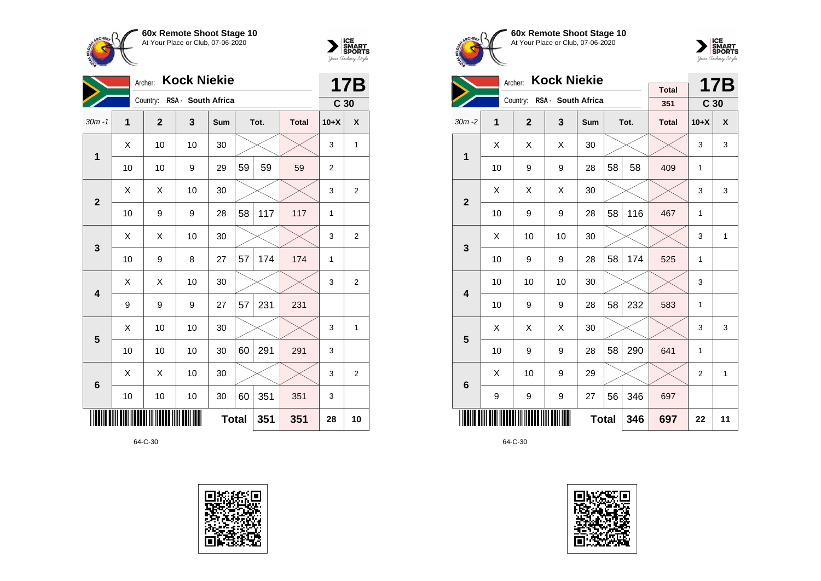



|                 | <b>Kock Niekie</b><br>Archer: |                |                    |              |    |      |              |                 |                |
|-----------------|-------------------------------|----------------|--------------------|--------------|----|------|--------------|-----------------|----------------|
|                 |                               | Country:       | RSA - South Africa |              |    |      |              | C <sub>30</sub> |                |
| $30m - 1$       | 1                             | $\overline{2}$ | 3                  | Sum          |    | Tot. | <b>Total</b> | $10+X$          | X              |
| 1               | Χ                             | 10             | 10                 | 30           |    |      |              | 3               | 1              |
|                 | 10                            | 10             | 9                  | 29           | 59 | 59   | 59           | $\overline{2}$  |                |
| $\overline{2}$  | X                             | X              | 10                 | 30           |    |      |              | 3               | $\overline{2}$ |
|                 | 10                            | 9              | 9                  | 28           | 58 | 117  | 117          | 1               |                |
| 3               | X                             | X              | 10                 | 30           |    |      |              | 3               | $\overline{2}$ |
|                 | 10                            | 9              | 8                  | 27           | 57 | 174  | 174          | 1               |                |
| 4               | X                             | X              | 10                 | 30           |    |      |              | 3               | $\overline{2}$ |
|                 | 9                             | 9              | 9                  | 27           | 57 | 231  | 231          |                 |                |
| 5               | X                             | 10             | 10                 | 30           |    |      |              | 3               | 1              |
|                 | 10                            | 10             | 10                 | 30           | 60 | 291  | 291          | 3               |                |
| $6\phantom{1}6$ | X                             | X              | 10                 | 30           |    |      |              | 3               | $\overline{2}$ |
|                 | 10                            | 10             | 10                 | 30           | 60 | 351  | 351          | 3               |                |
|                 |                               |                |                    | <b>Total</b> |    | 351  | 351          | 28              | 10             |







|                |    | <b>Kock Niekie</b><br>Archer: |    |              |    | <b>17B</b> |                     |                 |              |
|----------------|----|-------------------------------|----|--------------|----|------------|---------------------|-----------------|--------------|
|                |    | Country: RSA - South Africa   |    |              |    |            | <b>Total</b><br>351 | C <sub>30</sub> |              |
|                |    |                               |    |              |    |            |                     |                 |              |
| $30m - 2$      | 1  | $\overline{2}$                | 3  | Sum          |    | Tot.       | <b>Total</b>        | $10+X$          | X            |
| 1              | Χ  | X                             | X  | 30           |    |            |                     | 3               | 3            |
|                | 10 | 9                             | 9  | 28           | 58 | 58         | 409                 | $\mathbf{1}$    |              |
| $\overline{2}$ | X  | X                             | X  | 30           |    |            |                     | 3               | 3            |
|                | 10 | 9                             | 9  | 28           | 58 | 116        | 467                 | 1               |              |
| 3              | X  | 10                            | 10 | 30           |    |            |                     | 3               | 1            |
|                | 10 | 9                             | 9  | 28           | 58 | 174        | 525                 | 1               |              |
| 4              | 10 | 10                            | 10 | 30           |    |            |                     | 3               |              |
|                | 10 | 9                             | 9  | 28           | 58 | 232        | 583                 | 1               |              |
| 5              | X  | X                             | X  | 30           |    |            |                     | 3               | 3            |
|                | 10 | 9                             | 9  | 28           | 58 | 290        | 641                 | 1               |              |
| 6              | X  | 10                            | 9  | 29           |    |            |                     | $\overline{2}$  | $\mathbf{1}$ |
|                | 9  | 9                             | 9  | 27           | 56 | 346        | 697                 |                 |              |
|                |    |                               |    | <b>Total</b> |    | 346        | 697                 | 22              | 11           |

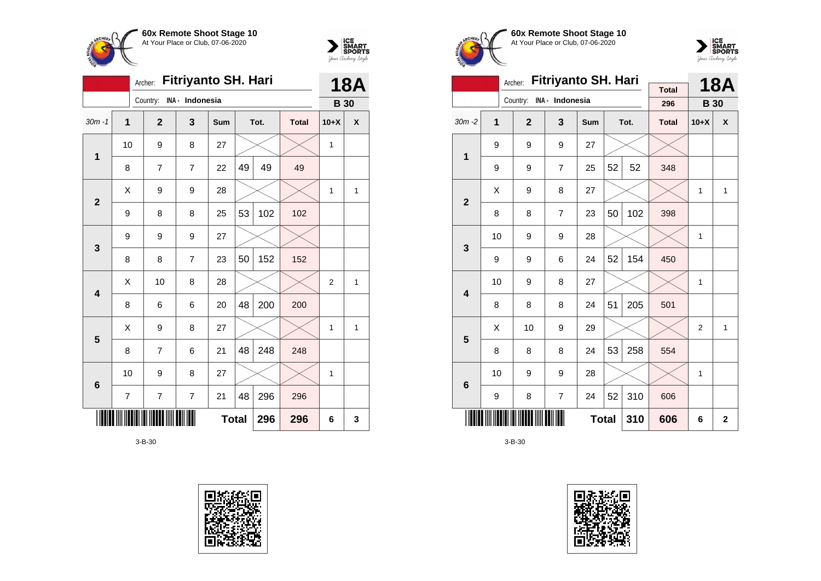



|              |                                       | <b>18A</b>     |                 |              |    |      |              |                |   |
|--------------|---------------------------------------|----------------|-----------------|--------------|----|------|--------------|----------------|---|
|              |                                       | Country:       | INA - Indonesia |              |    |      |              | <b>B</b> 30    |   |
| $30m - 1$    | 1                                     | $\overline{2}$ | 3               | Sum          |    | Tot. | <b>Total</b> | $10+X$         | X |
| 1            | 10                                    | 9              | 8               | 27           |    |      |              | $\mathbf{1}$   |   |
|              | 8                                     | $\overline{7}$ | $\overline{7}$  | 22           | 49 | 49   | 49           |                |   |
| $\mathbf{2}$ | X                                     | 9              | 9               | 28           |    |      |              | $\mathbf{1}$   | 1 |
|              | 53<br>102<br>102<br>9<br>8<br>8<br>25 |                |                 |              |    |      |              |                |   |
| 3            | 9                                     | 9              | 9               | 27           |    |      |              |                |   |
|              | 8                                     | 8              | $\overline{7}$  | 23           | 50 | 152  | 152          |                |   |
| 4            | Χ                                     | 10             | 8               | 28           |    |      |              | $\overline{2}$ | 1 |
|              | 8                                     | 6              | 6               | 20           | 48 | 200  | 200          |                |   |
| 5            | X                                     | 9              | 8               | 27           |    |      |              | $\mathbf{1}$   | 1 |
|              | 8                                     | 7              | 6               | 21           | 48 | 248  | 248          |                |   |
| 6            | 10                                    | 9              | 8               | 27           |    |      |              | 1              |   |
|              | 7                                     | 7              | 7               | 21           | 48 | 296  | 296          |                |   |
|              |                                       |                |                 | <b>Total</b> |    | 296  | 296          | 6              | 3 |







|                         |    | Archer:        | <b>Fitriyanto SH. Hari</b> |              |    | <b>18A</b> |                     |                |                |
|-------------------------|----|----------------|----------------------------|--------------|----|------------|---------------------|----------------|----------------|
|                         |    | Country:       | INA - Indonesia            |              |    |            | <b>Total</b><br>296 | <b>B</b> 30    |                |
| $30m - 2$               | 1  | $\overline{2}$ | 3                          | <b>Sum</b>   |    | Tot.       | <b>Total</b>        | $10+X$         | X              |
| 1                       | 9  | 9              | 9                          | 27           |    |            |                     |                |                |
|                         | 9  | 9              | $\overline{7}$             | 25           | 52 | 52         | 348                 |                |                |
| $\overline{2}$          | Χ  | 9              |                            |              | 1  | 1          |                     |                |                |
|                         | 8  | 8              | $\overline{7}$             | 23           | 50 | 102        | 398                 |                |                |
| 3                       | 10 | 9              | 9                          | 28           |    |            |                     | 1              |                |
|                         | 9  | 9              | 6                          | 24           | 52 | 154        | 450                 |                |                |
|                         | 10 | 9              | 8                          | 27           |    |            |                     | 1              |                |
| $\overline{\mathbf{4}}$ | 8  | 8              | 8                          | 24           | 51 | 205        | 501                 |                |                |
| 5                       | Χ  | 10             | 9                          | 29           |    |            |                     | $\overline{2}$ | $\mathbf{1}$   |
|                         | 8  | 8              | 8                          | 24           | 53 | 258        | 554                 |                |                |
| $6\phantom{1}6$         | 10 | 9              | 9                          | 28           |    |            |                     | 1              |                |
|                         | 9  | 8              | 310                        | 606          |    |            |                     |                |                |
|                         |    |                |                            | <b>Total</b> |    | 310        | 606                 | 6              | $\overline{2}$ |

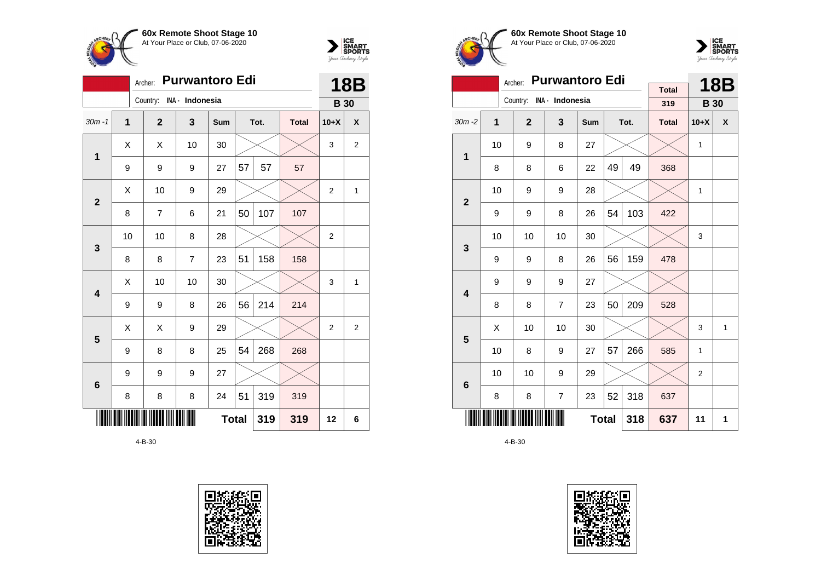



|                         | <b>Purwantoro Edi</b><br>Archer: |                          |                |     |              |      |              |                |                         |
|-------------------------|----------------------------------|--------------------------|----------------|-----|--------------|------|--------------|----------------|-------------------------|
|                         |                                  | Country: INA - Indonesia |                |     |              |      |              | <b>B</b> 30    |                         |
| $30m - 1$               | 1                                | $\mathbf{2}$             | 3              | Sum |              | Tot. | <b>Total</b> | $10+X$         | $\pmb{\mathsf{X}}$      |
| $\mathbf{1}$            | Χ                                | X                        | 10             | 30  |              |      |              | 3              | $\overline{\mathbf{c}}$ |
|                         | 9                                | 9                        | 9              | 27  | 57           | 57   | 57           |                |                         |
| $\mathbf{2}$            | X                                | 10                       | 9              | 29  |              |      |              | $\overline{2}$ | 1                       |
|                         | 8                                | $\overline{7}$           | 6              | 21  | 50           | 107  | 107          |                |                         |
| $\mathbf{3}$            | 10                               | 10                       | 8              | 28  |              |      |              | $\overline{2}$ |                         |
|                         | 8                                | 8                        | $\overline{7}$ | 23  | 51           | 158  | 158          |                |                         |
| $\overline{\mathbf{4}}$ | X                                | 10                       | 10             | 30  |              |      |              | 3              | 1                       |
|                         | 9                                | 9                        | 8              | 26  | 56           | 214  | 214          |                |                         |
| 5                       | Χ                                | X                        | 9              | 29  |              |      |              | $\overline{2}$ | $\overline{2}$          |
|                         | 9                                | 8                        | 8              | 25  | 54           | 268  | 268          |                |                         |
| $6\phantom{1}6$         | 9                                | 9                        | 9              | 27  |              |      |              |                |                         |
|                         | 8                                | 8                        | 8              | 24  | 51           | 319  | 319          |                |                         |
|                         |                                  |                          |                |     | <b>Total</b> | 319  | 319          | 12             | 6                       |







|                         |    | <b>Purwantoro Edi</b><br>Archer: |                 |            |     | <b>18B</b> |                     |              |   |
|-------------------------|----|----------------------------------|-----------------|------------|-----|------------|---------------------|--------------|---|
|                         |    | Country:                         | INA - Indonesia |            |     |            | <b>Total</b><br>319 | <b>B</b> 30  |   |
|                         |    |                                  |                 |            |     |            |                     |              |   |
| $30m - 2$               | 1  | $\overline{2}$                   | 3               | <b>Sum</b> |     | Tot.       | <b>Total</b>        | $10+X$       | X |
| 1                       | 10 | 9                                | 8               | 27         |     |            |                     | $\mathbf{1}$ |   |
|                         | 8  | 8                                | 6               | 22         | 49  | 49         | 368                 |              |   |
| $\overline{2}$          | 10 |                                  |                 | 1          |     |            |                     |              |   |
|                         | 9  | 9                                | 8               | 26         | 54  | 103        | 422                 |              |   |
| 3                       | 10 | 10                               | 10              | 30         |     |            |                     | 3            |   |
|                         | 9  | 9                                | 8               | 26         | 56  | 159        | 478                 |              |   |
| $\overline{\mathbf{4}}$ | 9  | 9                                | 9               | 27         |     |            |                     |              |   |
|                         | 8  | 8                                | $\overline{7}$  | 23         | 50  | 209        | 528                 |              |   |
| 5                       | X  | 10                               | 10              | 30         |     |            |                     | 3            | 1 |
|                         | 10 | 8                                | 9               | 27         | 57  | 266        | 585                 | $\mathbf{1}$ |   |
| 6                       | 10 | 10                               | 9               | 29         |     |            |                     | 2            |   |
|                         | 8  | 8                                | $\overline{7}$  | 52         | 318 | 637        |                     |              |   |
|                         |    |                                  | 318             | 637        | 11  | 1          |                     |              |   |

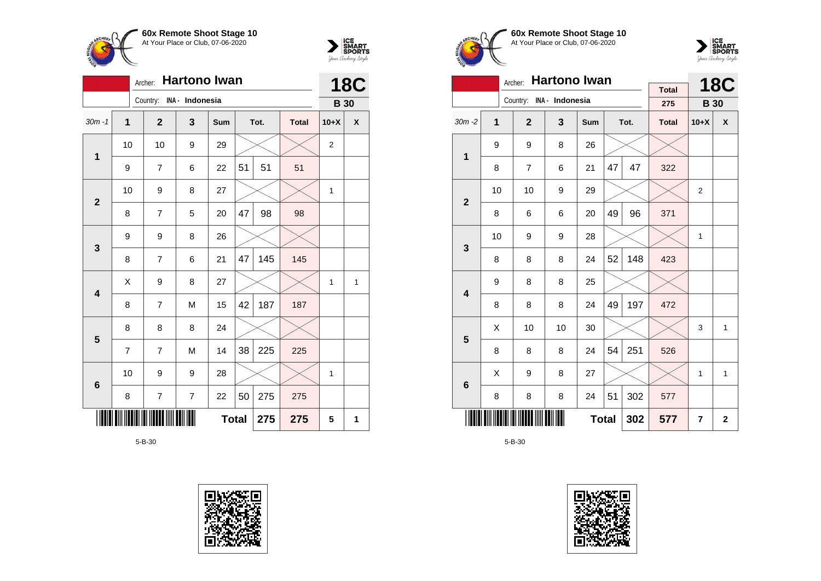



|                     |                                                              |  | <b>Hartono Iwan</b><br>Archer: |                 | <b>18C</b> |    |      |              |                |                    |
|---------------------|--------------------------------------------------------------|--|--------------------------------|-----------------|------------|----|------|--------------|----------------|--------------------|
|                     |                                                              |  | Country:                       | INA - Indonesia |            |    |      |              | <b>B</b> 30    |                    |
| $30m - 1$           | $\overline{1}$                                               |  | $\mathbf{2}$                   | 3               | Sum        |    | Tot. | <b>Total</b> | $10+X$         | $\pmb{\mathsf{x}}$ |
| $\mathbf{1}$        | 10                                                           |  | 10                             | 9               | 29         |    |      |              | $\overline{2}$ |                    |
|                     | 9                                                            |  | $\overline{7}$                 | 6               | 22         | 51 | 51   | 51           |                |                    |
| $\overline{2}$      | 10                                                           |  | 9                              | 8               | 27         |    |      |              | 1              |                    |
|                     | 8                                                            |  | 7                              | 5               | 20         | 47 | 98   | 98           |                |                    |
| $\mathbf{3}$        | 9                                                            |  | 9                              | 8               | 26         |    |      |              |                |                    |
|                     | 8                                                            |  | $\overline{7}$                 | 6               | 21         | 47 | 145  | 145          |                |                    |
| 4                   | Χ                                                            |  | 9                              | 8               | 27         |    |      |              | 1              | 1                  |
|                     | 8                                                            |  | 7                              | M               | 15         | 42 | 187  | 187          |                |                    |
| $5\phantom{1}$      | 8                                                            |  | 8                              | 8               | 24         |    |      |              |                |                    |
|                     | $\overline{7}$                                               |  | 7                              | M               | 14         | 38 | 225  | 225          |                |                    |
| $\bf 6$             | 10                                                           |  | 9                              | 9               | 28         |    |      |              | 1              |                    |
|                     | 50<br>275<br>8<br>$\overline{\mathcal{I}}$<br>22<br>275<br>7 |  |                                |                 |            |    |      |              |                |                    |
| <b>Total</b><br>275 |                                                              |  |                                |                 |            |    | 275  | 5            | 1              |                    |







|                         |                  | <b>Hartono Iwan</b><br>Archer: |    |     |    | <b>18C</b> |                     |                |                    |
|-------------------------|------------------|--------------------------------|----|-----|----|------------|---------------------|----------------|--------------------|
|                         |                  | Country: INA - Indonesia       |    |     |    |            | <b>Total</b><br>275 | <b>B</b> 30    |                    |
| $30m - 2$               | 1                | $\mathbf{2}$                   | 3  | Sum |    | Tot.       | <b>Total</b>        | $10+X$         | $\pmb{\mathsf{X}}$ |
| 1                       | 9                | 9                              | 8  | 26  |    |            |                     |                |                    |
|                         | 8                | $\overline{7}$                 | 6  | 21  | 47 | 47         | 322                 |                |                    |
| $\overline{2}$          | 10               | 10                             | 9  | 29  |    |            |                     | $\overline{2}$ |                    |
|                         | 8                | 6                              | 6  | 20  | 49 | 96         | 371                 |                |                    |
|                         | 10               | 9                              | 9  | 28  |    |            |                     | 1              |                    |
|                         | 3<br>8<br>8<br>8 |                                |    | 24  | 52 | 148        | 423                 |                |                    |
| $\overline{\mathbf{4}}$ | 9                | 8                              | 8  | 25  |    |            |                     |                |                    |
|                         | 8                | 8                              | 8  | 24  | 49 | 197        | 472                 |                |                    |
|                         | X                | 10                             | 10 | 30  |    |            |                     | 3              | 1                  |
|                         | 5<br>8<br>8<br>8 |                                |    |     | 54 | 251        | 526                 |                |                    |
|                         | X<br>9<br>8<br>6 |                                |    |     |    |            |                     | 1              | 1                  |
|                         | 8                | 8                              | 8  | 24  | 51 | 302        | 577                 |                |                    |
|                         |                  |                                |    |     |    | 302        | 577                 | 7              | $\mathbf{2}$       |

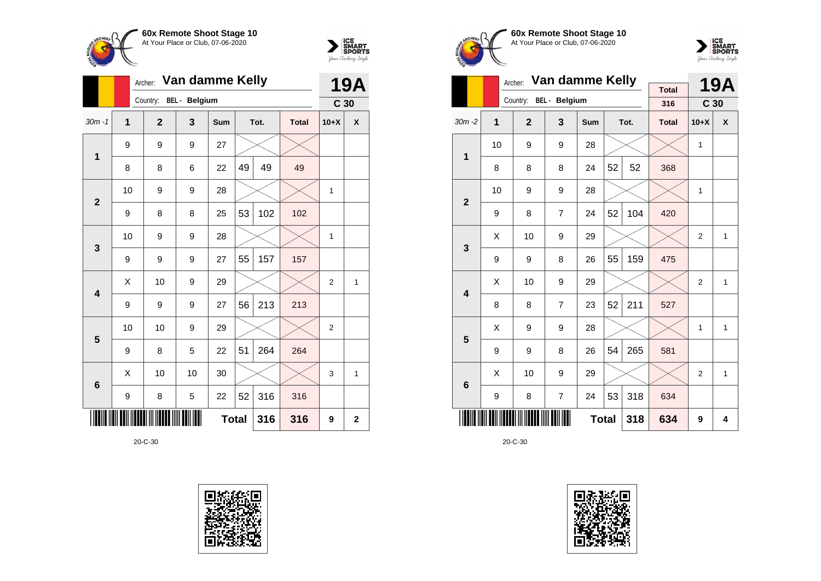



|                | Archer:        |                |               | <b>19A</b>   |    |      |              |                 |                |
|----------------|----------------|----------------|---------------|--------------|----|------|--------------|-----------------|----------------|
|                |                | Country:       | BEL - Belgium |              |    |      |              | C <sub>30</sub> |                |
| $30m - 1$      | $\overline{1}$ | $\overline{2}$ | 3             | Sum          |    | Tot. | <b>Total</b> | $10+X$          | X              |
| 1              | 9              | 9              | 9             | 27           |    |      |              |                 |                |
|                | 8              | 8              | 6             | 22           | 49 | 49   | 49           |                 |                |
| $\overline{2}$ | 10             | 9              | 9             | 28           |    |      |              | 1               |                |
|                | 9              | 8              | 8             | 25           | 53 | 102  | 102          |                 |                |
| 3              | 10             | 9              | 9             | 28           |    |      |              | 1               |                |
|                | 9              | 9              | 9             | 27           | 55 | 157  | 157          |                 |                |
| 4              | X              | 10             | 9             | 29           |    |      |              | 2               | 1              |
|                | 9              | 9              | 9             | 27           | 56 | 213  | 213          |                 |                |
| 5              | 10             | 10             | 9             | 29           |    |      |              | $\overline{2}$  |                |
|                | 9              | 8              | 5             | 22           | 51 | 264  | 264          |                 |                |
| 6              | X              | 10             | 10            | 30           |    |      |              | 3               | 1              |
|                | 9              | 8              | 5             | 22           | 52 | 316  | 316          |                 |                |
|                |                |                |               | <b>Total</b> |    | 316  | 316          | 9               | $\overline{2}$ |







|                         |    | Archer:        | Van damme Kelly        |            |     | <b>19A</b> |              |                 |   |
|-------------------------|----|----------------|------------------------|------------|-----|------------|--------------|-----------------|---|
|                         |    |                | Country: BEL - Belgium |            |     |            | <b>Total</b> |                 |   |
|                         |    |                |                        |            |     |            | 316          | C <sub>30</sub> |   |
| $30m - 2$               | 1  | $\overline{2}$ | 3                      | <b>Sum</b> |     | Tot.       | <b>Total</b> | $10+X$          | X |
| 1                       | 10 | 9              | 9                      | 28         |     |            |              | 1               |   |
|                         | 8  | 8              | 8                      | 24         | 52  | 52         | 368          |                 |   |
| $\overline{2}$          | 10 | 9              | 9                      | 28         |     |            |              | 1               |   |
|                         | 9  | 8              | $\overline{7}$         | 24         | 52  | 104        | 420          |                 |   |
| 3                       | X  | 10             | 9                      | 29         |     |            |              | $\overline{2}$  | 1 |
|                         | 9  | 9              | 8                      | 26         | 55  | 159        | 475          |                 |   |
| $\overline{\mathbf{4}}$ | Χ  | 10             | 9                      | 29         |     |            |              | $\overline{2}$  | 1 |
|                         | 8  | 8              | $\overline{7}$         | 23         | 52  | 211        | 527          |                 |   |
| 5                       | Χ  | 9              | 9                      | 28         |     |            |              | 1               | 1 |
|                         | 9  | 9              | 8                      | 26         | 54  | 265        | 581          |                 |   |
| 6                       | X  | 10             | 9                      | 29         |     |            |              | $\overline{2}$  | 1 |
|                         | 9  | $\overline{7}$ | 24                     | 53         | 318 | 634        |              |                 |   |
|                         |    |                | <b>Total</b>           |            | 318 | 634        | 9            | 4               |   |

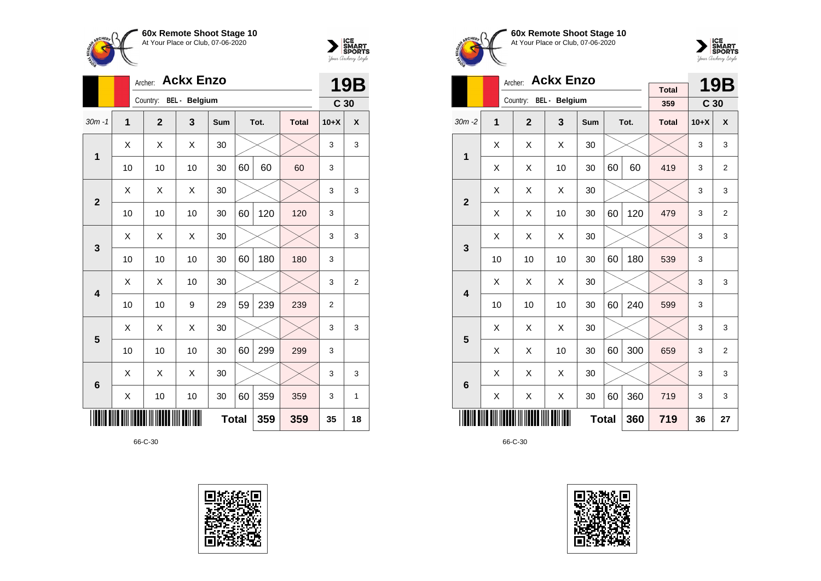



| <b>Ackx Enzo</b><br>Archer: |    |                |                      |              |     |      |              |                 | <b>19B</b>     |  |
|-----------------------------|----|----------------|----------------------|--------------|-----|------|--------------|-----------------|----------------|--|
|                             |    | Country:       | <b>BEL</b> - Belgium |              |     |      |              | C <sub>30</sub> |                |  |
| $30m - 1$                   | 1  | $\overline{2}$ | 3                    | <b>Sum</b>   |     | Tot. | <b>Total</b> | $10+X$          | X              |  |
| 1                           | X  | Χ              | X                    | 30           |     |      |              | 3               | 3              |  |
|                             | 10 | 10             | 10                   | 30           | 60  | 60   | 60           | 3               |                |  |
| $\overline{2}$              | X  | Χ              | X                    | 30           |     |      |              | 3               | 3              |  |
|                             | 10 | 10             | 10                   | 30           | 60  | 120  | 120          | 3               |                |  |
|                             | X  | X              | X                    | 30           |     |      |              | 3               | 3              |  |
| 3                           | 10 | 10             | 10                   | 30           | 60  | 180  | 180          | 3               |                |  |
|                             | Χ  | X              | 10                   | 30           |     |      |              | 3               | $\overline{2}$ |  |
| 4                           | 10 | 10             | 9                    | 29           | 59  | 239  | 239          | $\overline{2}$  |                |  |
|                             | X  | X              | X                    | 30           |     |      |              | 3               | 3              |  |
| 5                           | 10 | 10             | 10                   | 30           | 60  | 299  | 299          | 3               |                |  |
| $6\phantom{1}6$             | X  | X              | X                    | 30           |     |      |              | 3               | 3              |  |
|                             | Χ  | 10             | 30                   | 60           | 359 | 359  | 3            | 1               |                |  |
|                             |    |                |                      | <b>Total</b> |     | 359  | 359          | 35              | 18             |  |









|                         |                   | <b>Ackx Enzo</b><br>Archer: |               |              |     | <b>19B</b> |                     |                 |                |
|-------------------------|-------------------|-----------------------------|---------------|--------------|-----|------------|---------------------|-----------------|----------------|
|                         |                   | Country:                    | BEL - Belgium |              |     |            | <b>Total</b><br>359 | C <sub>30</sub> |                |
| $30m - 2$               | 1                 | $\overline{2}$              | 3             | <b>Sum</b>   |     | Tot.       | <b>Total</b>        | $10+X$          | X              |
| 1                       | X                 | X                           | X             | 30           |     |            |                     | 3               | 3              |
|                         | Χ                 | X                           | 10            | 30           | 60  | 60         | 419                 | 3               | $\overline{2}$ |
| $\overline{2}$          | X                 | X                           | X             | 30           |     |            |                     | 3               | 3              |
|                         | X                 | X                           | 10            | 30           | 60  | 120        | 479                 | 3               | $\overline{2}$ |
| 3                       | X                 | X                           | X             | 30           |     |            |                     | 3               | 3              |
|                         | 10                | 10                          | 10            | 30           | 60  | 180        | 539                 | 3               |                |
| $\overline{\mathbf{4}}$ | X                 | X                           | Χ             | 30           |     |            |                     | 3               | 3              |
|                         | 10                | 10                          | 10            | 30           | 60  | 240        | 599                 | 3               |                |
|                         | X                 | X                           | X             | 30           |     |            |                     | 3               | 3              |
|                         | 5<br>Χ<br>X<br>10 |                             |               |              | 60  | 300        | 659                 | 3               | $\overline{2}$ |
| $6\phantom{1}6$         | X                 | X                           | Χ             | 30           |     |            |                     | 3               | 3              |
|                         | X                 | X                           | 30            | 60           | 360 | 719        | 3                   | 3               |                |
|                         |                   |                             |               | <b>Total</b> |     | 360        | 719                 | 36              | 27             |

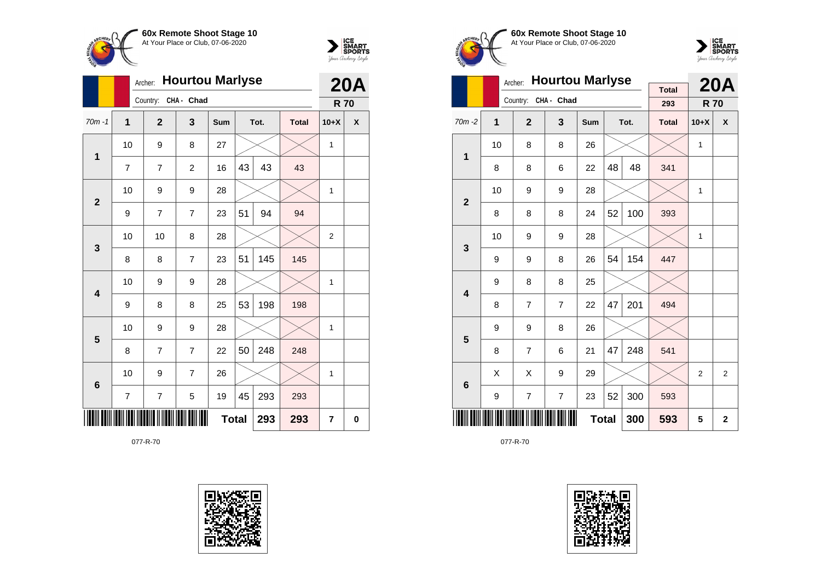



|                         |                | <b>Hourtou Marlyse</b><br>Archer: |                |     | <b>20A</b>   |      |              |                |          |
|-------------------------|----------------|-----------------------------------|----------------|-----|--------------|------|--------------|----------------|----------|
|                         |                | Country:                          | CHA - Chad     |     |              |      |              | <b>R70</b>     |          |
| $70m - 1$               | 1              | $\mathbf{2}$                      | 3              | Sum |              | Tot. | <b>Total</b> | $10+X$         | X        |
| $\mathbf 1$             | 10             | 9                                 | 8              | 27  |              |      |              | 1              |          |
|                         | $\overline{7}$ | 7                                 | $\overline{c}$ | 16  | 43           | 43   | 43           |                |          |
| $\mathbf{2}$            | 10             | 9                                 | 9              | 28  |              |      |              | 1              |          |
|                         | 9              | 7                                 | $\overline{7}$ | 23  | 51           | 94   | 94           |                |          |
| 3                       | 10             | 10                                | 8              | 28  |              |      |              | $\overline{2}$ |          |
|                         | 8              | 8                                 | 7              | 23  | 51           | 145  | 145          |                |          |
| $\overline{\mathbf{4}}$ | 10             | 9                                 | 9              | 28  |              |      |              | 1              |          |
|                         | 9              | 8                                 | 8              | 25  | 53           | 198  | 198          |                |          |
| 5                       | 10             | 9                                 | 9              | 28  |              |      |              | 1              |          |
|                         | 8              | 7                                 | $\overline{7}$ | 22  | 50           | 248  | 248          |                |          |
| $6\phantom{1}6$         | 10             | 9                                 | 7              | 26  |              |      |              | $\mathbf{1}$   |          |
|                         | $\overline{7}$ | $\overline{7}$                    | 5              | 19  | 45           | 293  | 293          |                |          |
|                         |                |                                   |                |     | <b>Total</b> | 293  | 293          | $\overline{7}$ | $\bf{0}$ |







|                         |    | <b>Hourtou Marlyse</b><br>Archer: |                |              |    | <b>20A</b> |                     |                |                    |
|-------------------------|----|-----------------------------------|----------------|--------------|----|------------|---------------------|----------------|--------------------|
|                         |    | Country:                          | CHA - Chad     |              |    |            | <b>Total</b><br>293 | <b>R70</b>     |                    |
| $70m - 2$               | 1  | $\overline{2}$                    | 3              | Sum          |    | Tot.       | <b>Total</b>        | $10+X$         | $\pmb{\mathsf{X}}$ |
| $\mathbf{1}$            | 10 | 8                                 | 8              | 26           |    |            |                     | 1              |                    |
|                         | 8  | 8                                 | 6              | 22           | 48 | 48         | 341                 |                |                    |
| $\overline{2}$          | 10 | 9                                 | 9              | 28           |    |            |                     | 1              |                    |
|                         | 8  | 8                                 | 8              | 24           | 52 | 100        | 393                 |                |                    |
| 3                       | 10 | 9                                 | 9              | 28           |    |            |                     | 1              |                    |
|                         | 9  | 9                                 | 8              | 26           | 54 | 154        | 447                 |                |                    |
| $\overline{\mathbf{4}}$ | 9  | 8                                 | 8              | 25           |    |            |                     |                |                    |
|                         | 8  | 7                                 | $\overline{7}$ | 22           | 47 | 201        | 494                 |                |                    |
| 5                       | 9  | 9                                 | 8              | 26           |    |            |                     |                |                    |
|                         | 8  | $\overline{7}$                    | 6              | 21           | 47 | 248        | 541                 |                |                    |
| 6                       | X  | X                                 | 9              | 29           |    |            |                     | $\overline{2}$ | $\overline{2}$     |
|                         | 9  | $\overline{7}$                    | $\overline{7}$ | 23           | 52 | 300        | 593                 |                |                    |
|                         |    |                                   |                | <b>Total</b> |    | 300        | 593                 | 5              | $\overline{2}$     |

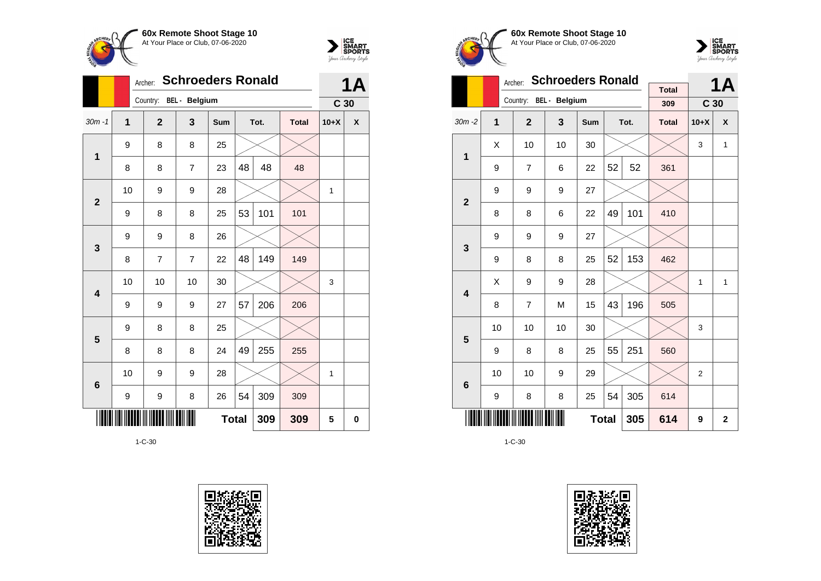



|                | Archer:        |                        |                | 1Α           |    |      |              |                 |   |
|----------------|----------------|------------------------|----------------|--------------|----|------|--------------|-----------------|---|
|                |                | Country: BEL - Belgium |                |              |    |      |              | C <sub>30</sub> |   |
| $30m - 1$      | $\overline{1}$ | $\overline{2}$         | 3              | Sum          |    | Tot. | <b>Total</b> | $10+X$          | X |
| 1              | 9              | 8                      | 8              | 25           |    |      |              |                 |   |
|                | 8              | 8                      | $\overline{7}$ | 23           | 48 | 48   | 48           |                 |   |
| $\overline{2}$ | 10             | 9                      | 9              | 28           |    |      |              | $\mathbf{1}$    |   |
|                | 9              | 8                      | 8              | 25           | 53 | 101  | 101          |                 |   |
| 3              | 9              | 9                      | 8              | 26           |    |      |              |                 |   |
|                | 8              | 7                      | $\overline{7}$ | 22           | 48 | 149  | 149          |                 |   |
| 4              | 10             | 10                     | 10             | 30           |    |      |              | 3               |   |
|                | 9              | 9                      | 9              | 27           | 57 | 206  | 206          |                 |   |
| 5              | 9              | 8                      | 8              | 25           |    |      |              |                 |   |
|                | 8              | 8                      | 8              | 24           | 49 | 255  | 255          |                 |   |
| 6              | 10             | 9                      | 9              | 28           |    |      |              | 1               |   |
|                | 9              | 9                      | 8              | 26           | 54 | 309  | 309          |                 |   |
|                |                |                        |                | <b>Total</b> |    | 309  | 309          | 5               | 0 |







|                         |    | Archer:        | <b>Schroeders Ronald</b> |     |    | <b>1A</b>   |                     |                 |              |
|-------------------------|----|----------------|--------------------------|-----|----|-------------|---------------------|-----------------|--------------|
|                         |    | Country:       | BEL - Belgium            |     |    |             | <b>Total</b><br>309 | C <sub>30</sub> |              |
| $30m - 2$               | 1  | $\overline{2}$ | 3                        | Sum |    | Tot.        | <b>Total</b>        | $10+X$          | X            |
|                         |    |                |                          |     |    |             |                     |                 |              |
| 1                       | X  | 10             | 10                       | 30  |    |             |                     | 3               | $\mathbf{1}$ |
|                         | 9  | $\overline{7}$ | 6                        | 22  | 52 | 52          | 361                 |                 |              |
| $\overline{2}$          | 9  | 9              | 9                        | 27  |    |             |                     |                 |              |
|                         | 8  | 8              | 101                      | 410 |    |             |                     |                 |              |
| 27<br>9<br>9<br>9       |    |                |                          |     |    |             |                     |                 |              |
| 3                       | 9  | 8              | 8                        | 25  | 52 | 153         | 462                 |                 |              |
| $\overline{\mathbf{4}}$ | X  | 9              | 9                        | 28  |    |             |                     | 1               | $\mathbf{1}$ |
|                         | 8  | $\overline{7}$ | M                        | 15  | 43 | 196         | 505                 |                 |              |
| 5                       | 10 | 10             | 10                       | 30  |    |             |                     | 3               |              |
|                         | 9  | 8              | 8                        | 25  | 55 | 251         | 560                 |                 |              |
| $6\phantom{1}$          | 10 | 10             | 9                        | 29  |    |             |                     | $\overline{2}$  |              |
|                         | 9  | 8              | 305                      | 614 |    |             |                     |                 |              |
|                         |    |                | 305                      | 614 | 9  | $\mathbf 2$ |                     |                 |              |

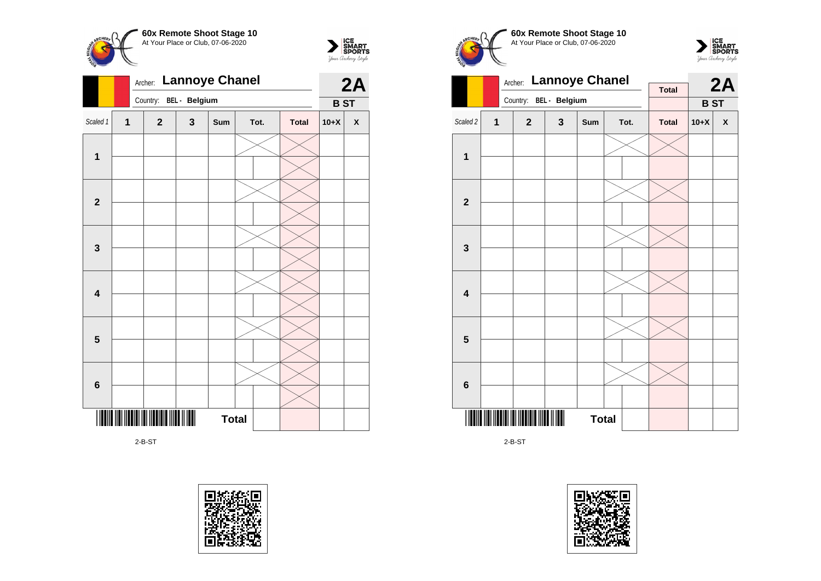



| Country: BEL - Belgium<br><b>BST</b><br>Scaled 1<br>$\overline{1}$<br>Tot.<br>$\mathbf{2}$<br>$\mathbf{3}$<br>Sum<br><b>Total</b><br>$10+X$<br>$\mathbf{1}$<br>$\overline{\mathbf{2}}$<br>$\mathbf 3$<br>$\overline{\mathbf{4}}$<br>5<br>$\bf 6$ | <b>Lannoye Chanel</b><br>Archer: |  |  |  |  |  |  |  |  |  | 2A                 |
|--------------------------------------------------------------------------------------------------------------------------------------------------------------------------------------------------------------------------------------------------|----------------------------------|--|--|--|--|--|--|--|--|--|--------------------|
|                                                                                                                                                                                                                                                  |                                  |  |  |  |  |  |  |  |  |  |                    |
|                                                                                                                                                                                                                                                  |                                  |  |  |  |  |  |  |  |  |  | $\pmb{\mathsf{X}}$ |
|                                                                                                                                                                                                                                                  |                                  |  |  |  |  |  |  |  |  |  |                    |
|                                                                                                                                                                                                                                                  |                                  |  |  |  |  |  |  |  |  |  |                    |
|                                                                                                                                                                                                                                                  |                                  |  |  |  |  |  |  |  |  |  |                    |
|                                                                                                                                                                                                                                                  |                                  |  |  |  |  |  |  |  |  |  |                    |
|                                                                                                                                                                                                                                                  |                                  |  |  |  |  |  |  |  |  |  |                    |
|                                                                                                                                                                                                                                                  |                                  |  |  |  |  |  |  |  |  |  |                    |
|                                                                                                                                                                                                                                                  |                                  |  |  |  |  |  |  |  |  |  |                    |
|                                                                                                                                                                                                                                                  |                                  |  |  |  |  |  |  |  |  |  |                    |
|                                                                                                                                                                                                                                                  |                                  |  |  |  |  |  |  |  |  |  |                    |
|                                                                                                                                                                                                                                                  |                                  |  |  |  |  |  |  |  |  |  |                    |
|                                                                                                                                                                                                                                                  |                                  |  |  |  |  |  |  |  |  |  |                    |
|                                                                                                                                                                                                                                                  |                                  |  |  |  |  |  |  |  |  |  |                    |
|                                                                                                                                                                                                                                                  |                                  |  |  |  |  |  |  |  |  |  |                    |
| $\blacksquare$<br>║<br><b>Total</b>                                                                                                                                                                                                              |                                  |  |  |  |  |  |  |  |  |  |                    |

2-B-ST









2-B-ST

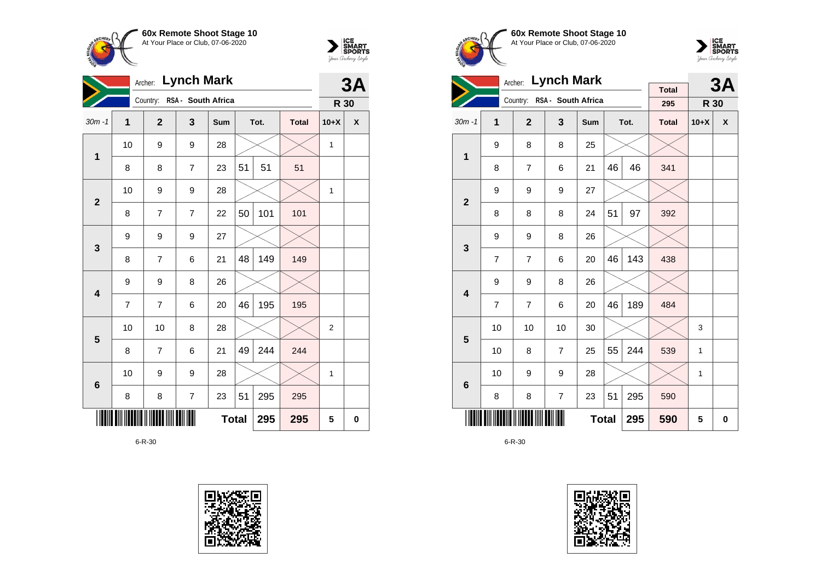



|                         |                          | Archer:                     | <b>Lynch Mark</b> |              |     |      |              |                | 3A                 |
|-------------------------|--------------------------|-----------------------------|-------------------|--------------|-----|------|--------------|----------------|--------------------|
|                         |                          | Country: RSA - South Africa |                   |              |     |      |              | R 30           |                    |
| $30m - 1$               | $\overline{1}$           | $\overline{2}$              | 3                 | Sum          |     | Tot. | <b>Total</b> | $10+X$         | $\pmb{\mathsf{X}}$ |
| $\mathbf 1$             | 10                       | 9                           | 9                 | 28           |     |      |              | $\mathbf{1}$   |                    |
|                         | 8                        | 8                           | 7                 | 23           | 51  | 51   | 51           |                |                    |
| $\mathbf{2}$            | 10                       | 9                           | 9                 | 28           |     |      |              | $\mathbf{1}$   |                    |
|                         | 8                        | $\overline{7}$              | 22                | 50           | 101 | 101  |              |                |                    |
| 3                       | 9                        | 9                           | 9                 | 27           |     |      |              |                |                    |
|                         | 8                        | $\overline{7}$              | 6                 | 21           | 48  | 149  | 149          |                |                    |
| $\overline{\mathbf{4}}$ | 9                        | 9                           | 8                 | 26           |     |      |              |                |                    |
|                         | $\overline{7}$           | $\overline{7}$              | 6                 | 20           | 46  | 195  | 195          |                |                    |
|                         | 10                       | 10                          | 8                 | 28           |     |      |              | $\overline{2}$ |                    |
|                         | 5<br>8<br>7              |                             |                   | 21           | 49  | 244  | 244          |                |                    |
| $\bf 6$                 | 10                       | 9                           | 9                 | 28           |     |      |              | 1              |                    |
|                         | $\overline{7}$<br>8<br>8 |                             |                   |              | 51  | 295  | 295          |                |                    |
|                         |                          |                             |                   | <b>Total</b> |     | 295  | 295          | 5              | 0                  |







|                         |                | Archer: Lynch Mark          |                         |              |    | 3A   |                     |        |                    |
|-------------------------|----------------|-----------------------------|-------------------------|--------------|----|------|---------------------|--------|--------------------|
|                         |                | Country: RSA - South Africa |                         |              |    |      | <b>Total</b><br>295 | R 30   |                    |
|                         |                |                             |                         |              |    |      |                     |        |                    |
| $30m - 1$               | 1              | $\overline{2}$              | 3                       | Sum          |    | Tot. | <b>Total</b>        | $10+X$ | $\pmb{\mathsf{X}}$ |
| 1                       | 9              | 8                           | 8                       | 25           |    |      |                     |        |                    |
|                         | 8              | $\overline{7}$              | 6                       | 21           | 46 | 46   | 341                 |        |                    |
| $\mathbf{2}$            | 9              | 9                           | 9                       | 27           |    |      |                     |        |                    |
|                         | 8              | 8                           | 8                       | 24           | 51 | 97   | 392                 |        |                    |
| 3                       | 9              | 8                           | 26                      |              |    |      |                     |        |                    |
|                         | $\overline{7}$ | $\overline{7}$              | 6                       | 20           | 46 | 143  | 438                 |        |                    |
| $\overline{\mathbf{4}}$ | 9              | 9                           | 8                       | 26           |    |      |                     |        |                    |
|                         | $\overline{7}$ | $\overline{7}$              | 6                       | 20           | 46 | 189  | 484                 |        |                    |
| 5                       | 10             | 10                          | 10                      | 30           |    |      |                     | 3      |                    |
|                         | 10             | 8                           | $\overline{7}$          | 25           | 55 | 244  | 539                 | 1      |                    |
| $6\phantom{1}$          | 10             | 9                           | 28                      |              |    |      | 1                   |        |                    |
|                         | 8              | 8                           | $\overline{\mathbf{7}}$ | 23           | 51 | 295  | 590                 |        |                    |
|                         |                |                             |                         | <b>Total</b> |    | 295  | 590                 | 5      | 0                  |

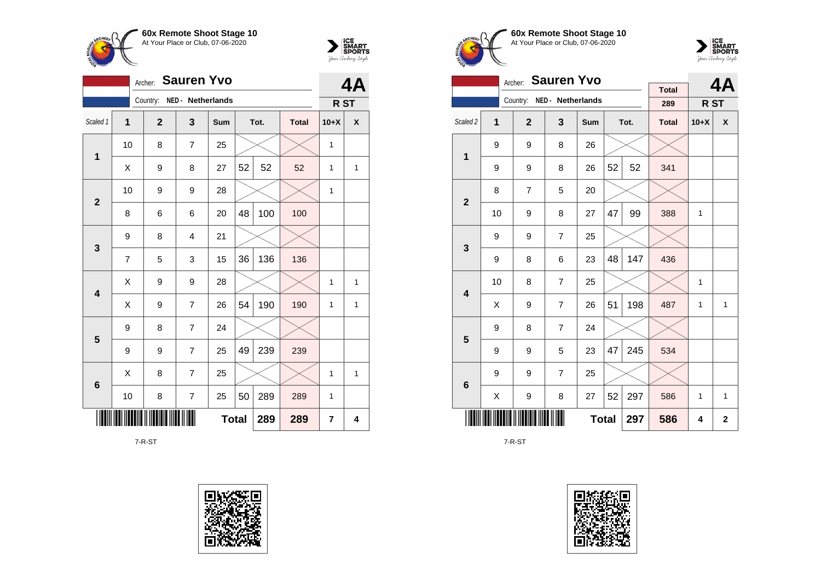



|                         |              | Archer:                    | <b>Sauren Yvo</b>        |              |    |      |              |                 | 4Α           |
|-------------------------|--------------|----------------------------|--------------------------|--------------|----|------|--------------|-----------------|--------------|
|                         |              | Country: NED - Netherlands |                          |              |    |      |              | R <sub>ST</sub> |              |
| Scaled 1                | $\mathbf{1}$ | $\mathbf{2}$               | $\overline{\mathbf{3}}$  | Sum          |    | Tot. | <b>Total</b> | $10+X$          | X            |
| 1                       | 10           | 8                          | $\overline{7}$           | 25           |    |      |              | 1               |              |
|                         | X            | 9                          | 8                        | 27           | 52 | 52   | 52           | 1               | 1            |
| $\mathbf{2}$            | 10           | 9                          | 9                        | 28           |    |      |              | $\mathbf{1}$    |              |
|                         | 8            | 6                          | 6                        | 20           | 48 | 100  | 100          |                 |              |
| 3                       | 9            | 8                          | $\overline{4}$           | 21           |    |      |              |                 |              |
|                         | 7            | 5                          | 3                        | 15           | 36 | 136  | 136          |                 |              |
| $\overline{\mathbf{4}}$ | Χ            | 9                          | 9                        | 28           |    |      |              | 1               | 1            |
|                         | Χ            | 9                          | $\overline{7}$           | 26           | 54 | 190  | 190          | 1               | 1            |
| 5                       | 9            | 8                          | $\overline{7}$           | 24           |    |      |              |                 |              |
|                         | 9            | 9                          | $\overline{7}$           | 25           | 49 | 239  | 239          |                 |              |
| 6                       | X            | 8                          | $\overline{7}$           | 25           |    |      |              | 1               | $\mathbf{1}$ |
|                         | 10           | 8                          | $\overline{\mathcal{I}}$ | 25           | 50 | 289  | 289          | 1               |              |
|                         |              |                            |                          | <b>Total</b> |    | 289  | 289          | $\overline{7}$  | 4            |

7-R-ST









|                         |    | Archer:        | <b>Sauren Yvo</b> |              |    |      |              |                 | 4A           |
|-------------------------|----|----------------|-------------------|--------------|----|------|--------------|-----------------|--------------|
|                         |    | Country:       | NED - Netherlands |              |    |      | <b>Total</b> |                 |              |
|                         |    |                |                   |              |    |      | 289          | R <sub>ST</sub> |              |
| Scaled 2                | 1  | $\overline{2}$ | 3                 | Sum          |    | Tot. | <b>Total</b> | $10+X$          | X            |
| 1                       | 9  | 9              | 8                 | 26           |    |      |              |                 |              |
|                         | 9  | 9              | 8                 | 26           | 52 | 52   | 341          |                 |              |
| $\overline{\mathbf{2}}$ | 8  | $\overline{7}$ | 5                 | 20           |    |      |              |                 |              |
|                         | 10 | 9              | 8                 | 27           | 47 | 99   | 388          | $\mathbf{1}$    |              |
| 3                       | 9  | 9              | $\overline{7}$    | 25           |    |      |              |                 |              |
|                         | 9  | 8              | 6                 | 23           | 48 | 147  | 436          |                 |              |
| $\overline{\mathbf{4}}$ | 10 | 8              | $\overline{7}$    | 25           |    |      |              | 1               |              |
|                         | X  | 9              | $\overline{7}$    | 26           | 51 | 198  | 487          | 1               | 1            |
| 5                       | 9  | 8              | $\overline{7}$    | 24           |    |      |              |                 |              |
|                         | 9  | 9              | 5                 | 23           | 47 | 245  | 534          |                 |              |
| $6\phantom{1}$          | 9  | 9              | $\overline{7}$    | 25           |    |      |              |                 |              |
|                         | X  | 9              | 8                 | 27           | 52 | 297  | 586          | 1               | 1            |
|                         |    |                |                   | <b>Total</b> |    | 297  | 586          | 4               | $\mathbf{2}$ |

7-R-ST

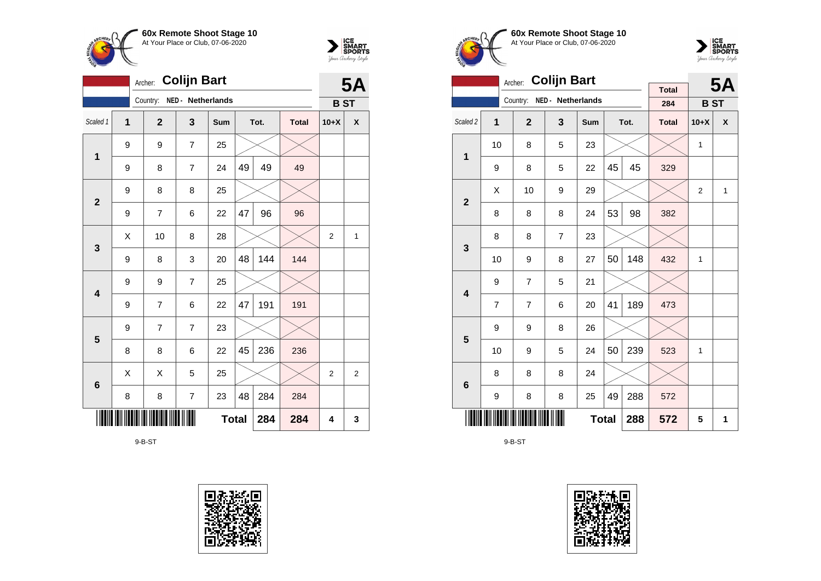



|                 |                               | Archer:        | <b>Colijn Bart</b> |              |    |      |              |                | <b>5A</b>      |
|-----------------|-------------------------------|----------------|--------------------|--------------|----|------|--------------|----------------|----------------|
|                 | Country:<br>NED - Netherlands |                |                    |              |    |      |              |                | <b>BST</b>     |
| Scaled 1        | 1                             | $\overline{2}$ | 3                  | <b>Sum</b>   |    | Tot. | <b>Total</b> | $10+X$         | X              |
| 1               | 9                             | 9              | 7                  | 25           |    |      |              |                |                |
|                 | 9                             | 8              | 7                  | 24           | 49 | 49   | 49           |                |                |
| $\overline{2}$  | 9                             | 8              | 8                  | 25           |    |      |              |                |                |
|                 | 9                             | $\overline{7}$ | 6                  | 22           | 47 | 96   | 96           |                |                |
| 3               | Χ                             | 10             | 8                  | 28           |    |      |              | $\overline{2}$ | 1              |
|                 | 9                             | 8              | 3                  | 20           | 48 | 144  | 144          |                |                |
| 4               | 9                             | 9              | $\overline{7}$     | 25           |    |      |              |                |                |
|                 | 9                             | $\overline{7}$ | 6                  | 22           | 47 | 191  | 191          |                |                |
| 5               | 9                             | 7              | $\overline{7}$     | 23           |    |      |              |                |                |
|                 | 8                             | 8              | 6                  | 22           | 45 | 236  | 236          |                |                |
| $6\phantom{1}6$ | Χ                             | X              | 5                  | 25           |    |      |              | $\overline{2}$ | $\overline{2}$ |
|                 | 8                             | 8              | 7                  | 23           | 48 | 284  | 284          |                |                |
|                 |                               |                |                    | <b>Total</b> |    | 284  | 284          | 4              | 3              |

9-B-ST









|                         |                | Archer:        | <b>Colijn Bart</b> |              |    |     |                     |                | <b>5A</b>    |
|-------------------------|----------------|----------------|--------------------|--------------|----|-----|---------------------|----------------|--------------|
|                         |                | Country:       | NED - Netherlands  |              |    |     | <b>Total</b><br>284 |                |              |
|                         |                |                |                    | Tot.         |    |     |                     | <b>BST</b>     |              |
| Scaled 2                | 1              | $\overline{2}$ | 3                  | Sum          |    |     | <b>Total</b>        | $10+X$         | X            |
| 1                       | 10             | 8              | 5                  | 23           |    |     |                     | $\mathbf{1}$   |              |
|                         | 9              | 8              | 5                  | 22           | 45 | 45  | 329                 |                |              |
| $\overline{2}$          | X              | 10             | 9                  | 29           |    |     |                     | $\overline{2}$ | $\mathbf{1}$ |
|                         | 8              | 8              | 8                  | 24           | 53 | 98  | 382                 |                |              |
| 3                       | 8              | 8              | $\overline{7}$     | 23           |    |     |                     |                |              |
|                         | 10             | 9              | 8                  | 27           | 50 | 148 | 432                 | $\mathbf{1}$   |              |
| $\overline{\mathbf{4}}$ | 9              | $\overline{7}$ | 5                  | 21           |    |     |                     |                |              |
|                         | $\overline{7}$ | $\overline{7}$ | 6                  | 20           | 41 | 189 | 473                 |                |              |
| 5                       | 9              | 9              | 8                  | 26           |    |     |                     |                |              |
|                         | 10             | 9              | 5                  | 24           | 50 | 239 | 523                 | $\mathbf{1}$   |              |
| $6\phantom{1}$          | 8              | 8              | 8                  | 24           |    |     |                     |                |              |
|                         | 9              | 8              | 8                  | 25           | 49 | 288 | 572                 |                |              |
|                         |                |                |                    | <b>Total</b> |    | 288 | 572                 | 5              | 1            |

9-B-ST

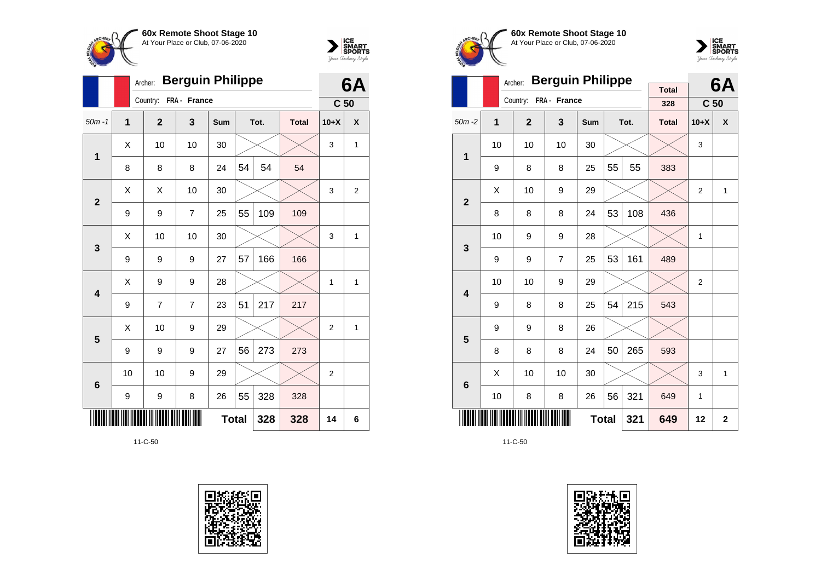



|                         |    | <b>Berguin Philippe</b><br>Archer: |                |            |              |      |              |                 |   |  |  |
|-------------------------|----|------------------------------------|----------------|------------|--------------|------|--------------|-----------------|---|--|--|
|                         |    | Country:                           | FRA - France   |            |              |      |              | C <sub>50</sub> |   |  |  |
| $50m - 1$               | 1  | $\mathbf{2}$                       | 3              | <b>Sum</b> |              | Tot. | <b>Total</b> | $10+X$          | X |  |  |
| 1                       | X  | 10                                 | 10             | 30         |              |      |              | 3               | 1 |  |  |
|                         | 8  | 8                                  | 8              | 24         | 54           | 54   | 54           |                 |   |  |  |
| $\overline{2}$          | X  | X                                  | 10             | 30         |              |      |              | 3               | 2 |  |  |
|                         | 9  | 9                                  | $\overline{7}$ | 25         | 55           | 109  | 109          |                 |   |  |  |
| 3                       | X  | 10                                 | 10             | 30         |              |      |              | 3               | 1 |  |  |
|                         | 9  | 9                                  | 9              | 27         | 57           | 166  | 166          |                 |   |  |  |
| $\overline{\mathbf{4}}$ | Χ  | 9                                  | 9              | 28         |              |      |              | 1               | 1 |  |  |
|                         | 9  | $\overline{7}$                     | $\overline{7}$ | 23         | 51           | 217  | 217          |                 |   |  |  |
| 5                       | X  | 10                                 | 9              | 29         |              |      |              | $\overline{2}$  | 1 |  |  |
|                         | 9  | 9                                  | 9              | 27         | 56           | 273  | 273          |                 |   |  |  |
| $6\phantom{1}6$         | 10 | 10                                 | 9              | 29         |              |      |              | $\overline{2}$  |   |  |  |
|                         | 9  | 9                                  | 8              | 26         | 55           | 328  | 328          |                 |   |  |  |
|                         |    |                                    |                |            | <b>Total</b> | 328  | 328          | 14              | 6 |  |  |







|                         |    | Archer:        | <b>Berguin Philippe</b> |                     |                 |      |              |                | 6A           |
|-------------------------|----|----------------|-------------------------|---------------------|-----------------|------|--------------|----------------|--------------|
|                         |    | Country:       | FRA - France            | <b>Total</b><br>328 | C <sub>50</sub> |      |              |                |              |
| $50m - 2$               | 1  | $\overline{2}$ | 3                       | Sum                 |                 | Tot. | <b>Total</b> | $10+X$         | X            |
| 1                       | 10 | 10             | 10                      | 30                  |                 |      |              | 3              |              |
|                         | 9  | 8              | 8                       | 25                  | 55              | 55   | 383          |                |              |
| $\overline{2}$          | X  | 10             | 9                       | 29                  |                 |      |              | $\overline{2}$ | $\mathbf{1}$ |
|                         | 8  | 8              | 8                       | 24                  | 53              | 108  | 436          |                |              |
| 3                       | 10 | 9              | 9                       | 28                  |                 |      |              | 1              |              |
|                         | 9  | 9              | $\overline{7}$          | 25                  | 53              | 161  | 489          |                |              |
| $\overline{\mathbf{4}}$ | 10 | 10             | 9                       | 29                  |                 |      |              | $\overline{2}$ |              |
|                         | 9  | 8              | 8                       | 25                  | 54              | 215  | 543          |                |              |
| 5                       | 9  | 9              | 8                       | 26                  |                 |      |              |                |              |
|                         | 8  | 8              | 8                       | 24                  | 50              | 265  | 593          |                |              |
| 6                       | X  | 10             | 10                      | 30                  |                 |      |              | 3              | 1            |
|                         | 10 | 8              | 8                       | 26                  | 56              | 321  | 649          | 1              |              |
|                         |    |                |                         | <b>Total</b>        |                 | 321  | 649          | 12             | $\mathbf{2}$ |

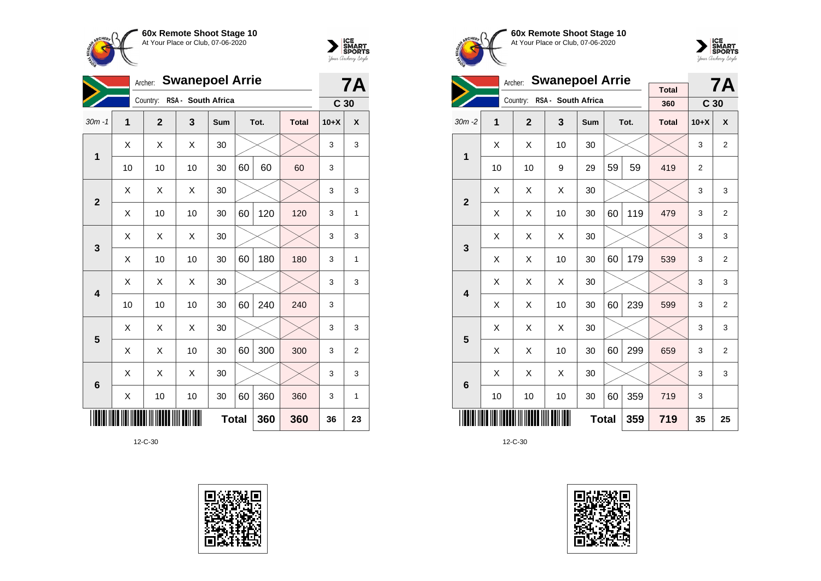



|                 | <b>Swanepoel Arrie</b><br>Archer: |                             |    |              |                 |      |              |        |                |  |
|-----------------|-----------------------------------|-----------------------------|----|--------------|-----------------|------|--------------|--------|----------------|--|
|                 |                                   | Country: RSA - South Africa |    |              | C <sub>30</sub> |      |              |        |                |  |
| $30m - 1$       | $\overline{1}$                    | $\overline{2}$              | 3  | Sum          |                 | Tot. | <b>Total</b> | $10+X$ | X              |  |
| 1               | X                                 | X                           | X  | 30           |                 |      |              | 3      | 3              |  |
|                 | 10                                | 10                          | 10 | 30           | 60              | 60   | 60           | 3      |                |  |
| $\overline{2}$  | X                                 | Χ                           | X  | 30           |                 |      |              | 3      | 3              |  |
|                 | Χ                                 | 10                          | 10 | 30           | 60              | 120  | 120          | 3      | 1              |  |
| 3               | X                                 | Χ                           | Χ  | 30           |                 |      |              | 3      | 3              |  |
|                 | X                                 | 10                          | 10 | 30           | 60              | 180  | 180          | 3      | 1              |  |
| 4               | X                                 | X                           | X  | 30           |                 |      |              | 3      | 3              |  |
|                 | 10                                | 10                          | 10 | 30           | 60              | 240  | 240          | 3      |                |  |
| 5               | Χ                                 | X                           | X  | 30           |                 |      |              | 3      | 3              |  |
|                 | X                                 | Χ                           | 10 | 30           | 60              | 300  | 300          | 3      | $\overline{2}$ |  |
| $6\phantom{1}6$ | X                                 | X                           | X  | 30           |                 |      |              | 3      | 3              |  |
|                 | Χ                                 | 10                          | 10 | 30           | 60              | 360  | 360          | 3      | 1              |  |
|                 |                                   |                             |    | <b>Total</b> |                 | 360  | 360          | 36     | 23             |  |









|                         |    | Archer:                        | <b>Swanepoel Arrie</b> |                 |    |      | <b>Total</b> |                | <b>7A</b>      |
|-------------------------|----|--------------------------------|------------------------|-----------------|----|------|--------------|----------------|----------------|
|                         |    | Country:<br>RSA - South Africa | 360                    | C <sub>30</sub> |    |      |              |                |                |
| $30m - 2$               | 1  | $\overline{2}$                 | 3                      | <b>Sum</b>      |    | Tot. | <b>Total</b> | $10+X$         | X              |
| 1                       | Χ  | Χ                              | 10                     | 30              |    |      |              | 3              | $\overline{2}$ |
|                         | 10 | 10                             | 9                      | 29              | 59 | 59   | 419          | $\overline{2}$ |                |
| $\overline{2}$          | X  | X                              | X                      | 30              |    |      |              | 3              | 3              |
|                         | X  | X                              | 10                     | 30              | 60 | 119  | 479          | 3              | $\overline{2}$ |
| 3                       | X  | X                              | X                      | 30              |    |      |              | 3              | 3              |
|                         | Χ  | X                              | 10                     | 30              | 60 | 179  | 539          | 3              | $\overline{2}$ |
| $\overline{\mathbf{4}}$ | X  | Χ                              | Χ                      | 30              |    |      |              | 3              | 3              |
|                         | X  | X                              | 10                     | 30              | 60 | 239  | 599          | 3              | $\overline{2}$ |
| 5                       | Χ  | X                              | X                      | 30              |    |      |              | 3              | 3              |
|                         | X  | Χ                              | 10                     | 30              | 60 | 299  | 659          | 3              | 2              |
| $6\phantom{1}6$         | X  | Χ                              | X                      | 30              |    |      |              | 3              | 3              |
|                         | 10 | 10                             | 10                     | 30              | 60 | 359  | 719          | 3              |                |
|                         |    |                                |                        | <b>Total</b>    |    | 359  | 719          | 35             | 25             |

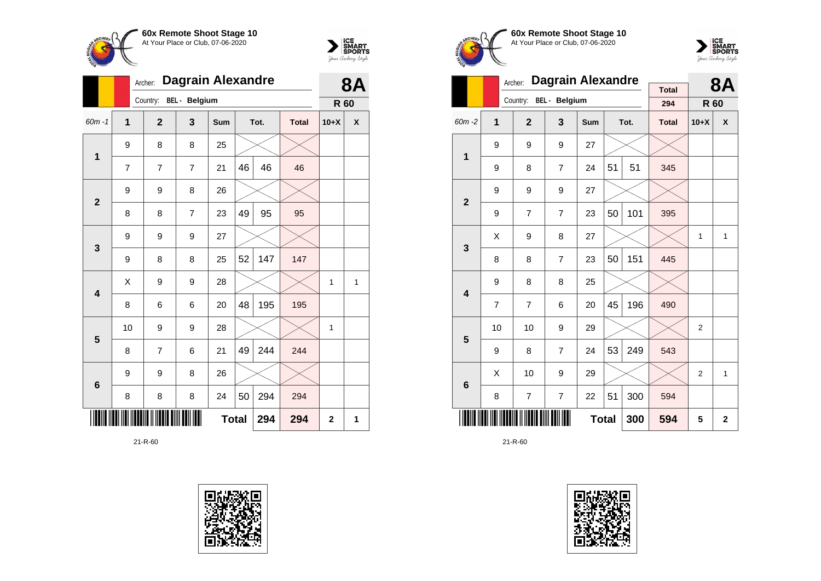



|                         |    | <b>Dagrain Alexandre</b><br>Archer:                |                |                |              |    |        |     |                |   |  |  |
|-------------------------|----|----------------------------------------------------|----------------|----------------|--------------|----|--------|-----|----------------|---|--|--|
|                         |    |                                                    | Country:       | BEL - Belgium  |              |    |        |     | R 60           |   |  |  |
| $60m - 1$               | 1  | $\overline{2}$<br>3<br>Tot.<br><b>Total</b><br>Sum |                |                |              |    | $10+X$ | X   |                |   |  |  |
| $\mathbf 1$             | 9  |                                                    | 8              | 8              | 25           |    |        |     |                |   |  |  |
|                         | 7  |                                                    | $\overline{7}$ | $\overline{7}$ | 21           | 46 | 46     | 46  |                |   |  |  |
| $\overline{2}$          | 9  |                                                    | 9              | 8              | 26           |    |        |     |                |   |  |  |
|                         | 8  |                                                    | 8              | $\overline{7}$ | 23           | 49 | 95     | 95  |                |   |  |  |
| 3                       | 9  |                                                    | 9              | 9              | 27           |    |        |     |                |   |  |  |
|                         | 9  |                                                    | 8              | 8              | 25           | 52 | 147    | 147 |                |   |  |  |
| $\overline{\mathbf{4}}$ | X  |                                                    | 9              | 9              | 28           |    |        |     | 1              | 1 |  |  |
|                         | 8  |                                                    | 6              | 6              | 20           | 48 | 195    | 195 |                |   |  |  |
| 5                       | 10 |                                                    | 9              | 9              | 28           |    |        |     | 1              |   |  |  |
|                         | 8  |                                                    | 7              | 6              | 21           | 49 | 244    | 244 |                |   |  |  |
| $6\phantom{1}6$         | 9  |                                                    | 9              | 8              | 26           |    |        |     |                |   |  |  |
|                         | 8  |                                                    | 8              | 8              | 24           | 50 | 294    | 294 |                |   |  |  |
|                         |    |                                                    |                |                | <b>Total</b> |    | 294    | 294 | $\overline{2}$ | 1 |  |  |







|                         |    | Archer:                   | <b>Dagrain Alexandre</b> |            |              |      |              |                | <b>8A</b>        |
|-------------------------|----|---------------------------|--------------------------|------------|--------------|------|--------------|----------------|------------------|
|                         |    | Country:<br>BEL - Belgium | <b>Total</b><br>294      | R 60       |              |      |              |                |                  |
| 60m-2                   | 1  | $\overline{2}$            | 3                        | <b>Sum</b> |              | Tot. | <b>Total</b> | $10+X$         | $\boldsymbol{x}$ |
| 1                       | 9  | 9                         | 9                        | 27         |              |      |              |                |                  |
|                         | 9  | 8                         | $\overline{7}$           | 24         | 51           | 51   | 345          |                |                  |
| $\overline{2}$          | 9  | 9                         | 9                        | 27         |              |      |              |                |                  |
|                         | 9  | 7                         | $\overline{7}$           | 23         | 50           | 101  | 395          |                |                  |
| 3                       | X  | 9                         | 8                        | 27         |              |      |              | 1              | $\mathbf{1}$     |
|                         | 8  | 8                         | $\overline{7}$           | 23         | 50           | 151  | 445          |                |                  |
| $\overline{\mathbf{4}}$ | 9  | 8                         | 8                        | 25         |              |      |              |                |                  |
|                         | 7  | 7                         | 6                        | 20         | 45           | 196  | 490          |                |                  |
| 5                       | 10 | 10                        | 9                        | 29         |              |      |              | 2              |                  |
|                         | 9  | 8                         | $\overline{7}$           | 24         | 53           | 249  | 543          |                |                  |
| 6                       | X  | 10                        | 9                        | 29         |              |      |              | $\overline{2}$ | $\mathbf{1}$     |
|                         | 8  | 7                         | $\overline{7}$           | 22         | 51           | 300  | 594          |                |                  |
|                         |    |                           |                          |            | <b>Total</b> | 300  | 594          | 5              | $\mathbf{2}$     |

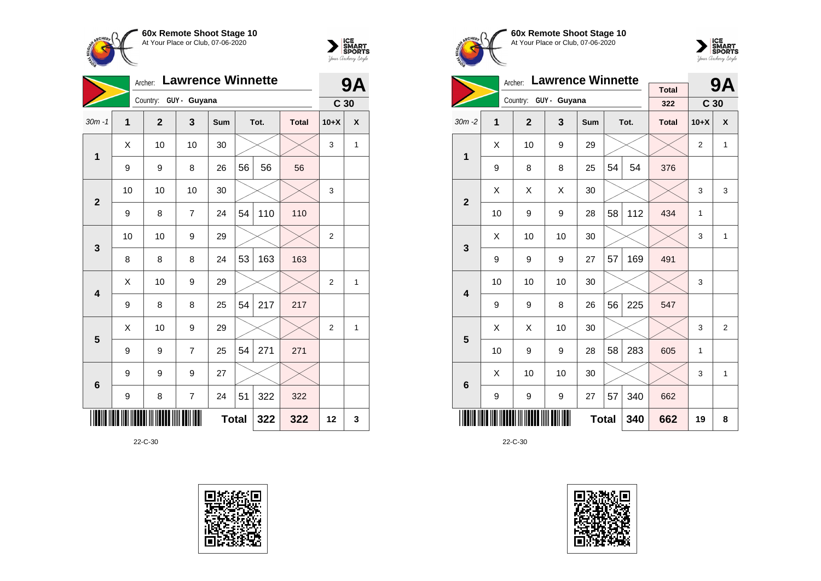



| <b>Lawrence Winnette</b><br>Archer: |              |                |                |     |              |      |              | <b>9A</b>       |   |
|-------------------------------------|--------------|----------------|----------------|-----|--------------|------|--------------|-----------------|---|
|                                     |              | Country:       | GUY - Guyana   |     |              |      |              | C <sub>30</sub> |   |
| $30m - 1$                           | $\mathbf{1}$ | $\overline{2}$ | 3              | Sum |              | Tot. | <b>Total</b> | $10+X$          | X |
| 1                                   | X            | 10             | 10             | 30  |              |      |              | 3               | 1 |
|                                     | 9            | 9              | 8              | 26  | 56           | 56   | 56           |                 |   |
| $\overline{2}$                      | 10           | 10             | 10             | 30  |              |      |              | 3               |   |
|                                     | 9            | 8              | $\overline{7}$ | 24  | 54           | 110  | 110          |                 |   |
| $\mathbf{3}$                        | 10           | 10             | 9              | 29  |              |      |              | $\overline{2}$  |   |
|                                     | 8            | 8              | 8              | 24  | 53           | 163  | 163          |                 |   |
| $\overline{\mathbf{4}}$             | X            | 10             | 9              | 29  |              |      |              | 2               | 1 |
|                                     | 9            | 8              | 8              | 25  | 54           | 217  | 217          |                 |   |
| 5                                   | X            | 10             | 9              | 29  |              |      |              | $\overline{2}$  | 1 |
|                                     | 9            | 9              | 7              | 25  | 54           | 271  | 271          |                 |   |
| $6\phantom{1}$                      | 9            | 9              | 9              | 27  |              |      |              |                 |   |
|                                     | 9            | 8              | $\overline{7}$ | 24  | 51           | 322  | 322          |                 |   |
|                                     |              |                |                |     | <b>Total</b> | 322  | 322          | 12              | 3 |







|                         |             | Archer:        | <b>Lawrence Winnette</b> |              |    | <b>9A</b> |                     |                 |   |
|-------------------------|-------------|----------------|--------------------------|--------------|----|-----------|---------------------|-----------------|---|
|                         |             | Country:       | GUY - Guyana             |              |    |           | <b>Total</b><br>322 | C <sub>30</sub> |   |
|                         |             |                |                          |              |    |           |                     |                 |   |
| $30m - 2$               | $\mathbf 1$ | $\overline{2}$ | 3                        | Sum          |    | Tot.      | <b>Total</b>        | $10+X$          | X |
| $\overline{1}$          | X           | 10             | 9                        | 29           |    |           |                     | 2               | 1 |
|                         | 9           | 8              | 8                        | 25           | 54 | 54        | 376                 |                 |   |
| $\overline{2}$          | X           | X              | X                        | 30           |    |           |                     | 3               | 3 |
|                         | 10          | 9              | 9                        | 28           | 58 | 112       | 434                 | $\mathbf{1}$    |   |
| 3                       | X           | 10             | 10                       | 30           |    |           |                     | 3               | 1 |
|                         | 9           | 9              | 9                        | 27           | 57 | 169       | 491                 |                 |   |
| $\overline{\mathbf{4}}$ | 10          | 10             | 10                       | 30           |    |           |                     | 3               |   |
|                         | 9           | 9              | 8                        | 26           | 56 | 225       | 547                 |                 |   |
| 5                       | X           | X              | 10                       | 30           |    |           |                     | 3               | 2 |
|                         | 10          | 9              | 9                        | 28           | 58 | 283       | 605                 | 1               |   |
| 6                       | X           | 10             | 10                       | 30           |    |           |                     | 3               | 1 |
|                         | 9           | 9              | 9                        | 27           | 57 | 340       | 662                 |                 |   |
|                         |             |                |                          | <b>Total</b> |    | 340       | 662                 | 19              | 8 |

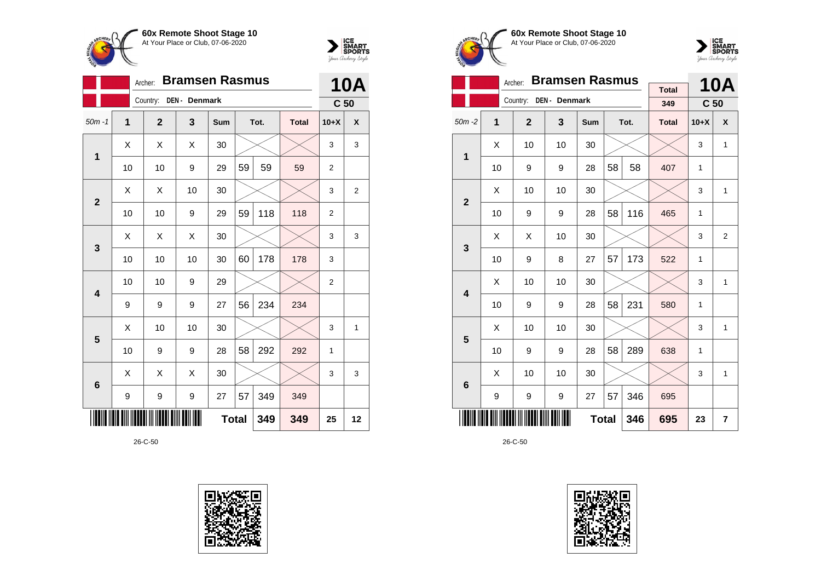



|                |                | <b>Bramsen Rasmus</b><br>Archer: |               |              |    |      |              |                 |                |  |  |
|----------------|----------------|----------------------------------|---------------|--------------|----|------|--------------|-----------------|----------------|--|--|
|                |                | Country:                         | DEN - Denmark |              |    |      |              | C <sub>50</sub> | <b>10A</b>     |  |  |
| $50m - 1$      | $\overline{1}$ | $\mathbf{2}$                     | 3             | Sum          |    | Tot. | <b>Total</b> | $10+X$          | X              |  |  |
| 1              | Χ              | X                                | Χ             | 30           |    |      |              | 3               | 3              |  |  |
|                | 10             | 10                               | 9             | 29           | 59 | 59   | 59           | $\overline{2}$  |                |  |  |
| $\overline{2}$ | X              | Χ                                | 10            | 30           |    |      |              | 3               | $\overline{2}$ |  |  |
|                | 10             | 10                               | 9             | 29           | 59 | 118  | 118          | $\overline{2}$  |                |  |  |
| 3              | Χ              | Χ                                | Χ             | 30           |    |      |              | 3               | 3              |  |  |
|                | 10             | 10                               | 10            | 30           | 60 | 178  | 178          | 3               |                |  |  |
| 4              | 10             | 10                               | 9             | 29           |    |      |              | 2               |                |  |  |
|                | 9              | 9                                | 9             | 27           | 56 | 234  | 234          |                 |                |  |  |
| 5              | X              | 10                               | 10            | 30           |    |      |              | 3               | $\mathbf{1}$   |  |  |
|                | 10             | 9                                | 9             | 28           | 58 | 292  | 292          | 1               |                |  |  |
| 6              | X              | X                                | X             | 30           |    |      |              | 3               | 3              |  |  |
|                | 9              | 9                                | 9             | 27           | 57 | 349  | 349          |                 |                |  |  |
|                |                |                                  |               | <b>Total</b> |    | 349  | 349          | 25              | 12             |  |  |







|                         |    | Archer:      | <b>Bramsen Rasmus</b>   |              |    |      | <b>10A</b>          |                 |              |
|-------------------------|----|--------------|-------------------------|--------------|----|------|---------------------|-----------------|--------------|
|                         |    | Country:     | DEN - Denmark           |              |    |      | <b>Total</b><br>349 | C <sub>50</sub> |              |
| $50m - 2$               | 1  | $\mathbf{2}$ | $\overline{\mathbf{3}}$ | Sum          |    | Tot. | <b>Total</b>        | $10+X$          | X            |
| $\mathbf{1}$            | X  | 10           | 10                      | 30           |    |      |                     | 3               | $\mathbf{1}$ |
|                         | 10 | 9            | 9                       | 28           | 58 | 58   | 407                 | 1               |              |
| $\overline{2}$          | X  | 10           | 10                      | 30           |    |      |                     | 3               | $\mathbf{1}$ |
|                         | 10 | 9            | 9                       | 28           | 58 | 116  | 465                 | 1               |              |
| 3                       | X  | Χ            | 10                      | 30           |    |      |                     | 3               | 2            |
|                         | 10 | 9            | 8                       | 27           | 57 | 173  | 522                 | $\mathbf{1}$    |              |
| $\overline{\mathbf{4}}$ | X  | 10           | 10                      | 30           |    |      |                     | 3               | 1            |
|                         | 10 | 9            | 9                       | 28           | 58 | 231  | 580                 | 1               |              |
| 5                       | X  | 10           | 10                      | 30           |    |      |                     | 3               | $\mathbf{1}$ |
|                         | 10 | 9            | 9                       | 28           | 58 | 289  | 638                 | 1               |              |
| 6                       | X  | 10           | 10                      | 30           |    |      |                     | 3               | 1            |
|                         | 9  | 9            | 9                       | 27           | 57 | 346  | 695                 |                 |              |
|                         |    |              |                         | <b>Total</b> |    | 346  | 695                 | 23              | 7            |

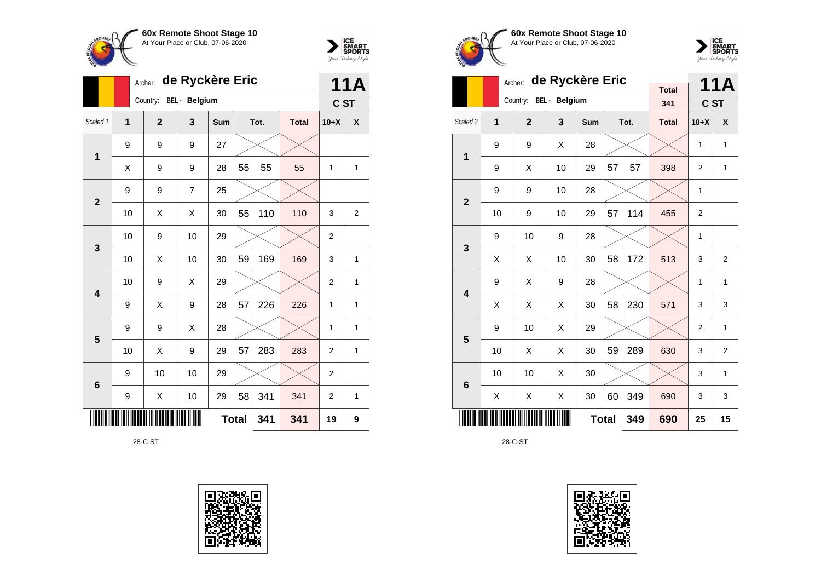



|                         | de Ryckère Eric<br>Archer: |                |                      |     |              |      |              |                |                |
|-------------------------|----------------------------|----------------|----------------------|-----|--------------|------|--------------|----------------|----------------|
|                         |                            | Country:       | <b>BEL</b> - Belgium |     |              |      |              | C ST           | <b>11A</b>     |
| Scaled 1                | 1                          | $\overline{2}$ | 3                    | Sum |              | Tot. | <b>Total</b> | $10+X$         | X              |
| 1                       | 9                          | 9              | 9                    | 27  |              |      |              |                |                |
|                         | X                          | 9              | 9                    | 28  | 55           | 55   | 55           | 1              | 1              |
| $\overline{\mathbf{2}}$ | 9                          | 9              | $\overline{7}$       | 25  |              |      |              |                |                |
|                         | 10                         | X              | Χ                    | 30  | 55           | 110  | 110          | 3              | $\overline{2}$ |
| 3                       | 10                         | 9              | 10                   | 29  |              |      |              | $\overline{2}$ |                |
|                         | 10                         | X              | 10                   | 30  | 59           | 169  | 169          | 3              | 1              |
| 4                       | 10                         | 9              | Χ                    | 29  |              |      |              | 2              | 1              |
|                         | 9                          | X              | 9                    | 28  | 57           | 226  | 226          | 1              | 1              |
| 5                       | 9                          | 9              | X                    | 28  |              |      |              | 1              | 1              |
|                         | 10                         | X              | 9                    | 29  | 57           | 283  | 283          | 2              | 1              |
| 6                       | 9                          | 10             | 10                   | 29  |              |      |              | 2              |                |
|                         | 9                          | Χ              | 10                   | 29  | 58           | 341  | 341          | $\overline{2}$ | 1              |
|                         |                            |                |                      |     | <b>Total</b> | 341  | 341          | 19             | 9              |

28-C-ST







|                         |    | de Ryckère Eric<br>Archer: |               |            |              | <b>11A</b> |                     |                |                |
|-------------------------|----|----------------------------|---------------|------------|--------------|------------|---------------------|----------------|----------------|
|                         |    | Country:                   | BEL - Belgium |            |              |            | <b>Total</b><br>341 |                |                |
|                         |    |                            |               |            |              |            |                     | C ST           |                |
| Scaled <sub>2</sub>     | 1  | $\overline{2}$             | 3             | <b>Sum</b> |              | Tot.       | <b>Total</b>        | $10+X$         | X              |
| 1                       | 9  | 9                          | X             | 28         |              |            |                     | 1              | 1              |
|                         | 9  | X                          | 10            | 29         | 57           | 57         | 398                 | 2              | 1              |
| $\overline{2}$          | 9  | 9                          | 10            | 28         |              |            |                     | 1              |                |
|                         | 10 | 9                          | 10            | 29         | 57           | 114        | 455                 | $\overline{2}$ |                |
| 3                       | 9  | 10                         | 9             | 28         |              |            |                     | 1              |                |
|                         | X  | X                          | 10            | 30         | 58           | 172        | 513                 | 3              | $\overline{2}$ |
| $\overline{\mathbf{4}}$ | 9  | X                          | 9             | 28         |              |            |                     | 1              | 1              |
|                         | X  | X                          | X             | 30         | 58           | 230        | 571                 | 3              | 3              |
| 5                       | 9  | 10                         | X             | 29         |              |            |                     | 2              | 1              |
|                         | 10 | X                          | X             | 30         | 59           | 289        | 630                 | 3              | $\overline{2}$ |
| 6                       | 10 | 10                         | X             | 30         |              |            |                     | 3              | 1              |
|                         | X  | X                          | X             | 30         | 60           | 349        | 690                 | 3              | 3              |
|                         |    |                            |               |            | <b>Total</b> | 349        | 690                 | 25             | 15             |

28-C-ST

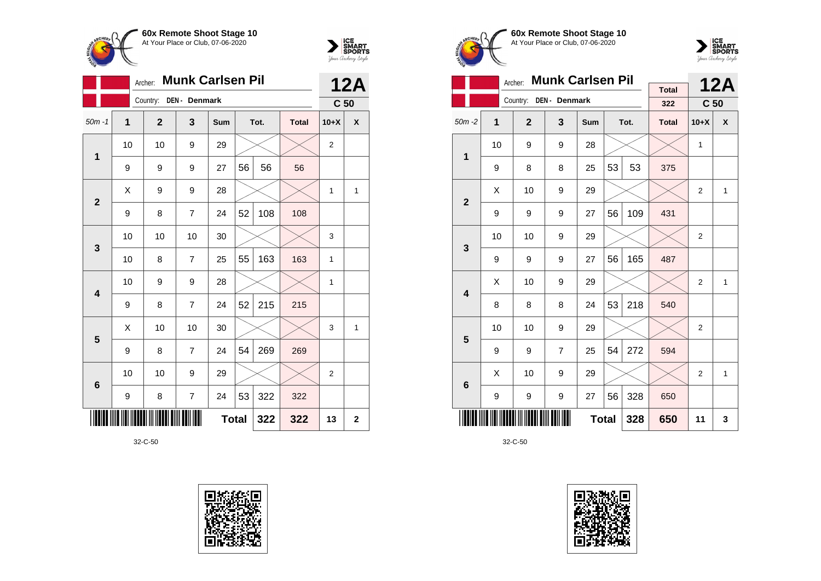



|                |    | Archer:                | <b>Munk Carlsen Pil</b> |              |    |      |              |                 | <b>12A</b>     |
|----------------|----|------------------------|-------------------------|--------------|----|------|--------------|-----------------|----------------|
|                |    | Country: DEN - Denmark |                         |              |    |      |              | C <sub>50</sub> |                |
| $50m - 1$      | 1  | $\overline{2}$         | 3                       | Sum          |    | Tot. | <b>Total</b> | $10+X$          | X              |
| 1              | 10 | 10                     | 9                       | 29           |    |      |              | 2               |                |
|                | 9  | 9                      | 9                       | 27           | 56 | 56   | 56           |                 |                |
| $\overline{2}$ | Χ  | 9                      | 9                       | 28           |    |      |              | 1               | 1              |
|                | 9  | 8                      | $\overline{7}$          | 24           | 52 | 108  | 108          |                 |                |
| 3              | 10 | 10                     | 10                      | 30           |    |      |              | 3               |                |
|                | 10 | 8                      | 7                       | 25           | 55 | 163  | 163          | 1               |                |
| 4              | 10 | 9                      | 9                       | 28           |    |      |              | $\mathbf{1}$    |                |
|                | 9  | 8                      | $\overline{7}$          | 24           | 52 | 215  | 215          |                 |                |
| 5              | X  | 10                     | 10                      | 30           |    |      |              | 3               | 1              |
|                | 9  | 8                      | 7                       | 24           | 54 | 269  | 269          |                 |                |
| 6              | 10 | 10                     | 9                       | 29           |    |      |              | $\overline{2}$  |                |
|                | 9  | 8                      | 7                       | 24           | 53 | 322  | 322          |                 |                |
|                |    |                        |                         | <b>Total</b> |    | 322  | 322          | 13              | $\overline{2}$ |







|                         |    | <b>Munk Carlsen Pil</b><br>Archer: |                |              |    | <b>12A</b> |              |                 |              |
|-------------------------|----|------------------------------------|----------------|--------------|----|------------|--------------|-----------------|--------------|
|                         |    | Country:                           | DEN - Denmark  |              |    |            | <b>Total</b> |                 |              |
|                         |    |                                    |                |              |    |            | 322          | C <sub>50</sub> |              |
| $50m - 2$               | 1  | $\mathbf{2}$                       | 3              | Sum          |    | Tot.       | <b>Total</b> | $10+X$          | X            |
| 1                       | 10 | 9                                  | 9              | 28           |    |            |              | 1               |              |
|                         | 9  | 8                                  | 8              | 25           | 53 | 53         | 375          |                 |              |
| $\overline{\mathbf{2}}$ | X  | 10                                 | 9              | 29           |    |            |              | $\overline{2}$  | $\mathbf{1}$ |
|                         | 9  | 9                                  | 9              | 27           | 56 | 109        | 431          |                 |              |
| 3                       | 10 | 10                                 | 9              | 29           |    |            |              | $\overline{2}$  |              |
|                         | 9  | 9                                  | 9              | 27           | 56 | 165        | 487          |                 |              |
| $\overline{\mathbf{4}}$ | Χ  | 10                                 | 9              | 29           |    |            |              | $\overline{2}$  | 1            |
|                         | 8  | 8                                  | 8              | 24           | 53 | 218        | 540          |                 |              |
| 5                       | 10 | 10                                 | 9              | 29           |    |            |              | $\overline{2}$  |              |
|                         | 9  | 9                                  | $\overline{7}$ | 25           | 54 | 272        | 594          |                 |              |
| 6                       | Χ  | 10                                 | 9              | 29           |    |            |              | $\overline{2}$  | $\mathbf{1}$ |
|                         | 9  | 9                                  | 9              | 27           | 56 | 328        | 650          |                 |              |
|                         |    |                                    |                | <b>Total</b> |    | 328        | 650          | 11              | 3            |

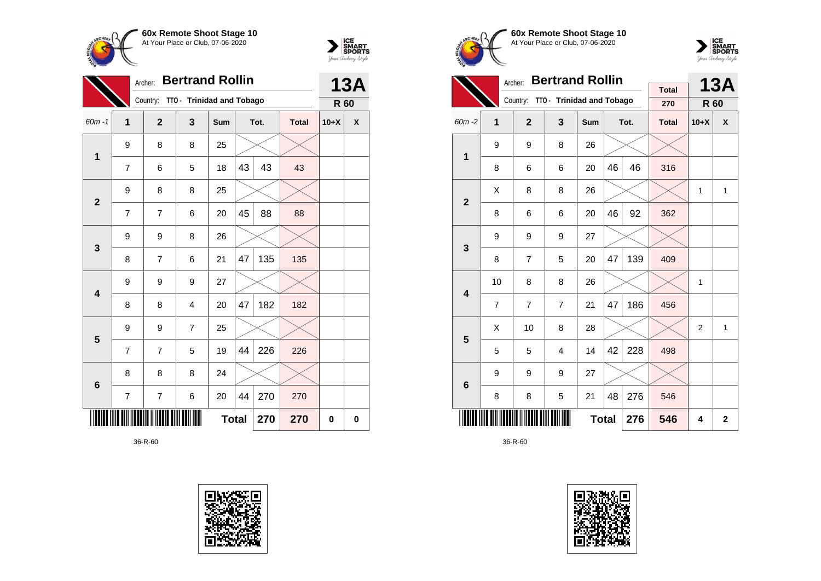



|                         | <b>Bertrand Rollin</b><br>Archer: |                |                           |              |    |      |              |        | 13A      |  |
|-------------------------|-----------------------------------|----------------|---------------------------|--------------|----|------|--------------|--------|----------|--|
|                         |                                   | Country:       | TTO - Trinidad and Tobago |              |    |      |              | R 60   |          |  |
| $60m - 1$               | 1                                 | $\overline{2}$ | 3                         | Sum          |    | Tot. | <b>Total</b> | $10+X$ | X        |  |
| 1                       | 9                                 | 8              | 8                         | 25           |    |      |              |        |          |  |
|                         | $\overline{7}$                    | 6              | 5                         | 18           | 43 | 43   | 43           |        |          |  |
| $\overline{2}$          | 9                                 | 8              | 8                         | 25           |    |      |              |        |          |  |
|                         | 7                                 | $\overline{7}$ | 6                         | 20           | 45 | 88   | 88           |        |          |  |
| 3                       | 9                                 | 9              | 8                         | 26           |    |      |              |        |          |  |
|                         | 8                                 | 7              | 6                         | 21           | 47 | 135  | 135          |        |          |  |
| $\overline{\mathbf{4}}$ | 9                                 | 9              | 9                         | 27           |    |      |              |        |          |  |
|                         | 8                                 | 8              | 4                         | 20           | 47 | 182  | 182          |        |          |  |
| 5                       | 9                                 | 9              | $\overline{7}$            | 25           |    |      |              |        |          |  |
|                         | 7                                 | $\overline{7}$ | 5                         | 19           | 44 | 226  | 226          |        |          |  |
| $6\phantom{1}6$         | 8                                 | 8              | 8                         | 24           |    |      |              |        |          |  |
|                         | 7                                 | $\overline{7}$ | 6                         | 20           | 44 | 270  | 270          |        |          |  |
|                         |                                   |                |                           | <b>Total</b> |    | 270  | 270          | 0      | $\bf{0}$ |  |







|                         |                | <b>Bertrand Rollin</b><br>Archer: |                           |              |    | <b>13A</b> |                     |                |              |
|-------------------------|----------------|-----------------------------------|---------------------------|--------------|----|------------|---------------------|----------------|--------------|
|                         |                | Country:                          | TTO - Trinidad and Tobago |              |    |            | <b>Total</b><br>270 | R 60           |              |
| $60m - 2$               | 1              | $\overline{2}$                    | 3                         | Sum          |    | Tot.       | <b>Total</b>        | $10+X$         | X            |
| $\mathbf{1}$            | 9              | 9                                 | 8                         | 26           |    |            |                     |                |              |
|                         | 8              | 6                                 | 6                         | 20           | 46 | 46         | 316                 |                |              |
| $\overline{2}$          | X              | 8                                 | 8                         | 26           |    |            |                     | 1              | $\mathbf{1}$ |
|                         | 8              | 6                                 | 6                         | 20           | 46 | 92         | 362                 |                |              |
| 3                       | 9              | 9                                 | 9                         | 27           |    |            |                     |                |              |
|                         | 8              | $\overline{7}$                    | 5                         | 20           | 47 | 139        | 409                 |                |              |
| $\overline{\mathbf{4}}$ | 10             | 8                                 | 8                         | 26           |    |            |                     | $\mathbf{1}$   |              |
|                         | $\overline{7}$ | $\overline{7}$                    | $\overline{7}$            | 21           | 47 | 186        | 456                 |                |              |
| 5                       | Χ              | 10                                | 8                         | 28           |    |            |                     | $\overline{2}$ | $\mathbf{1}$ |
|                         | 5              | 5                                 | $\overline{4}$            | 14           | 42 | 228        | 498                 |                |              |
| $6\phantom{1}$          | 9              | 9                                 | 9                         | 27           |    |            |                     |                |              |
|                         | 8              | 8                                 | 5                         | 21           | 48 | 276        | 546                 |                |              |
|                         |                |                                   |                           | <b>Total</b> |    | 276        | 546                 | 4              | $\mathbf{2}$ |

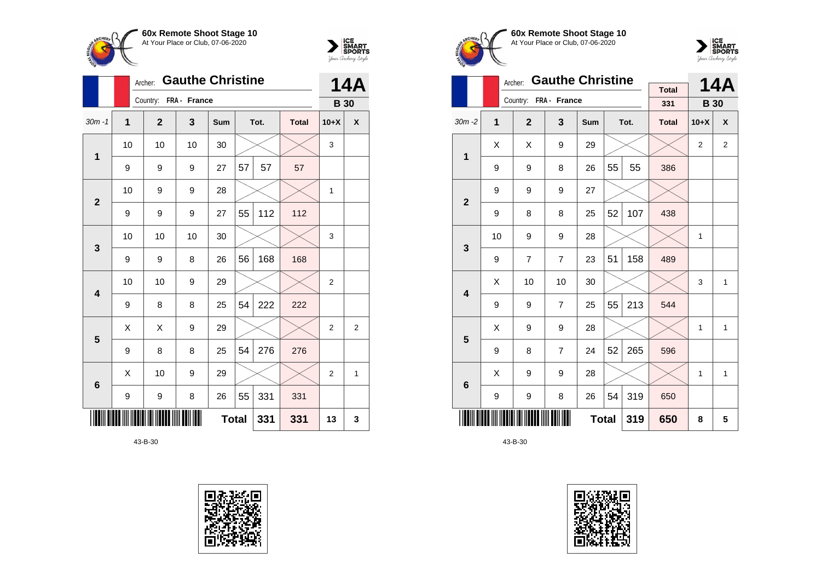



|                 |                | <b>Gauthe Christine</b><br>Archer: |    |     | <b>14A</b> |      |              |                |                |
|-----------------|----------------|------------------------------------|----|-----|------------|------|--------------|----------------|----------------|
|                 |                | Country: FRA - France              |    |     |            |      |              | <b>B</b> 30    |                |
| $30m - 1$       | $\overline{1}$ | $\mathbf{2}$                       | 3  | Sum |            | Tot. | <b>Total</b> | $10+X$         | X              |
| 1               | 10             | 10                                 | 10 | 30  |            |      |              | 3              |                |
|                 | 9              | 9                                  | 9  | 27  | 57         | 57   | 57           |                |                |
| $\mathbf{2}$    | 10             | 9                                  | 9  | 28  |            |      |              | 1              |                |
|                 | 9              | 9                                  | 9  | 27  | 55         | 112  | 112          |                |                |
| 3               | 10             | 10                                 | 10 | 30  |            |      |              | 3              |                |
|                 | 9              | 9                                  | 8  | 26  | 56         | 168  | 168          |                |                |
| 4               | 10             | 10                                 | 9  | 29  |            |      |              | $\mathbf{2}$   |                |
|                 | 9              | 8                                  | 8  | 25  | 54         | 222  | 222          |                |                |
| 5               | X              | X                                  | 9  | 29  |            |      |              | $\overline{2}$ | $\overline{2}$ |
|                 | 9              | 8                                  | 8  | 25  | 54         | 276  | 276          |                |                |
| $6\phantom{1}6$ | X              | 10                                 | 9  | 29  |            |      |              | $\overline{2}$ | 1              |
|                 | 9              | 9                                  | 8  | 26  | 55         | 331  | 331          |                |                |
|                 |                | <b>Total</b><br>331<br>331         |    |     |            |      | 13           | 3              |                |

43-B-30







|                         |    | Archer:        | <b>Gauthe Christine</b> |              |    |      | <b>14A</b>          |                |                |
|-------------------------|----|----------------|-------------------------|--------------|----|------|---------------------|----------------|----------------|
|                         |    | Country:       | FRA - France            |              |    |      | <b>Total</b><br>331 | <b>B</b> 30    |                |
| $30m - 2$               | 1  | $\overline{2}$ | 3                       | Sum          |    | Tot. | <b>Total</b>        | $10+X$         | X              |
| $\mathbf{1}$            | X  | X              | 9                       | 29           |    |      |                     | $\overline{2}$ | $\overline{2}$ |
|                         | 9  | 9              | 8                       | 26           | 55 | 55   | 386                 |                |                |
| $\overline{2}$          | 9  | 9              | 9                       | 27           |    |      |                     |                |                |
|                         | 9  | 8              | 8                       | 25           | 52 | 107  | 438                 |                |                |
| 3                       | 10 | 9              | 9                       | 28           |    |      |                     | 1              |                |
|                         | 9  | $\overline{7}$ | $\overline{7}$          | 23           | 51 | 158  | 489                 |                |                |
| $\overline{\mathbf{4}}$ | Χ  | 10             | 10                      | 30           |    |      |                     | 3              | 1              |
|                         | 9  | 9              | $\overline{7}$          | 25           | 55 | 213  | 544                 |                |                |
| 5                       | Χ  | 9              | 9                       | 28           |    |      |                     | $\mathbf{1}$   | $\mathbf{1}$   |
|                         | 9  | 8              | $\overline{7}$          | 24           | 52 | 265  | 596                 |                |                |
| 6                       | Χ  | 9              | 9                       | 28           |    |      |                     | 1              | 1              |
|                         | 9  | 9              | 8                       | 26           | 54 | 319  | 650                 |                |                |
|                         |    |                |                         | <b>Total</b> |    | 319  | 650                 | 8              | 5              |

43-B-30

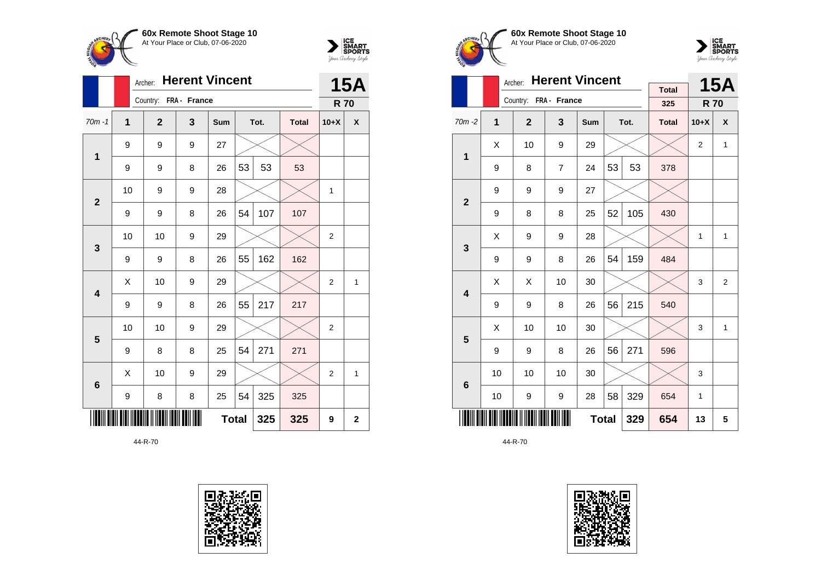



|                |    | <b>Herent Vincent</b><br>Archer: |   |              | <b>15A</b> |      |              |                |             |
|----------------|----|----------------------------------|---|--------------|------------|------|--------------|----------------|-------------|
|                |    | Country: FRA - France            |   |              |            |      |              | <b>R70</b>     |             |
| $70m - 1$      | 1  | $\mathbf{2}$                     | 3 | Sum          |            | Tot. | <b>Total</b> | $10+X$         | χ           |
| 1              | 9  | 9                                | 9 | 27           |            |      |              |                |             |
|                | 9  | 9                                | 8 | 26           | 53         | 53   | 53           |                |             |
| $\overline{2}$ | 10 | 9                                | 9 | 28           |            |      |              | $\mathbf{1}$   |             |
|                | 9  | 9                                | 8 | 26           | 54         | 107  | 107          |                |             |
| 3              | 10 | 10                               | 9 | 29           |            |      |              | 2              |             |
|                | 9  | 9                                | 8 | 26           | 55         | 162  | 162          |                |             |
| 4              | X  | 10                               | 9 | 29           |            |      |              | 2              | 1           |
|                | 9  | 9                                | 8 | 26           | 55         | 217  | 217          |                |             |
| 5              | 10 | 10                               | 9 | 29           |            |      |              | 2              |             |
|                | 9  | 8                                | 8 | 25           | 54         | 271  | 271          |                |             |
| 6              | X  | 10                               | 9 | 29           |            |      |              | $\overline{2}$ | 1           |
|                | 9  | 8                                | 8 | 25           | 54         | 325  | 325          |                |             |
|                |    |                                  |   | <b>Total</b> |            | 325  | 325          | 9              | $\mathbf 2$ |







|                         |                                 | Archer:               | <b>Herent Vincent</b> |              |    |      | <b>15A</b>          |                |                |
|-------------------------|---------------------------------|-----------------------|-----------------------|--------------|----|------|---------------------|----------------|----------------|
|                         |                                 | Country: FRA - France |                       |              |    |      | <b>Total</b><br>325 | <b>R70</b>     |                |
| $70m - 2$               | 1                               | $\mathbf{2}$          | 3                     | Sum          |    | Tot. | <b>Total</b>        | $10+X$         | X              |
|                         |                                 |                       |                       |              |    |      |                     |                |                |
| 1                       | X                               | 10                    | 9                     | 29           |    |      |                     | $\overline{2}$ | 1              |
|                         | 9                               | 8                     | $\overline{7}$        | 24           | 53 | 53   | 378                 |                |                |
| $\overline{2}$          | 9                               | 9                     | 9                     | 27           |    |      |                     |                |                |
|                         | 9                               | 8                     | 8                     | 25           | 52 | 105  | 430                 |                |                |
| 3                       | X                               | 9                     | 9                     | 28           |    |      |                     | 1              | 1              |
|                         | 9                               | 9                     | 8                     | 26           | 54 | 159  | 484                 |                |                |
| $\overline{\mathbf{4}}$ | X                               | X                     | 10                    | 30           |    |      |                     | 3              | $\overline{2}$ |
|                         | 9                               | 9                     | 8                     | 26           | 56 | 215  | 540                 |                |                |
| 5                       | X                               | 10                    | 10                    | 30           |    |      |                     | 3              | $\mathbf{1}$   |
|                         | 9                               | 9                     | 8                     | 26           | 56 | 271  | 596                 |                |                |
| $6\phantom{1}$          | 10                              | 10                    | 10                    | 30           |    |      |                     | 3              |                |
|                         | 58<br>329<br>10<br>9<br>9<br>28 |                       |                       |              |    |      |                     | 1              |                |
|                         |                                 |                       |                       | <b>Total</b> |    | 329  | 654                 | 13             | 5              |

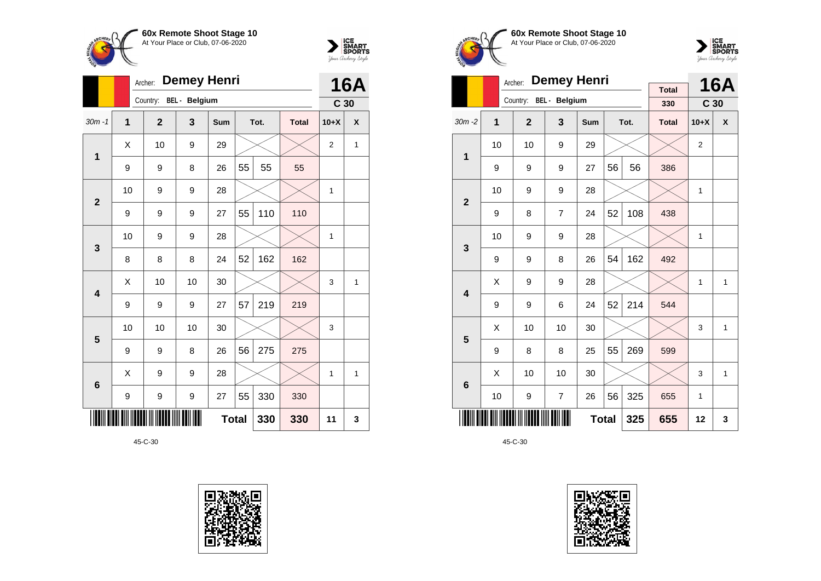



|                         | Archer:                    |                | <b>16A</b>    |     |    |      |              |                 |                  |  |
|-------------------------|----------------------------|----------------|---------------|-----|----|------|--------------|-----------------|------------------|--|
|                         |                            | Country:       | BEL - Belgium |     |    |      |              | C <sub>30</sub> |                  |  |
| $30m - 1$               | 1                          | $\overline{2}$ | 3             | Sum |    | Tot. | <b>Total</b> | $10+X$          | $\boldsymbol{x}$ |  |
| 1                       | Χ                          | 10             | 9             | 29  |    |      |              | $\overline{2}$  | 1                |  |
|                         | 9                          | 9              | 8             | 26  | 55 | 55   | 55           |                 |                  |  |
| $\overline{2}$          | 10                         | 9              | 9             | 28  |    |      |              | $\mathbf{1}$    |                  |  |
|                         | 9                          | 9              | 9             | 27  | 55 | 110  | 110          |                 |                  |  |
| 3                       | 10                         | 9              | 9             | 28  |    |      |              | 1               |                  |  |
|                         | 8                          | 8              | 8             | 24  | 52 | 162  | 162          |                 |                  |  |
| $\overline{\mathbf{4}}$ | Χ                          | 10             | 10            | 30  |    |      |              | 3               | 1                |  |
|                         | 9                          | 9              | 9             | 27  | 57 | 219  | 219          |                 |                  |  |
| 5                       | 10                         | 10             | 10            | 30  |    |      |              | 3               |                  |  |
|                         | 9                          | 9              | 8             | 26  | 56 | 275  | 275          |                 |                  |  |
| $6\phantom{1}6$         | X                          | 9              | 9             | 28  |    |      |              | 1               | 1                |  |
|                         | 9                          | 9              | 9             | 27  | 55 | 330  | 330          |                 |                  |  |
|                         | <b>Total</b><br>330<br>330 |                |               |     |    |      |              |                 |                  |  |







|                |                     | <b>Demey Henri</b><br>Archer: |               |            |    | <b>16A</b> |                     |                 |              |
|----------------|---------------------|-------------------------------|---------------|------------|----|------------|---------------------|-----------------|--------------|
|                |                     | Country:                      | BEL - Belgium |            |    |            | <b>Total</b><br>330 | C <sub>30</sub> |              |
| $30m - 2$      | 1                   | $\overline{2}$                | 3             | <b>Sum</b> |    | Tot.       | <b>Total</b>        | $10+X$          | X            |
| 1              | 10                  | 10                            | 9             | 29         |    |            |                     | 2               |              |
|                | 9                   | 9                             | 9             | 27         | 56 | 56         | 386                 |                 |              |
| $\overline{2}$ | 10                  | 9                             | 9             | 28         |    |            |                     | $\mathbf{1}$    |              |
|                | 9                   | 8                             | 7             | 24         | 52 | 108        | 438                 |                 |              |
| 3              | 10                  | 9                             | 9             | 28         |    |            |                     | $\mathbf{1}$    |              |
|                | 9                   | 9                             | 8             | 26         | 54 | 162        | 492                 |                 |              |
| 4              | X                   | 9                             | 9             | 28         |    |            |                     | $\mathbf{1}$    | $\mathbf{1}$ |
|                | 9                   | 9                             | 6             | 24         | 52 | 214        | 544                 |                 |              |
| 5              | X                   | 10                            | 10            | 30         |    |            |                     | 3               | $\mathbf{1}$ |
|                | 9                   | 8                             | 8             | 25         | 55 | 269        | 599                 |                 |              |
| 6              | X                   | 10                            | 10            | 30         |    |            |                     | 3               | 1            |
|                | 10                  | 9                             | 7             | 26         | 56 | 325        | 655                 | $\mathbf{1}$    |              |
|                | <b>Total</b><br>325 |                               |               |            |    |            |                     | 12              | 3            |

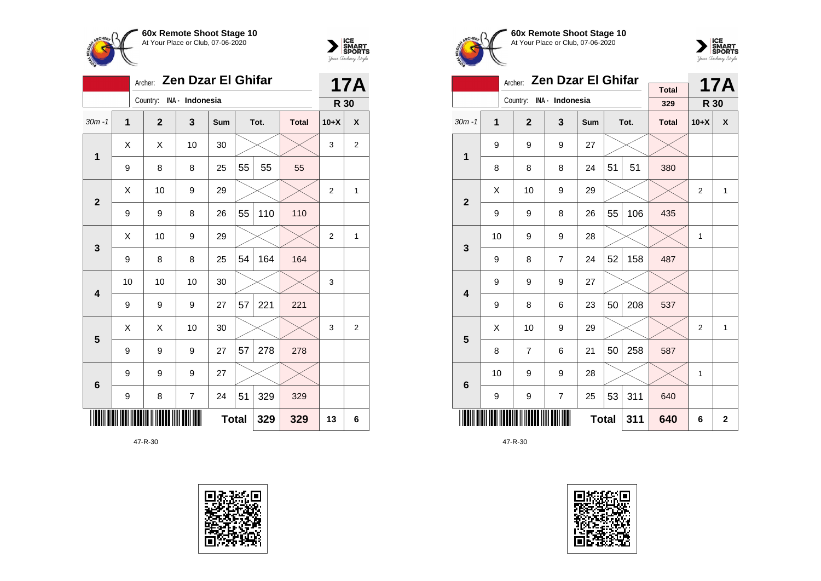



|                         |                  | Archer:        | <b>Zen Dzar El Ghifar</b> |     |              |      |              |                | <b>17A</b>              |
|-------------------------|------------------|----------------|---------------------------|-----|--------------|------|--------------|----------------|-------------------------|
|                         |                  | Country:       | INA - Indonesia           |     |              |      |              | R 30           |                         |
| $30m - 1$               | 1                | $\overline{2}$ | 3                         | Sum |              | Tot. | <b>Total</b> | $10+X$         | χ                       |
| 1                       | X                | X              | 10                        | 30  |              |      |              | 3              | $\overline{2}$          |
|                         | 9                | 8              | 8                         | 25  | 55           | 55   | 55           |                |                         |
| $\overline{2}$          | Χ                | 10             | 9                         | 29  |              |      |              | $\overline{2}$ | $\mathbf{1}$            |
|                         | 9                | 9              | 8                         | 26  | 55           | 110  | 110          |                |                         |
| $\mathbf{3}$            | X                | 10             | 9                         | 29  |              |      |              | 2              | $\mathbf{1}$            |
|                         | 9                | 8              | 8                         | 25  | 54           | 164  | 164          |                |                         |
| $\overline{\mathbf{4}}$ | 10               | 10             | 10                        | 30  |              |      |              | 3              |                         |
|                         | 9                | 9              | 9                         | 27  | 57           | 221  | 221          |                |                         |
| 5                       | X                | Χ              | 10                        | 30  |              |      |              | 3              | $\overline{\mathbf{c}}$ |
|                         | 9                | 9              | 9                         | 27  | 57           | 278  | 278          |                |                         |
| $6\phantom{1}6$         | 9                | 9              | 9                         | 27  |              |      |              |                |                         |
|                         | $\boldsymbol{9}$ | 8              | $\overline{\mathcal{I}}$  | 24  | 51           | 329  | 329          |                |                         |
|                         |                  |                |                           |     | <b>Total</b> | 329  | 329          | 13             | 6                       |







|                         |    | Archer:                  | <b>Zen Dzar El Ghifar</b> |                 |    | <b>17A</b>  |              |                |   |
|-------------------------|----|--------------------------|---------------------------|-----------------|----|-------------|--------------|----------------|---|
|                         |    | Country: INA - Indonesia |                           |                 |    |             | <b>Total</b> |                |   |
|                         |    |                          |                           |                 |    |             | 329          | R 30           |   |
| $30m - 1$               | 1  | $\overline{2}$           | 3                         | Sum             |    | Tot.        | <b>Total</b> | $10+X$         | X |
| $\mathbf{1}$            | 9  | 9                        | 9                         | 27              |    |             |              |                |   |
|                         | 8  | 8                        | 8                         | 24              | 51 | 51          | 380          |                |   |
| $\overline{\mathbf{2}}$ | Χ  | 10                       | 9                         | 29              |    |             |              | $\overline{2}$ | 1 |
|                         | 9  | 9                        | 8                         | 55<br>106<br>26 |    | 435         |              |                |   |
| 3                       | 10 | 9                        | 9                         | 28              |    |             |              | 1              |   |
|                         | 9  | 8                        | $\overline{7}$            | 24              | 52 | 158         | 487          |                |   |
| $\overline{\mathbf{4}}$ | 9  | 9                        | 9                         | 27              |    |             |              |                |   |
|                         | 9  | 8                        | 6                         | 23              | 50 | 208         | 537          |                |   |
| 5                       | X  | 10                       | 9                         | 29              |    |             |              | $\overline{2}$ | 1 |
|                         | 8  | $\overline{7}$           | 6                         | 21              | 50 | 258         | 587          |                |   |
| 6                       | 10 | 9                        | 9                         | 28              |    |             |              | $\mathbf{1}$   |   |
|                         | 9  | 9                        | $\overline{7}$            | 25              | 53 | 311         | 640          |                |   |
|                         |    |                          | 311                       | 640             | 6  | $\mathbf 2$ |              |                |   |

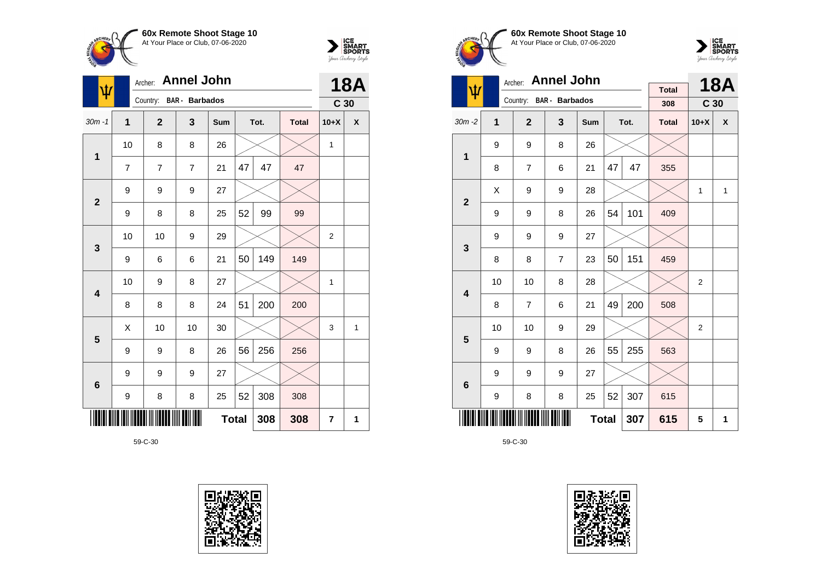



| ψ                       | Archer:      |                | <b>18A</b>            |              |    |      |              |                 |                    |
|-------------------------|--------------|----------------|-----------------------|--------------|----|------|--------------|-----------------|--------------------|
|                         |              | Country:       | <b>BAR</b> - Barbados |              |    |      |              | C <sub>30</sub> |                    |
| $30m - 1$               | $\mathbf{1}$ | $\overline{2}$ | 3                     | Sum          |    | Tot. | <b>Total</b> | $10+X$          | $\pmb{\mathsf{X}}$ |
| 1                       | 10           | 8              | 8                     | 26           |    |      |              | 1               |                    |
|                         | 7            | $\overline{7}$ | 7                     | 21           | 47 | 47   | 47           |                 |                    |
| $\mathbf{2}$            | 9            | 9              | 9                     | 27           |    |      |              |                 |                    |
|                         | 9            | 8              | 8                     | 25           | 52 | 99   | 99           |                 |                    |
| 3                       | 10           | 10             | 9                     | 29           |    |      |              | 2               |                    |
|                         | 9            | 6              | 6                     | 21           | 50 | 149  | 149          |                 |                    |
| $\overline{\mathbf{4}}$ | 10           | 9              | 8                     | 27           |    |      |              | 1               |                    |
|                         | 8            | 8              | 8                     | 24           | 51 | 200  | 200          |                 |                    |
| 5                       | Χ            | 10             | 10                    | 30           |    |      |              | 3               | $\mathbf{1}$       |
|                         | 9            | 9              | 8                     | 26           | 56 | 256  | 256          |                 |                    |
| $6\phantom{1}6$         | 9            | 9              | 9                     | 27           |    |      |              |                 |                    |
|                         | 9            | 8              | 8                     | 25           | 52 | 308  | 308          |                 |                    |
|                         |              |                |                       | <b>Total</b> |    | 308  | 308          | 7               | 1                  |







|                         |    | Archer: Annel John |                         |     |     | <b>18A</b> |              |                         |                    |
|-------------------------|----|--------------------|-------------------------|-----|-----|------------|--------------|-------------------------|--------------------|
| ψ                       |    |                    | Country: BAR - Barbados |     |     |            | <b>Total</b> |                         |                    |
|                         |    |                    |                         |     |     |            | 308          | C <sub>30</sub>         |                    |
| $30m - 2$               | 1  | $\mathbf{2}$       | 3                       | Sum |     | Tot.       | <b>Total</b> | $10+X$                  | $\pmb{\mathsf{X}}$ |
| 1                       | 9  | 9                  | 8                       | 26  |     |            |              |                         |                    |
|                         | 8  | $\overline{7}$     | 6                       | 21  | 47  | 47         | 355          |                         |                    |
| $\mathbf{2}$            | X  | 9                  | 9                       | 28  |     |            |              | 1                       | $\mathbf{1}$       |
|                         | 9  | 9                  | 8                       | 26  | 54  | 101        | 409          |                         |                    |
| 3                       | 9  | 9                  | 9                       | 27  |     |            |              |                         |                    |
|                         | 8  | 8                  | $\overline{7}$          | 23  | 50  | 151        | 459          |                         |                    |
| $\overline{\mathbf{4}}$ | 10 | 10                 | 8                       | 28  |     |            |              | $\overline{2}$          |                    |
|                         | 8  | 7                  | 6                       | 21  | 49  | 200        | 508          |                         |                    |
| 5                       | 10 | 10                 | 9                       | 29  |     |            |              | $\overline{\mathbf{c}}$ |                    |
|                         | 9  | 9                  | 8                       | 26  | 55  | 255        | 563          |                         |                    |
| $6\phantom{1}6$         | 9  | 9                  | 9                       | 27  |     |            |              |                         |                    |
|                         | 9  | 8                  | 8                       | 25  | 52  | 307        | 615          |                         |                    |
|                         |    |                    | <b>Total</b>            |     | 307 | 615        | 5            | 1                       |                    |

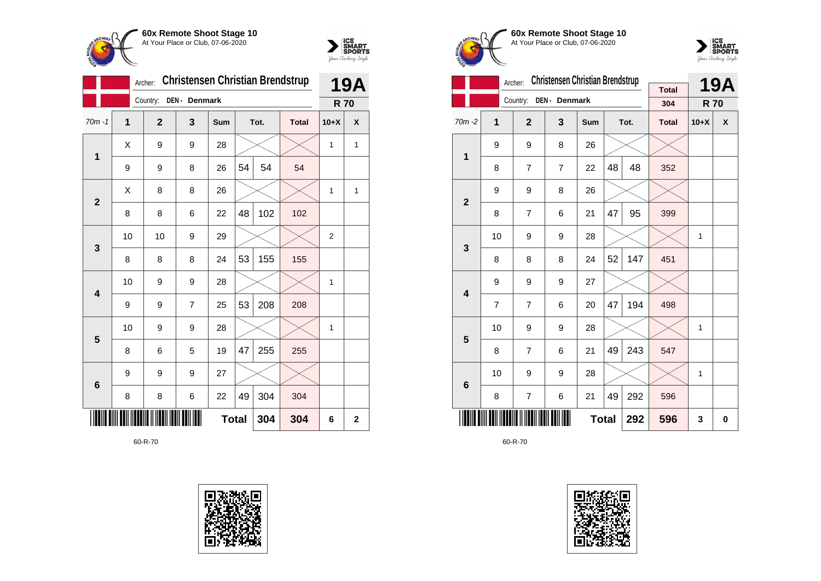



|                         |    | Archer:      | <b>Christensen Christian Brendstrup</b> |     | <b>19A</b>   |      |              |                |             |
|-------------------------|----|--------------|-----------------------------------------|-----|--------------|------|--------------|----------------|-------------|
|                         |    | Country:     | DEN - Denmark                           |     |              |      |              | <b>R70</b>     |             |
| $70m - 1$               | 1  | $\mathbf{2}$ | 3                                       | Sum |              | Tot. | <b>Total</b> | $10+X$         | X           |
| 1                       | X  | 9            | 9                                       | 28  |              |      |              | $\mathbf{1}$   | 1           |
|                         | 9  | 9            | 8                                       | 26  | 54           | 54   | 54           |                |             |
| $\overline{2}$          | X  | 8            | 8                                       | 26  |              |      |              | 1              | 1           |
|                         | 8  | 8            | 6                                       | 22  | 48           | 102  | 102          |                |             |
| 3                       | 10 | 10           | 9                                       | 29  |              |      |              | $\overline{2}$ |             |
|                         | 8  | 8            | 8                                       | 24  | 53           | 155  | 155          |                |             |
| $\overline{\mathbf{4}}$ | 10 | 9            | 9                                       | 28  |              |      |              | 1              |             |
|                         | 9  | 9            | 7                                       | 25  | 53           | 208  | 208          |                |             |
| 5                       | 10 | 9            | 9                                       | 28  |              |      |              | 1              |             |
|                         | 8  | 6            | 5                                       | 19  | 47           | 255  | 255          |                |             |
| 6                       | 9  | 9            | 9                                       | 27  |              |      |              |                |             |
|                         | 8  | 8            | 6                                       | 22  | 49           | 304  | 304          |                |             |
|                         |    |              |                                         |     | <b>Total</b> | 304  | 304          | 6              | $\mathbf 2$ |









|                         |                | Archer:        | <b>Christensen Christian Brendstrup</b> |              |     | <b>19A</b> |                     |            |   |
|-------------------------|----------------|----------------|-----------------------------------------|--------------|-----|------------|---------------------|------------|---|
|                         |                | Country:       | DEN- Denmark                            |              |     |            | <b>Total</b><br>304 | <b>R70</b> |   |
| $70m - 2$               | 1              | $\overline{2}$ | 3                                       | Sum          |     | Tot.       | <b>Total</b>        | $10+X$     | X |
| 1                       | 9              | 9              | 8                                       | 26           |     |            |                     |            |   |
|                         | 8              | $\overline{7}$ | $\overline{7}$                          | 22           | 48  | 48         | 352                 |            |   |
| $\overline{2}$          | 9              | 9              | 8                                       | 26           |     |            |                     |            |   |
|                         | 8              | $\overline{7}$ | 6                                       | 21           | 47  | 95         | 399                 |            |   |
| 3                       | 10             | 9              | 9                                       | 28           |     |            |                     | 1          |   |
|                         | 8              | 8              | 8                                       | 24           | 52  | 147        | 451                 |            |   |
| $\overline{\mathbf{4}}$ | 9              | 9              | 9                                       | 27           |     |            |                     |            |   |
|                         | $\overline{7}$ | $\overline{7}$ | 6                                       | 20           | 47  | 194        | 498                 |            |   |
| 5                       | 10             | 9              | 9                                       | 28           |     |            |                     | 1          |   |
|                         | 8              | $\overline{7}$ | 6                                       | 21           | 49  | 243        | 547                 |            |   |
| $6\phantom{1}$          | 10             | 9              | 9                                       | 28           |     |            |                     | 1          |   |
|                         | 8              | 6              | 21                                      | 49           | 292 | 596        |                     |            |   |
|                         |                |                |                                         | <b>Total</b> |     | 292        | 596                 | 3          | 0 |

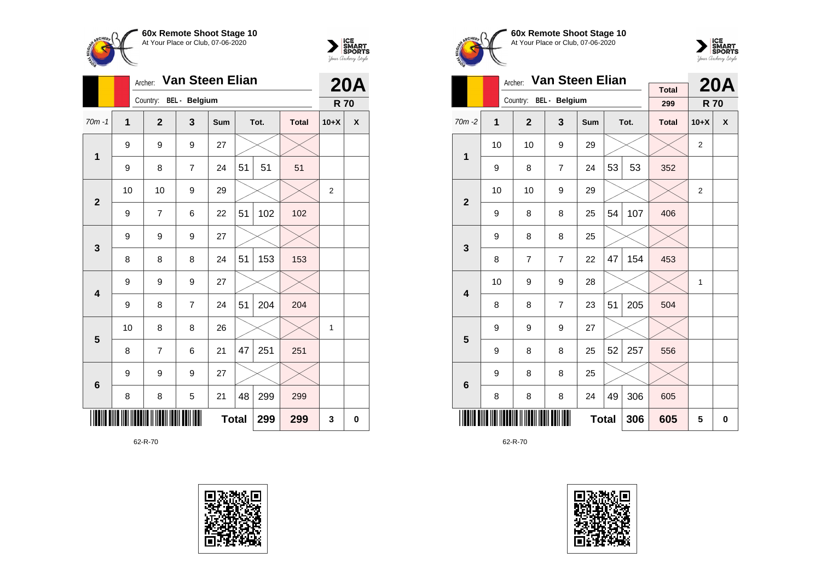



|                |                | <b>Van Steen Elian</b><br>Archer: |                |              |    |      |              |             |   |  |  |  |
|----------------|----------------|-----------------------------------|----------------|--------------|----|------|--------------|-------------|---|--|--|--|
|                |                | Country: BEL - Belgium            |                |              |    |      |              | <b>R70</b>  |   |  |  |  |
| $70m - 1$      | $\overline{1}$ | $\mathbf{2}$                      | 3              | Sum          |    | Tot. | <b>Total</b> | $10+X$      | X |  |  |  |
| $\mathbf{1}$   | 9              | 9                                 | 9              | 27           |    |      |              |             |   |  |  |  |
|                | 9              | 8                                 | $\overline{7}$ | 24           | 51 | 51   | 51           |             |   |  |  |  |
| $\overline{2}$ | 10             | 10                                | 9              | 29           |    |      |              | $\mathbf 2$ |   |  |  |  |
|                | 9              | $\overline{7}$                    | 6              | 22           | 51 | 102  | 102          |             |   |  |  |  |
| 3              | 9              | 9                                 | 9              | 27           |    |      |              |             |   |  |  |  |
|                | 8              | 8                                 | 8              | 24           | 51 | 153  | 153          |             |   |  |  |  |
| 4              | 9              | 9                                 | 9              | 27           |    |      |              |             |   |  |  |  |
|                | 9              | 8                                 | $\overline{7}$ | 24           | 51 | 204  | 204          |             |   |  |  |  |
| 5              | 10             | 8                                 | 8              | 26           |    |      |              | 1           |   |  |  |  |
|                | 8              | 7                                 | 6              | 21           | 47 | 251  | 251          |             |   |  |  |  |
| 6              | 9              | 9                                 | 9              | 27           |    |      |              |             |   |  |  |  |
|                | 8              | 8                                 | 5              | 21           | 48 | 299  | 299          |             |   |  |  |  |
|                |                |                                   |                | <b>Total</b> |    | 299  | 299          | 3           | 0 |  |  |  |







|                         |                     | Archer:                | <b>Van Steen Elian</b> |     |    |      | <b>20A</b>          |                |   |
|-------------------------|---------------------|------------------------|------------------------|-----|----|------|---------------------|----------------|---|
|                         |                     | Country: BEL - Belgium |                        |     |    |      | <b>Total</b><br>299 |                |   |
|                         |                     |                        |                        |     |    |      |                     | <b>R70</b>     |   |
| $70m - 2$               | 1                   | $\overline{2}$         | 3                      | Sum |    | Tot. | <b>Total</b>        | $10+X$         | X |
| 1                       | 10                  | 10                     | 9                      | 29  |    |      |                     | $\overline{2}$ |   |
|                         | 9                   | 8                      | $\overline{7}$         | 24  | 53 | 53   | 352                 |                |   |
| $\overline{2}$          | 10                  | 10                     | 9                      | 29  |    |      |                     | $\overline{2}$ |   |
|                         | 9                   | 8                      | 8                      | 25  | 54 | 107  | 406                 |                |   |
| 3                       | 9                   | 8                      | 8                      | 25  |    |      |                     |                |   |
|                         | 8                   | $\overline{7}$         | $\overline{7}$         | 22  | 47 | 154  | 453                 |                |   |
| $\overline{\mathbf{4}}$ | 10                  | 9                      | 9                      | 28  |    |      |                     | 1              |   |
|                         | 8                   | 8                      | $\overline{7}$         | 23  | 51 | 205  | 504                 |                |   |
| 5                       | 9                   | 9                      | 9                      | 27  |    |      |                     |                |   |
|                         | 9                   | 8                      | 8                      | 25  | 52 | 257  | 556                 |                |   |
| 6                       | 9                   | 8                      | 8                      | 25  |    |      |                     |                |   |
|                         | 8                   | 8                      | 306                    | 605 |    |      |                     |                |   |
|                         | <b>Total</b><br>306 |                        |                        |     |    |      |                     | 5              | 0 |

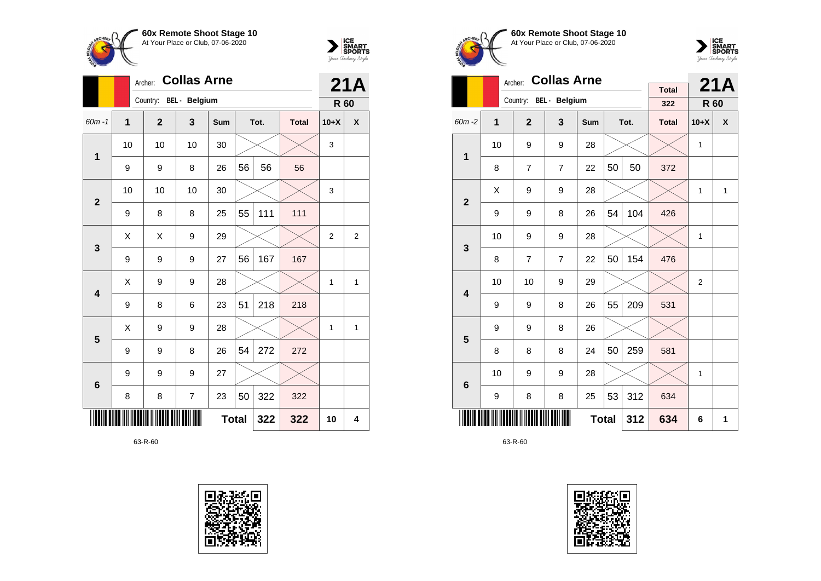



|                         | Archer:                    |                |                | 21A        |    |      |              |                |                |
|-------------------------|----------------------------|----------------|----------------|------------|----|------|--------------|----------------|----------------|
|                         |                            | Country:       | BEL - Belgium  |            |    |      |              | R 60           |                |
| $60m - 1$               | $\overline{1}$             | $\overline{2}$ | 3              | <b>Sum</b> |    | Tot. | <b>Total</b> | $10+X$         | X              |
| 1                       | 10                         | 10             | 10             | 30         |    |      |              | 3              |                |
|                         | 9                          | 9              | 8              | 26         | 56 | 56   | 56           |                |                |
| $\overline{2}$          | 10                         | 10             | 10             | 30         |    |      |              | 3              |                |
|                         | 9                          | 8              | 8              | 25         | 55 | 111  | 111          |                |                |
| 3                       | X                          | Χ              | 9              | 29         |    |      |              | $\overline{2}$ | $\overline{2}$ |
|                         | 9                          | 9              | 9              | 27         | 56 | 167  | 167          |                |                |
| $\overline{\mathbf{4}}$ | Χ                          | 9              | 9              | 28         |    |      |              | 1              | 1              |
|                         | 9                          | 8              | 6              | 23         | 51 | 218  | 218          |                |                |
| 5                       | X                          | 9              | 9              | 28         |    |      |              | $\mathbf{1}$   | 1              |
|                         | 9                          | 9              | 8              | 26         | 54 | 272  | 272          |                |                |
| $6\phantom{1}6$         | 9                          | 9              | 9              | 27         |    |      |              |                |                |
|                         | 8                          | 8              | $\overline{7}$ | 23         | 50 | 322  | 322          |                |                |
|                         | <b>Total</b><br>322<br>322 |                |                |            |    |      |              |                |                |







|                |    | <b>Collas Arne</b><br>Archer: |                |            |              | 21A  |                     |                |              |
|----------------|----|-------------------------------|----------------|------------|--------------|------|---------------------|----------------|--------------|
|                |    | Country:                      | BEL - Belgium  |            |              |      | <b>Total</b><br>322 | R 60           |              |
| $60m - 2$      | 1  | $\overline{2}$                | 3              | <b>Sum</b> |              | Tot. | <b>Total</b>        | $10+X$         | X            |
| 1              | 10 | 9                             | 9              | 28         |              |      |                     | 1              |              |
|                | 8  | $\overline{7}$                | $\overline{7}$ | 22         | 50           | 50   | 372                 |                |              |
| $\overline{2}$ | Χ  | 9                             | 9              | 28         |              |      |                     | 1              | $\mathbf{1}$ |
|                | 9  | 9                             | 8              | 26         | 54           | 104  | 426                 |                |              |
| 3              | 10 | 9                             | 9              | 28         |              |      |                     | 1              |              |
|                | 8  | $\overline{7}$                | $\overline{7}$ | 22         | 50           | 154  | 476                 |                |              |
| 4              | 10 | 10                            | 9              | 29         |              |      |                     | $\overline{2}$ |              |
|                | 9  | 9                             | 8              | 26         | 55           | 209  | 531                 |                |              |
| 5              | 9  | 9                             | 8              | 26         |              |      |                     |                |              |
|                | 8  | 8                             | 8              | 24         | 50           | 259  | 581                 |                |              |
| 6              | 10 | 9                             | 9              | 28         |              |      |                     | 1              |              |
|                | 9  | 8                             | 8              | 25         | 53           | 312  | 634                 |                |              |
|                |    |                               |                |            | <b>Total</b> | 312  | 634                 | 6              | 1            |

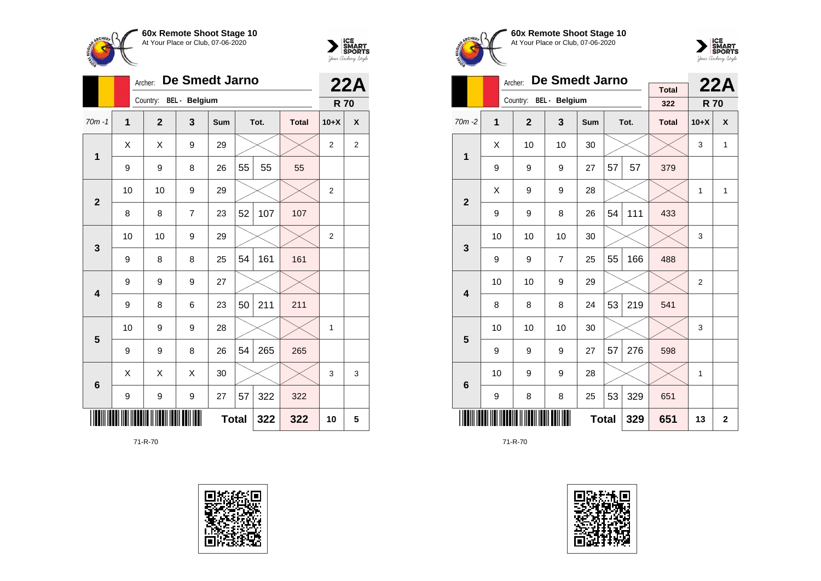



|                |                | De Smedt Jarno<br>Archer: |   |              | <b>22A</b> |      |              |                |   |
|----------------|----------------|---------------------------|---|--------------|------------|------|--------------|----------------|---|
|                |                | Country: BEL - Belgium    |   |              |            |      |              | <b>R70</b>     |   |
| $70m - 1$      | $\overline{1}$ | $\overline{2}$            | 3 | Sum          |            | Tot. | <b>Total</b> | $10+X$         | X |
| 1              | X              | X                         | 9 | 29           |            |      |              | $\overline{2}$ | 2 |
|                | 9              | 9                         | 8 | 26           | 55         | 55   | 55           |                |   |
| $\overline{2}$ | 10             | 10                        | 9 | 29           |            |      |              | $\overline{2}$ |   |
|                | 8              | 8                         | 7 | 23           | 52         | 107  | 107          |                |   |
| 3              | 10             | 10                        | 9 | 29           |            |      |              | $\overline{2}$ |   |
|                | 9              | 8                         | 8 | 25           | 54         | 161  | 161          |                |   |
| 4              | 9              | 9                         | 9 | 27           |            |      |              |                |   |
|                | 9              | 8                         | 6 | 23           | 50         | 211  | 211          |                |   |
| 5              | 10             | 9                         | 9 | 28           |            |      |              | 1              |   |
|                | 9              | 9                         | 8 | 26           | 54         | 265  | 265          |                |   |
| 6              | X              | Χ                         | Χ | 30           |            |      |              | 3              | 3 |
|                | 9              | 9                         | 9 | 27           | 57         | 322  | 322          |                |   |
|                |                |                           |   | <b>Total</b> |            | 322  | 322          | 10             | 5 |







|                         |    | De Smedt Jarno<br>Archer: |                      | <b>Total</b> |    | 22A          |              |            |              |
|-------------------------|----|---------------------------|----------------------|--------------|----|--------------|--------------|------------|--------------|
|                         |    | Country:                  | <b>BEL</b> - Belgium |              |    |              | 322          | <b>R70</b> |              |
| $70m - 2$               | 1  | $\overline{2}$            | 3                    | <b>Sum</b>   |    | Tot.         | <b>Total</b> | $10+X$     | X            |
| $\mathbf{1}$            | Χ  | 10                        | 10                   | 30           |    |              |              | 3          | $\mathbf{1}$ |
|                         | 9  | 9                         | 9                    | 27           | 57 | 57           | 379          |            |              |
| $\overline{2}$          | X  | 9                         | 9                    | 28           |    |              |              | 1          | $\mathbf{1}$ |
|                         | 9  | 9                         | 8                    | 26           | 54 | 111          | 433          |            |              |
| 3                       | 10 | 10                        | 10                   | 30           |    |              |              | 3          |              |
|                         | 9  | 9                         | $\overline{7}$       | 25           | 55 | 166          | 488          |            |              |
| $\overline{\mathbf{4}}$ | 10 | 10                        | 9                    | 29           |    |              |              | 2          |              |
|                         | 8  | 8                         | 8                    | 24           | 53 | 219          | 541          |            |              |
| 5                       | 10 | 10                        | 10                   | 30           |    |              |              | 3          |              |
|                         | 9  | 9                         | 9                    | 27           | 57 | 276          | 598          |            |              |
| 6                       | 10 | 9                         | 9                    | 28           |    |              |              | 1          |              |
|                         | 9  | 8                         | 8                    | 25           | 53 | 329          | 651          |            |              |
|                         |    |                           | 329                  | 651          | 13 | $\mathbf{2}$ |              |            |              |

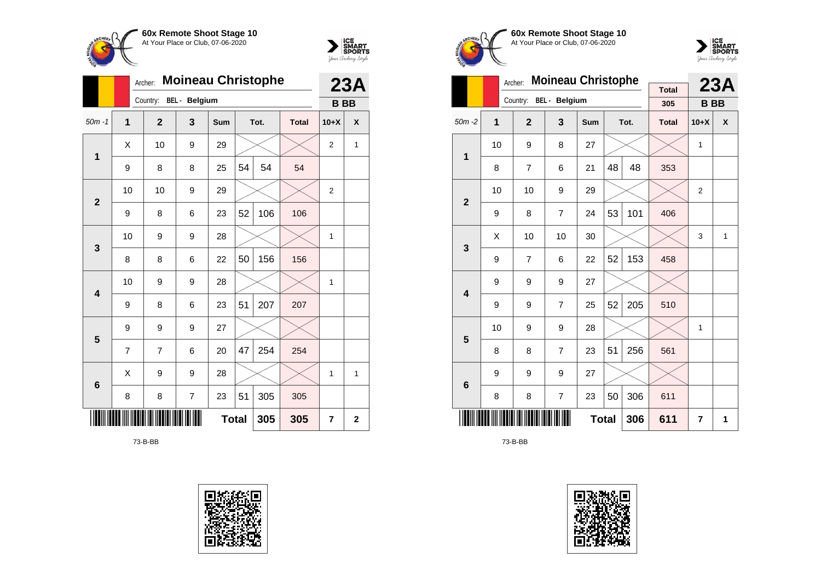



|                 |                | <b>Moineau Christophe</b><br>Archer: |                |     | 23A          |      |              |                  |              |
|-----------------|----------------|--------------------------------------|----------------|-----|--------------|------|--------------|------------------|--------------|
|                 |                | Country:                             | BEL - Belgium  |     |              |      |              | <b>BB</b>        |              |
| $50m - 1$       | $\overline{1}$ | $\mathbf{2}$                         | 3              | Sum |              | Tot. | <b>Total</b> | $10+X$           | X            |
| 1               | X              | 10                                   | 9              | 29  |              |      |              | $\overline{2}$   | 1            |
|                 | 9              | 8                                    | 8              | 25  | 54           | 54   | 54           |                  |              |
| $\overline{2}$  | 10             | 10                                   | 9              | 29  |              |      |              | $\boldsymbol{2}$ |              |
|                 | 9              | 8                                    | 6              | 23  | 52           | 106  | 106          |                  |              |
| $\mathbf{3}$    | 10             | 9                                    | 9              | 28  |              |      |              | 1                |              |
|                 | 8              | 8                                    | 6              | 22  | 50           | 156  | 156          |                  |              |
| 4               | 10             | 9                                    | 9              | 28  |              |      |              | 1                |              |
|                 | 9              | 8                                    | 6              | 23  | 51           | 207  | 207          |                  |              |
| 5               | 9              | 9                                    | 9              | 27  |              |      |              |                  |              |
|                 | 7              | 7                                    | 6              | 20  | 47           | 254  | 254          |                  |              |
| $6\phantom{1}6$ | X              | 9                                    | 9              | 28  |              |      |              | 1                | 1            |
|                 | 8              | 8                                    | $\overline{7}$ | 23  | 51           | 305  | 305          |                  |              |
|                 |                |                                      |                |     | <b>Total</b> | 305  | 305          | 7                | $\mathbf{2}$ |

73-B-BB







|                         |    | Archer:        | <b>Moineau Christophe</b> |            |    | <b>23A</b> |                     |                |   |
|-------------------------|----|----------------|---------------------------|------------|----|------------|---------------------|----------------|---|
|                         |    | Country:       | <b>BEL</b> - Belgium      |            |    |            | <b>Total</b><br>305 | <b>BB</b>      |   |
| $50m - 2$               | 1  | $\overline{2}$ | 3                         | <b>Sum</b> |    | Tot.       | <b>Total</b>        | $10+X$         | X |
| 1                       | 10 | 9              | 8                         | 27         |    |            |                     | 1              |   |
|                         | 8  | $\overline{7}$ | 6                         | 21         | 48 | 48         | 353                 |                |   |
| $\overline{2}$          | 10 | 10             | 9                         | 29         |    |            |                     | $\overline{2}$ |   |
|                         | 9  | 8              | $\overline{7}$            | 24         | 53 | 101        | 406                 |                |   |
| 3                       | X  | 10             | 10                        | 30         |    |            |                     | 3              | 1 |
|                         | 9  | $\overline{7}$ | 6                         | 22         | 52 | 153        | 458                 |                |   |
| $\overline{\mathbf{4}}$ | 9  | 9              | 9                         | 27         |    |            |                     |                |   |
|                         | 9  | 9              | $\overline{7}$            | 25         | 52 | 205        | 510                 |                |   |
| 5                       | 10 | 9              | 9                         | 28         |    |            |                     | 1              |   |
|                         | 8  | 8              | $\overline{7}$            | 23         | 51 | 256        | 561                 |                |   |
| $6\phantom{1}6$         | 9  | 9              | 9                         | 27         |    |            |                     |                |   |
|                         | 8  | 8              | $\overline{7}$            | 23         | 50 | 306        | 611                 |                |   |
|                         |    |                | 306                       | 611        | 7  | 1          |                     |                |   |

73-B-BB

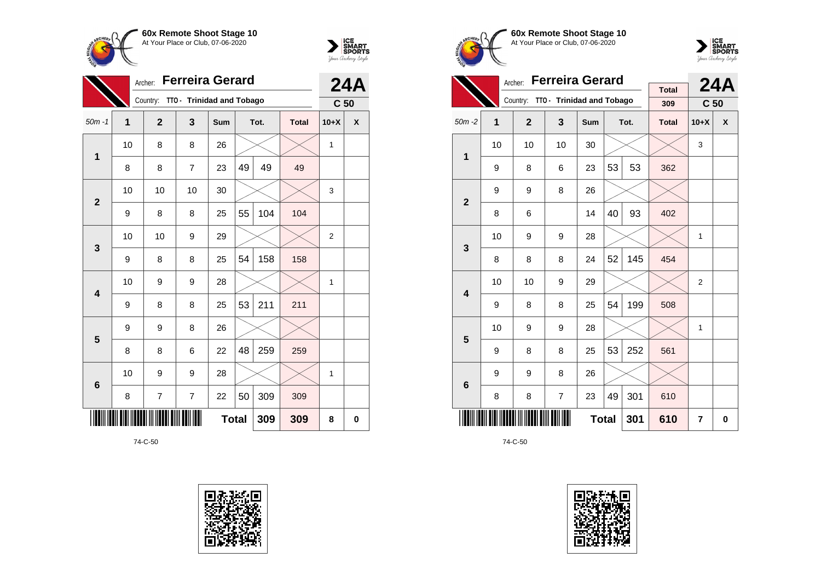



|                 |              | Archer:        | <b>Ferreira Gerard</b>    |              |    |      | <b>24A</b>   |                 |   |
|-----------------|--------------|----------------|---------------------------|--------------|----|------|--------------|-----------------|---|
|                 |              | Country:       | TTO - Trinidad and Tobago |              |    |      |              | C <sub>50</sub> |   |
| $50m - 1$       | $\mathbf{1}$ | $\overline{2}$ | 3                         | Sum          |    | Tot. | <b>Total</b> | $10+X$          | X |
| $\mathbf{1}$    | 10           | 8              | 8                         | 26           |    |      |              | 1               |   |
|                 | 8            | 8              | $\overline{7}$            | 23           | 49 | 49   | 49           |                 |   |
| $\overline{2}$  | 10           | 10             | 10                        | 30           |    |      |              | 3               |   |
|                 | 9            | 8              | 8                         | 25           | 55 | 104  | 104          |                 |   |
| 3               | 10           | 10             | 9                         | 29           |    |      |              | $\overline{2}$  |   |
|                 | 9            | 8              | 8                         | 25           | 54 | 158  | 158          |                 |   |
| 4               | 10           | 9              | 9                         | 28           |    |      |              | 1               |   |
|                 | 9            | 8              | 8                         | 25           | 53 | 211  | 211          |                 |   |
| 5               | 9            | 9              | 8                         | 26           |    |      |              |                 |   |
|                 | 8            | 8              | 6                         | 22           | 48 | 259  | 259          |                 |   |
| $6\phantom{1}6$ | 10           | 9              | 9                         | 28           |    |      |              | 1               |   |
|                 | 8            | $\overline{7}$ | $\overline{7}$            | 22           | 50 | 309  | 309          |                 |   |
|                 |              |                |                           | <b>Total</b> |    | 309  | 309          | 8               | 0 |







|                         |    | <b>Ferreira Gerard</b><br>Archer:  |                |              |    | <b>24A</b> |              |                 |   |
|-------------------------|----|------------------------------------|----------------|--------------|----|------------|--------------|-----------------|---|
|                         |    | Country: TTO - Trinidad and Tobago |                |              |    |            | <b>Total</b> |                 |   |
|                         |    |                                    |                |              |    |            | 309          | C <sub>50</sub> |   |
| $50m - 2$               | 1  | $\overline{2}$                     | 3              | Sum          |    | Tot.       | <b>Total</b> | $10+X$          | X |
| 1                       | 10 | 10                                 | 10             | 30           |    |            |              | 3               |   |
|                         | 9  | 8                                  | 6              | 23           | 53 | 53         | 362          |                 |   |
| $\overline{2}$          | 9  | 9                                  | 8              | 26           |    |            |              |                 |   |
|                         | 8  | 6                                  |                | 14           | 40 | 93         | 402          |                 |   |
| 3                       | 10 | 9                                  | 9              | 28           |    |            |              | 1               |   |
|                         | 8  | 8                                  | 8              | 24           | 52 | 145        | 454          |                 |   |
| $\overline{\mathbf{4}}$ | 10 | 10                                 | 9              | 29           |    |            |              | 2               |   |
|                         | 9  | 8                                  | 8              | 25           | 54 | 199        | 508          |                 |   |
| 5                       | 10 | 9                                  | 9              | 28           |    |            |              | 1               |   |
|                         | 9  | 8                                  | 8              | 25           | 53 | 252        | 561          |                 |   |
| 6                       | 9  | 9                                  | 8              | 26           |    |            |              |                 |   |
|                         | 8  | 8                                  | $\overline{7}$ | 23           | 49 | 301        | 610          |                 |   |
|                         |    |                                    |                | <b>Total</b> |    | 301        | 610          | 7               | 0 |

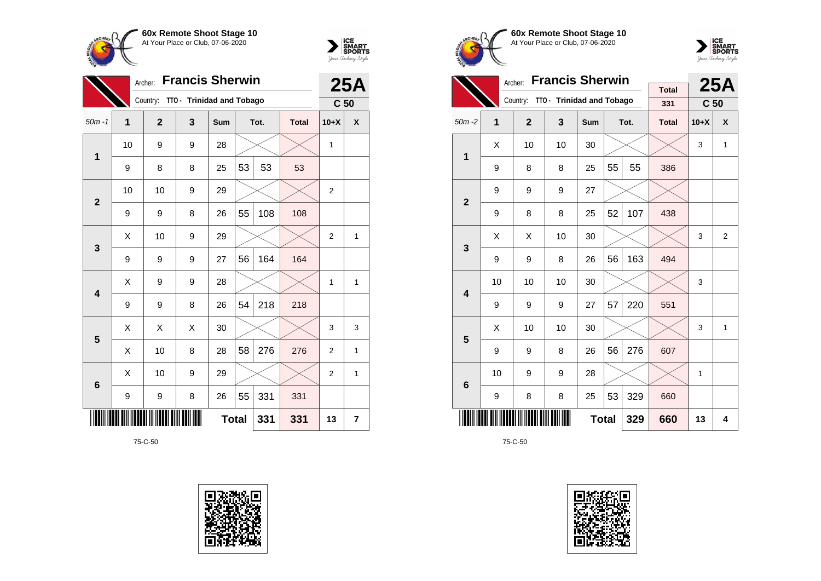



|                         | <b>Francis Sherwin</b><br>Archer: |              |                           |              |    |      |              | 25A             |                         |
|-------------------------|-----------------------------------|--------------|---------------------------|--------------|----|------|--------------|-----------------|-------------------------|
|                         |                                   | Country:     | TTO - Trinidad and Tobago |              |    |      |              | C <sub>50</sub> |                         |
| $50m - 1$               | 1                                 | $\mathbf{2}$ | 3                         | Sum          |    | Tot. | <b>Total</b> | $10+X$          | X                       |
| $\mathbf{1}$            | 10                                | 9            | 9                         | 28           |    |      |              | 1               |                         |
|                         | 9                                 | 8            | 8                         | 25           | 53 | 53   | 53           |                 |                         |
| $\overline{2}$          | 10                                | 10           | 9                         | 29           |    |      |              | $\overline{2}$  |                         |
|                         | 9                                 | 9            | 8                         | 26           | 55 | 108  | 108          |                 |                         |
| 3                       | Χ                                 | 10           | 9                         | 29           |    |      |              | $\overline{2}$  | 1                       |
|                         | 9                                 | 9            | 9                         | 27           | 56 | 164  | 164          |                 |                         |
| $\overline{\mathbf{4}}$ | Χ                                 | 9            | 9                         | 28           |    |      |              | 1               | 1                       |
|                         | 9                                 | 9            | 8                         | 26           | 54 | 218  | 218          |                 |                         |
| 5                       | Χ                                 | Χ            | Χ                         | 30           |    |      |              | 3               | 3                       |
|                         | X                                 | 10           | 8                         | 28           | 58 | 276  | 276          | $\overline{2}$  | 1                       |
| $6\phantom{1}6$         | X                                 | 10           | 9                         | 29           |    |      |              | $\overline{2}$  | 1                       |
|                         | 9                                 | 9            | 8                         | 26           | 55 | 331  | 331          |                 |                         |
|                         |                                   |              |                           | <b>Total</b> |    | 331  | 331          | 13              | $\overline{\mathbf{r}}$ |







|                         |    | <b>Francis Sherwin</b><br>Archer:  |    |     |              | <b>25A</b> |              |                 |              |
|-------------------------|----|------------------------------------|----|-----|--------------|------------|--------------|-----------------|--------------|
|                         |    | Country: TTO - Trinidad and Tobago |    |     |              |            | <b>Total</b> |                 |              |
|                         |    |                                    |    |     |              |            | 331          | C <sub>50</sub> |              |
| $50m - 2$               | 1  | $\overline{2}$                     | 3  | Sum |              | Tot.       | <b>Total</b> | $10+X$          | X            |
| 1                       | X  | 10                                 | 10 | 30  |              |            |              | 3               | $\mathbf{1}$ |
|                         | 9  | 8                                  | 8  | 25  | 55           | 55         | 386          |                 |              |
| $\overline{2}$          | 9  | 9                                  | 9  | 27  |              |            |              |                 |              |
|                         | 9  | 8                                  | 8  | 25  | 52           | 107        | 438          |                 |              |
| 3                       | X  | X                                  | 10 | 30  |              |            |              | 3               | 2            |
|                         | 9  | 9                                  | 8  | 26  | 56           | 163        | 494          |                 |              |
| $\overline{\mathbf{4}}$ | 10 | 10                                 | 10 | 30  |              |            |              | 3               |              |
|                         | 9  | 9                                  | 9  | 27  | 57           | 220        | 551          |                 |              |
| 5                       | X  | 10                                 | 10 | 30  |              |            |              | 3               | 1            |
|                         | 9  | 9                                  | 8  | 26  | 56           | 276        | 607          |                 |              |
| 6                       | 10 | 9                                  | 9  | 28  |              |            |              | 1               |              |
|                         | 9  | 8                                  | 8  | 25  | 53           | 329        | 660          |                 |              |
|                         |    |                                    |    |     | <b>Total</b> | 329        | 660          | 13              | 4            |

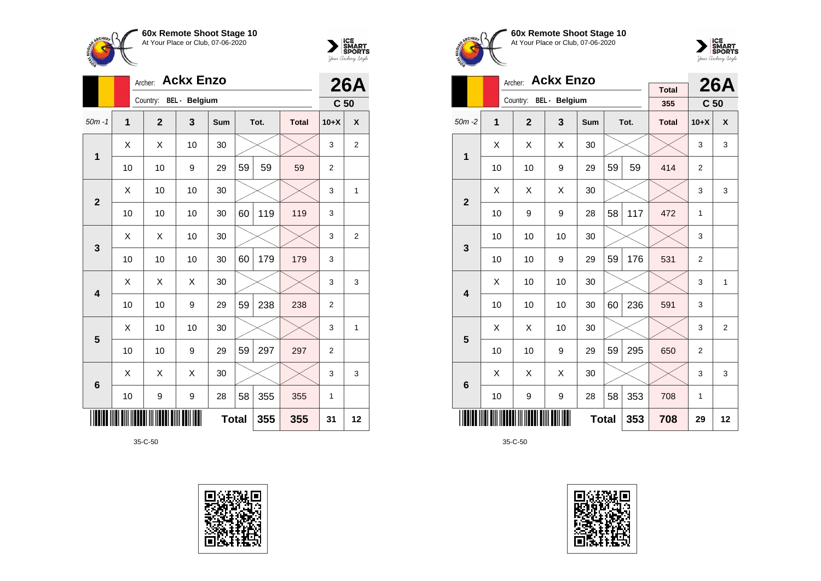



|                         | Archer:                    |                |                      | <b>26A</b> |    |      |              |                 |                |  |
|-------------------------|----------------------------|----------------|----------------------|------------|----|------|--------------|-----------------|----------------|--|
|                         |                            | Country:       | <b>BEL</b> - Belgium |            |    |      |              | C <sub>50</sub> |                |  |
| $50m - 1$               | 1                          | $\overline{2}$ | 3                    | <b>Sum</b> |    | Tot. | <b>Total</b> | $10+X$          | X              |  |
| 1                       | X                          | X              | 10                   | 30         |    |      |              | 3               | 2              |  |
|                         | 10                         | 10             | 9                    | 29         | 59 | 59   | 59           | $\overline{2}$  |                |  |
| $\overline{2}$          | X                          | 10             | 10                   | 30         |    |      |              | 3               | 1              |  |
|                         | 10                         | 10             | 10                   | 30         | 60 | 119  | 119          | 3               |                |  |
| 3                       | X                          | X              | 10                   | 30         |    |      |              | 3               | $\overline{2}$ |  |
|                         | 10                         | 10             | 10                   | 30         | 60 | 179  | 179          | 3               |                |  |
| $\overline{\mathbf{4}}$ | X                          | X              | X                    | 30         |    |      |              | 3               | 3              |  |
|                         | 10                         | 10             | 9                    | 29         | 59 | 238  | 238          | $\overline{2}$  |                |  |
| 5                       | X                          | 10             | 10                   | 30         |    |      |              | 3               | 1              |  |
|                         | 10                         | 10             | 9                    | 29         | 59 | 297  | 297          | $\overline{2}$  |                |  |
| $6\phantom{1}6$         | X                          | X              | X                    | 30         |    |      |              | 3               | 3              |  |
|                         | 10                         | 9              | 9                    | 28         | 58 | 355  | 355          | 1               |                |  |
|                         | <b>Total</b><br>355<br>355 |                |                      |            |    |      |              |                 |                |  |









|                         |    | <b>Ackx Enzo</b><br>Archer: |                      |              |    | <b>26A</b> |                     |                 |                |
|-------------------------|----|-----------------------------|----------------------|--------------|----|------------|---------------------|-----------------|----------------|
|                         |    | Country:                    | <b>BEL</b> - Belgium |              |    |            | <b>Total</b><br>355 | C <sub>50</sub> |                |
| $50m - 2$               | 1  | $\overline{2}$              | 3                    | <b>Sum</b>   |    | Tot.       | <b>Total</b>        | $10+X$          | X              |
| 1                       | X  | X                           | X                    | 30           |    |            |                     | 3               | 3              |
|                         | 10 | 10                          | 9                    | 29           | 59 | 59         | 414                 | $\overline{2}$  |                |
| $\overline{2}$          | X  | X                           | X                    | 30           |    |            |                     | 3               | 3              |
|                         | 10 | 9                           | 9                    | 28           | 58 | 117        | 472                 | 1               |                |
| 3                       | 10 | 10                          | 10                   | 30           |    |            |                     | 3               |                |
|                         | 10 | 10                          | 9                    | 29           | 59 | 176        | 531                 | $\overline{2}$  |                |
| $\overline{\mathbf{4}}$ | X  | 10                          | 10                   | 30           |    |            |                     | 3               | $\mathbf{1}$   |
|                         | 10 | 10                          | 10                   | 30           | 60 | 236        | 591                 | 3               |                |
| 5                       | X  | X                           | 10                   | 30           |    |            |                     | 3               | $\overline{2}$ |
|                         | 10 | 10                          | 9                    | 29           | 59 | 295        | 650                 | 2               |                |
| $6\phantom{1}6$         | X  | X                           | X                    | 30           |    |            |                     | 3               | 3              |
|                         | 10 | 9                           | 9                    | 28           | 58 | 353        | 708                 | $\mathbf{1}$    |                |
|                         |    |                             |                      | <b>Total</b> |    | 353        | 708                 | 29              | 12             |

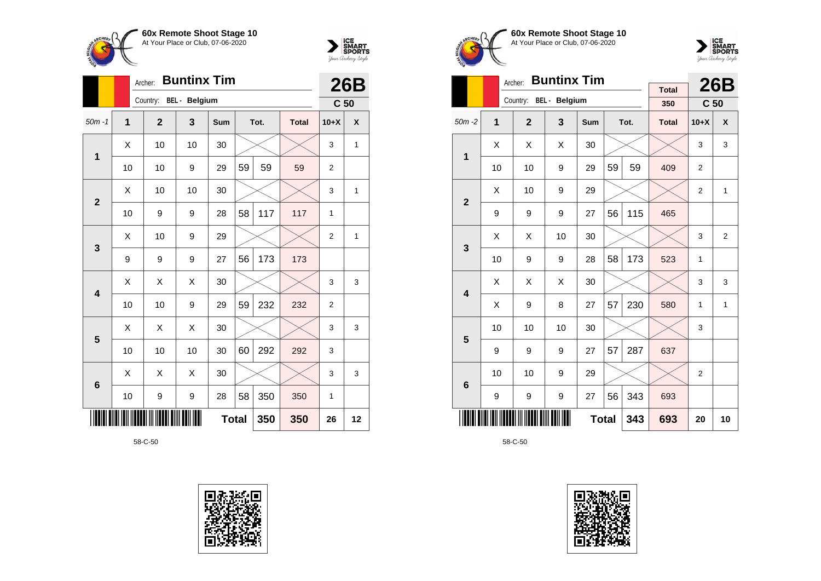



|                 | Archer:        |                        |    | 26B          |    |      |              |                 |    |
|-----------------|----------------|------------------------|----|--------------|----|------|--------------|-----------------|----|
|                 |                | Country: BEL - Belgium |    |              |    |      |              | C <sub>50</sub> |    |
| $50m - 1$       | $\overline{1}$ | $\mathbf{2}$           | 3  | <b>Sum</b>   |    | Tot. | <b>Total</b> | $10+X$          | X  |
| 1               | X              | 10                     | 10 | 30           |    |      |              | 3               | 1  |
|                 | 10             | 10                     | 9  | 29           | 59 | 59   | 59           | $\overline{2}$  |    |
| $\overline{2}$  | X              | 10                     | 10 | 30           |    |      |              | 3               | 1  |
|                 | 10             | 9                      | 9  | 28           | 58 | 117  | 117          | 1               |    |
| 3               | X              | 10                     | 9  | 29           |    |      |              | $\overline{2}$  | 1  |
|                 | 9              | 9                      | 9  | 27           | 56 | 173  | 173          |                 |    |
| 4               | X              | Χ                      | X  | 30           |    |      |              | 3               | 3  |
|                 | 10             | 10                     | 9  | 29           | 59 | 232  | 232          | 2               |    |
| 5               | X              | X                      | X  | 30           |    |      |              | 3               | 3  |
|                 | 10             | 10                     | 10 | 30           | 60 | 292  | 292          | 3               |    |
| $6\phantom{1}6$ | X              | X                      | X  | 30           |    |      |              | 3               | 3  |
|                 | 10             | 9                      | 9  | 28           | 58 | 350  | 350          | 1               |    |
|                 |                |                        |    | <b>Total</b> |    | 350  | 350          | 26              | 12 |









|                         |                     | <b>Buntinx Tim</b><br>Archer: |               | <b>Total</b> |    | <b>26B</b> |              |                 |                |
|-------------------------|---------------------|-------------------------------|---------------|--------------|----|------------|--------------|-----------------|----------------|
|                         |                     | Country:                      | BEL - Belgium |              |    |            | 350          | C <sub>50</sub> |                |
| $50m - 2$               | 1                   | $\overline{2}$                | 3             | <b>Sum</b>   |    | Tot.       | <b>Total</b> | $10+X$          | X              |
|                         | X                   | Χ                             | X             | 30           |    |            |              | 3               | 3              |
| 1                       | 10                  | 10                            | 9             | 29           | 59 | 59         | 409          | $\overline{2}$  |                |
| $\overline{2}$          | X                   | 10                            | 9             | 29           |    |            |              | $\overline{2}$  | 1              |
|                         | 9                   | 9                             | 9             | 27           | 56 | 115        | 465          |                 |                |
| 3                       | X                   | X                             | 10            | 30           |    |            |              | 3               | $\overline{2}$ |
|                         | 10                  | 9                             | 9             | 28           | 58 | 173        | 523          | 1               |                |
| $\overline{\mathbf{4}}$ | X                   | Χ                             | X             | 30           |    |            |              | 3               | 3              |
|                         | X                   | 9                             | 8             | 27           | 57 | 230        | 580          | 1               | 1              |
| 5                       | 10                  | 10                            | 10            | 30           |    |            |              | 3               |                |
|                         | 9                   | 9                             | 9             | 27           | 57 | 287        | 637          |                 |                |
| $\bf 6$                 | 10                  | 10                            | 9             | 29           |    |            |              | $\overline{2}$  |                |
|                         | 9                   | 9                             | 9             | 27           | 56 | 343        | 693          |                 |                |
|                         | <b>Total</b><br>343 |                               |               |              |    |            |              | 20              | 10             |

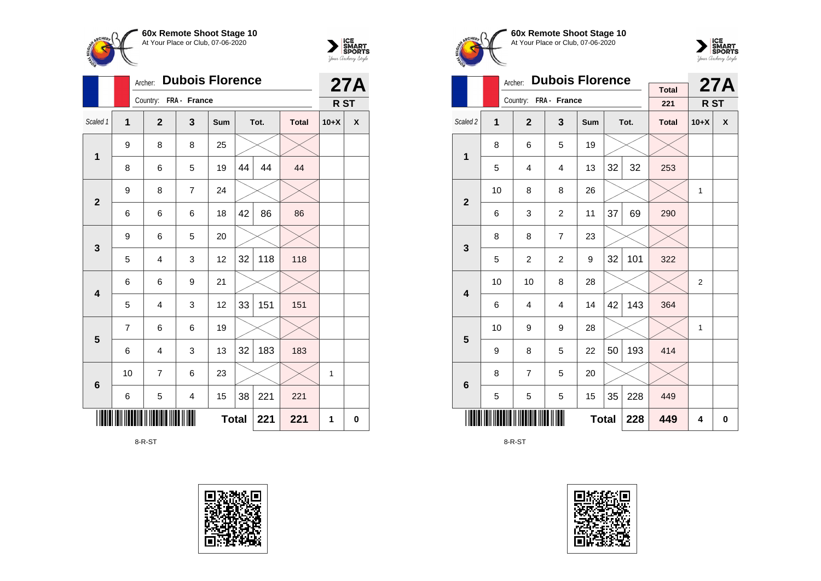



|                |    | <b>Dubois Florence</b><br>Archer: |                |                     | <b>27A</b> |      |              |        |          |
|----------------|----|-----------------------------------|----------------|---------------------|------------|------|--------------|--------|----------|
|                |    | Country: FRA - France             |                |                     |            |      |              | R ST   |          |
| Scaled 1       | 1  | $\mathbf{2}$                      | 3              | Sum                 |            | Tot. | <b>Total</b> | $10+X$ | X        |
| $\mathbf{1}$   | 9  | 8                                 | 8              | 25                  |            |      |              |        |          |
|                | 8  | 6                                 | 5              | 19                  | 44         | 44   | 44           |        |          |
| $\mathbf{2}$   | 9  | 8                                 | $\overline{7}$ | 24                  |            |      |              |        |          |
|                | 6  | 6                                 | 6              | 18                  | 42         | 86   | 86           |        |          |
| $\mathbf{3}$   | 9  | 6                                 | 5              | 20                  |            |      |              |        |          |
|                | 5  | 4                                 | 3              | 12                  | 32         | 118  | 118          |        |          |
| 4              | 6  | 6                                 | 9              | 21                  |            |      |              |        |          |
|                | 5  | 4                                 | 3              | 12                  | 33         | 151  | 151          |        |          |
| $5\phantom{1}$ | 7  | 6                                 | 6              | 19                  |            |      |              |        |          |
|                | 6  | 4                                 | 3              | 13                  | 32         | 183  | 183          |        |          |
| $\bf 6$        | 10 | 7                                 | 6              | 23                  |            |      |              | 1      |          |
|                | 6  | 5                                 | 4              | 15                  | 38         | 221  | 221          |        |          |
|                |    |                                   |                | <b>Total</b><br>221 |            |      | 221          | 1      | $\bf{0}$ |

8-R-ST







|                         |    | Archer:               | <b>Dubois Florence</b> |     |    |      | <b>27A</b>          |                |                    |
|-------------------------|----|-----------------------|------------------------|-----|----|------|---------------------|----------------|--------------------|
|                         |    | Country: FRA - France |                        |     |    |      | <b>Total</b><br>221 | R ST           |                    |
| Scaled <sub>2</sub>     | 1  | $\overline{2}$        | 3                      | Sum |    | Tot. | <b>Total</b>        | $10+X$         | $\pmb{\mathsf{X}}$ |
| 1                       | 8  | 6                     | 5                      | 19  |    |      |                     |                |                    |
|                         | 5  | 4                     | $\overline{4}$         | 13  | 32 | 32   | 253                 |                |                    |
| $\overline{2}$          | 10 | 8                     | 8                      | 26  |    |      |                     | 1              |                    |
|                         | 6  | 3                     | $\overline{2}$         | 11  | 37 | 69   | 290                 |                |                    |
| 3                       | 8  | 8                     | $\overline{7}$         | 23  |    |      |                     |                |                    |
|                         | 5  | $\overline{2}$        | $\overline{2}$         | 9   | 32 | 101  | 322                 |                |                    |
| $\overline{\mathbf{4}}$ | 10 | 10                    | 8                      | 28  |    |      |                     | $\overline{2}$ |                    |
|                         | 6  | 4                     | 4                      | 14  | 42 | 143  | 364                 |                |                    |
| 5                       | 10 | 9                     | 9                      | 28  |    |      |                     | 1              |                    |
|                         | 9  | 8                     | 5                      | 22  | 50 | 193  | 414                 |                |                    |
| $6\phantom{1}$          | 8  | $\overline{7}$        | 5                      | 20  |    |      |                     |                |                    |
|                         | 5  | 5                     | 5                      | 15  | 35 | 228  | 449                 |                |                    |
|                         |    |                       | 228                    | 449 | 4  | 0    |                     |                |                    |

8-R-ST

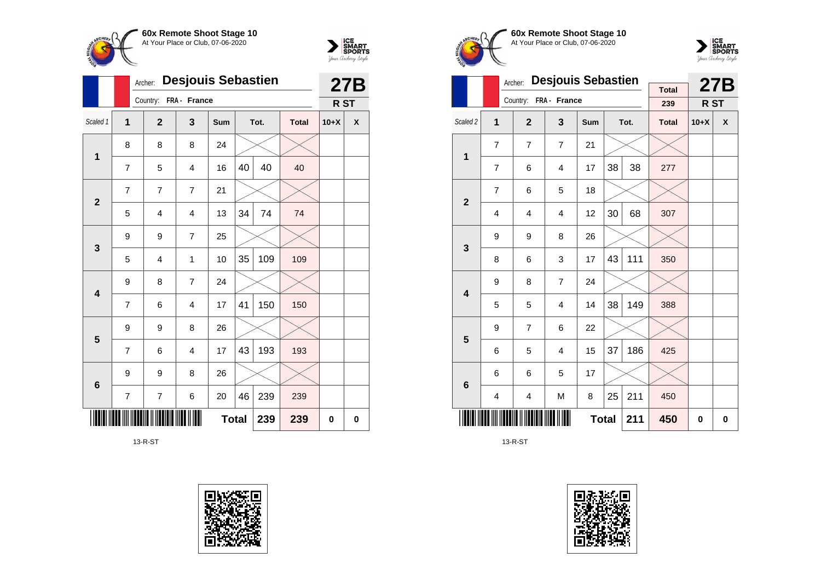



|                         |                         | <b>Desjouis Sebastien</b><br>Archer: |                |     | <b>27B</b>   |      |              |        |          |
|-------------------------|-------------------------|--------------------------------------|----------------|-----|--------------|------|--------------|--------|----------|
|                         |                         | Country:                             | FRA - France   |     |              |      |              | R ST   |          |
| Scaled 1                | $\overline{\mathbf{1}}$ | $\mathbf{2}$                         | 3              | Sum |              | Tot. | <b>Total</b> | $10+X$ | X        |
| $\mathbf 1$             | 8                       | 8                                    | 8              | 24  |              |      |              |        |          |
|                         | $\overline{7}$          | 5                                    | 4              | 16  | 40           | 40   | 40           |        |          |
| $\overline{2}$          | $\overline{7}$          | 7                                    | 7              | 21  |              |      |              |        |          |
|                         | 5                       | 4                                    | 4              | 13  | 34           | 74   | 74           |        |          |
| $\mathbf{3}$            | 9                       | 9                                    | $\overline{7}$ | 25  |              |      |              |        |          |
|                         | 5                       | 4                                    | 1              | 10  | 35           | 109  | 109          |        |          |
| $\overline{\mathbf{4}}$ | 9                       | 8                                    | 7              | 24  |              |      |              |        |          |
|                         | $\overline{7}$          | 6                                    | 4              | 17  | 41           | 150  | 150          |        |          |
| 5                       | 9                       | 9                                    | 8              | 26  |              |      |              |        |          |
|                         | $\overline{7}$          | 6                                    | 4              | 17  | 43           | 193  | 193          |        |          |
|                         | 9                       | 9                                    | 8              | 26  |              |      |              |        |          |
| $\bf 6$                 | $\overline{7}$          | $\overline{7}$                       | 6              | 20  | 46           | 239  | 239          |        |          |
|                         |                         |                                      |                |     | <b>Total</b> | 239  | 239          | 0      | $\bf{0}$ |

13-R-ST







|                         |                | Archer:        | <b>Desjouis Sebastien</b> |     |     |      | <b>27B</b>          |        |   |
|-------------------------|----------------|----------------|---------------------------|-----|-----|------|---------------------|--------|---|
|                         |                | Country:       | FRA - France              |     |     |      | <b>Total</b><br>239 | R ST   |   |
| Scaled 2                | 1              | $\overline{2}$ | 3                         | Sum |     | Tot. | <b>Total</b>        | $10+X$ | X |
| 1                       | 7              | 7              | $\overline{7}$            | 21  |     |      |                     |        |   |
|                         | 7              | 6              | 4                         | 17  | 38  | 38   | 277                 |        |   |
| $\mathbf{2}$            | $\overline{7}$ | 6              | 5                         | 18  |     |      |                     |        |   |
|                         | $\overline{4}$ | $\overline{4}$ | $\overline{4}$            | 12  | 30  | 68   | 307                 |        |   |
| 3                       | 9              | 9              | 8                         | 26  |     |      |                     |        |   |
|                         | 8              | 6              | 3                         | 17  | 43  | 111  | 350                 |        |   |
| $\overline{\mathbf{4}}$ | 9              | 8              | $\overline{7}$            | 24  |     |      |                     |        |   |
|                         | 5              | 5              | $\overline{4}$            | 14  | 38  | 149  | 388                 |        |   |
| 5                       | 9              | $\overline{7}$ | 6                         | 22  |     |      |                     |        |   |
|                         | 6              | 5              | $\overline{4}$            | 15  | 37  | 186  | 425                 |        |   |
| $6\phantom{1}6$         | 6              | 6              | 5                         | 17  |     |      |                     |        |   |
|                         | 4              | 4              | M                         | 8   | 25  | 211  | 450                 |        |   |
|                         |                |                |                           | 211 | 450 | 0    | 0                   |        |   |

13-R-ST

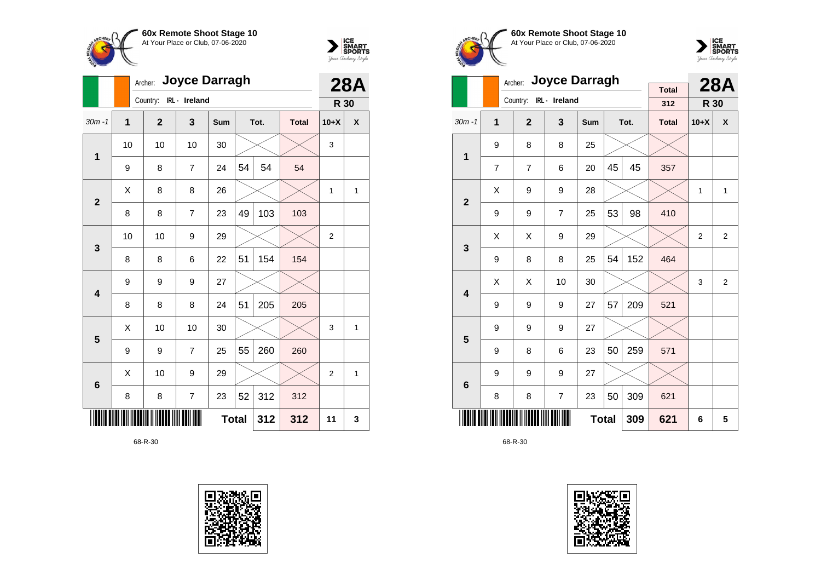



|                         |                | Archer: Joyce Darragh |                |                        | <b>28A</b>   |    |      |              |                |   |
|-------------------------|----------------|-----------------------|----------------|------------------------|--------------|----|------|--------------|----------------|---|
|                         |                |                       |                | Country: IRL - Ireland |              |    |      |              | R 30           |   |
| $30m - 1$               | $\overline{1}$ |                       | $\overline{2}$ | 3                      | Sum          |    | Tot. | <b>Total</b> | $10+X$         | X |
| 1                       | 10             |                       | 10             | 10                     | 30           |    |      |              | 3              |   |
|                         | 9              |                       | 8              | $\overline{7}$         | 24           | 54 | 54   | 54           |                |   |
| $\overline{2}$          | X              |                       | 8              | 8                      | 26           |    |      |              | 1              | 1 |
|                         | 8              |                       | 8              | $\overline{7}$         | 23           | 49 | 103  | 103          |                |   |
| 3                       | 10             |                       | 10             | 9                      | 29           |    |      |              | $\overline{2}$ |   |
|                         | 8              |                       | 8              | 6                      | 22           | 51 | 154  | 154          |                |   |
| $\overline{\mathbf{4}}$ | 9              |                       | 9              | 9                      | 27           |    |      |              |                |   |
|                         | 8              |                       | 8              | 8                      | 24           | 51 | 205  | 205          |                |   |
| 5                       | Χ              |                       | 10             | 10                     | 30           |    |      |              | 3              | 1 |
|                         | 9              |                       | 9              | 7                      | 25           | 55 | 260  | 260          |                |   |
| $6\phantom{1}6$         | X              |                       | 10             | 9                      | 29           |    |      |              | $\overline{2}$ | 1 |
|                         | 8              |                       | 8              | $\overline{7}$         | 23           | 52 | 312  | 312          |                |   |
|                         |                |                       |                |                        | <b>Total</b> |    | 312  | 312          | 11             | 3 |







|                         |                     | Archer:        | <b>Joyce Darragh</b> |     | <b>Total</b> |      | <b>28A</b>   |                |   |
|-------------------------|---------------------|----------------|----------------------|-----|--------------|------|--------------|----------------|---|
|                         |                     | Country:       | IRL - Ireland        |     |              |      | 312          | R 30           |   |
| $30m - 1$               | 1                   | $\overline{2}$ | 3                    | Sum |              | Tot. | <b>Total</b> | $10+X$         | X |
| $\mathbf 1$             | 9                   | 8              | 8                    | 25  |              |      |              |                |   |
|                         | 7                   | $\overline{7}$ | 6                    | 20  | 45           | 45   | 357          |                |   |
| $\mathbf{2}$            | X                   | 9              | 9                    | 28  |              |      |              | 1              | 1 |
|                         | 9                   | 9              | $\overline{7}$       | 25  | 53           | 98   | 410          |                |   |
| 3                       | X                   | X              | 9                    | 29  |              |      |              | $\overline{2}$ | 2 |
|                         | 9                   | 8              | 8                    | 25  | 54           | 152  | 464          |                |   |
| $\overline{\mathbf{4}}$ | Χ                   | Χ              | 10                   | 30  |              |      |              | 3              | 2 |
|                         | 9                   | 9              | 9                    | 27  | 57           | 209  | 521          |                |   |
| 5                       | 9                   | 9              | 9                    | 27  |              |      |              |                |   |
|                         | 9                   | 8              | 6                    | 23  | 50           | 259  | 571          |                |   |
| $6\phantom{1}6$         | 9                   | 9              | 9                    | 27  |              |      |              |                |   |
|                         | 8                   | 8              | $\overline{7}$       | 23  | 50           | 309  | 621          |                |   |
|                         | <b>Total</b><br>309 |                |                      |     |              |      |              | 6              | 5 |

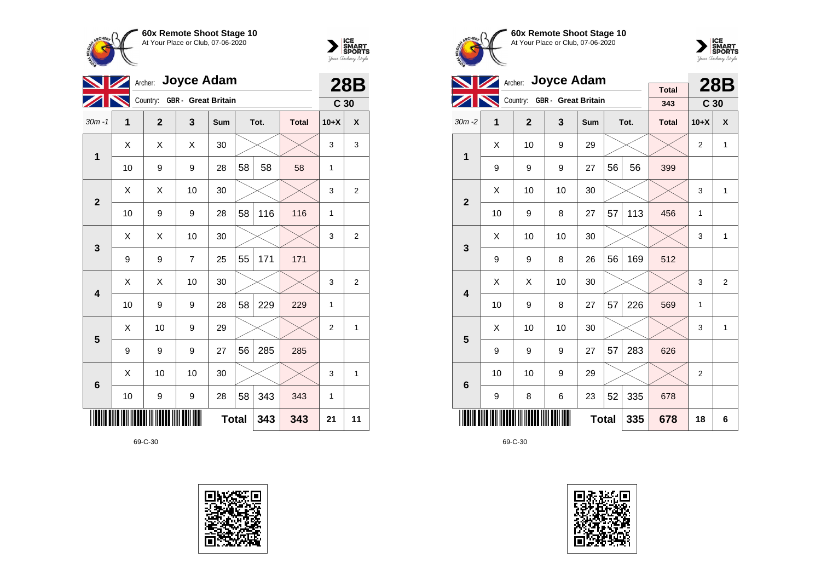



|                         |    | Archer: Joyce Adam           |                |              | <b>28B</b> |      |              |                 |                |
|-------------------------|----|------------------------------|----------------|--------------|------------|------|--------------|-----------------|----------------|
|                         |    | Country: GBR - Great Britain |                |              |            |      |              | C <sub>30</sub> |                |
| $30m - 1$               | 1  | $\overline{2}$               | 3              | Sum          |            | Tot. | <b>Total</b> | $10+X$          | X              |
| 1                       | X  | X                            | X              | 30           |            |      |              | 3               | 3              |
|                         | 10 | 9                            | 9              | 28           | 58         | 58   | 58           | 1               |                |
| $\overline{2}$          | X  | Χ                            | 10             | 30           |            |      |              | 3               | $\overline{2}$ |
|                         | 10 | 9                            | 9              | 28           | 58         | 116  | 116          | $\mathbf{1}$    |                |
| 3                       | X  | X                            | 10             | 30           |            |      |              | 3               | $\overline{2}$ |
|                         | 9  | 9                            | $\overline{7}$ | 25           | 55         | 171  | 171          |                 |                |
| $\overline{\mathbf{4}}$ | Χ  | Χ                            | 10             | 30           |            |      |              | 3               | $\overline{2}$ |
|                         | 10 | 9                            | 9              | 28           | 58         | 229  | 229          | 1               |                |
| 5                       | Χ  | 10                           | 9              | 29           |            |      |              | $\overline{2}$  | 1              |
|                         | 9  | 9                            | 9              | 27           | 56         | 285  | 285          |                 |                |
| $6\phantom{1}6$         | X  | 10                           | 10             | 30           |            |      |              | 3               | 1              |
|                         | 10 | 9                            | 9              | 28           | 58         | 343  | 343          | 1               |                |
|                         |    |                              |                | <b>Total</b> |            | 343  | 343          | 21              | 11             |









|                         | V  |              | Archer: Joyce Adam           |     |              |      | <b>28B</b>   |                 |              |
|-------------------------|----|--------------|------------------------------|-----|--------------|------|--------------|-----------------|--------------|
|                         |    |              | Country: GBR - Great Britain |     |              |      | <b>Total</b> |                 |              |
|                         |    |              |                              |     |              |      | 343          | C <sub>30</sub> |              |
| $30m - 2$               | 1  | $\mathbf{2}$ | 3                            | Sum |              | Tot. | <b>Total</b> | $10+X$          | X            |
| 1                       | X  | 10           | 9                            | 29  |              |      |              | $\overline{2}$  | 1            |
|                         | 9  | 9            | 9                            | 27  | 56           | 56   | 399          |                 |              |
| $\overline{2}$          | X  | 10           | 10                           | 30  |              |      |              | 3               | 1            |
|                         | 10 | 9            | 8                            | 27  | 57           | 113  | 456          | $\mathbf{1}$    |              |
| 3                       | X  | 10           | 10                           | 30  |              |      |              | 3               | 1            |
|                         | 9  | 9            | 8                            | 26  | 56           | 169  | 512          |                 |              |
| $\overline{\mathbf{4}}$ | X  | X            | 10                           | 30  |              |      |              | 3               | 2            |
|                         | 10 | 9            | 8                            | 27  | 57           | 226  | 569          | $\mathbf{1}$    |              |
| 5                       | X  | 10           | 10                           | 30  |              |      |              | 3               | $\mathbf{1}$ |
|                         | 9  | 9            | 9                            | 27  | 57           | 283  | 626          |                 |              |
| 6                       | 10 | 10           | 9                            | 29  |              |      |              | $\overline{2}$  |              |
|                         | 9  | 8            | 6                            | 23  | 52           | 335  | 678          |                 |              |
|                         |    |              |                              |     | <b>Total</b> | 335  | 678          | 18              | 6            |

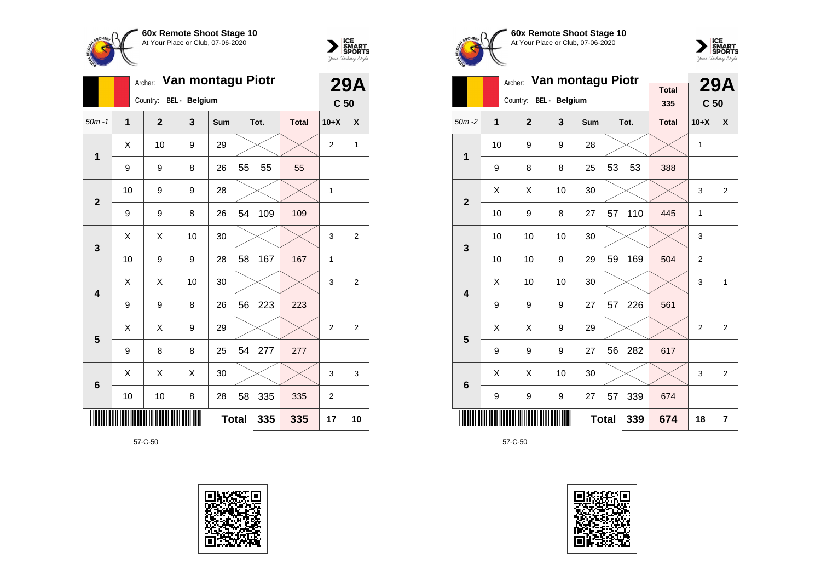



|                 |                | Van montagu Piotr<br>Archer: |    |              | <b>29A</b> |      |              |                |                 |
|-----------------|----------------|------------------------------|----|--------------|------------|------|--------------|----------------|-----------------|
|                 |                | Country: BEL - Belgium       |    |              |            |      |              |                | C <sub>50</sub> |
| $50m - 1$       | $\overline{1}$ | $\overline{2}$               | 3  | Sum          |            | Tot. | <b>Total</b> | $10+X$         | X               |
| 1               | X              | 10                           | 9  | 29           |            |      |              | $\overline{2}$ | 1               |
|                 | 9              | 9                            | 8  | 26           | 55         | 55   | 55           |                |                 |
| $\overline{2}$  | 10             | 9                            | 9  | 28           |            |      |              | $\mathbf{1}$   |                 |
|                 | 9              | 9                            | 8  | 26           | 54         | 109  | 109          |                |                 |
| 3               | Χ              | Χ                            | 10 | 30           |            |      |              | 3              | 2               |
|                 | 10             | 9                            | 9  | 28           | 58         | 167  | 167          | 1              |                 |
| 4               | X              | Χ                            | 10 | 30           |            |      |              | 3              | 2               |
|                 | 9              | 9                            | 8  | 26           | 56         | 223  | 223          |                |                 |
| 5               | Χ              | Χ                            | 9  | 29           |            |      |              | $\overline{2}$ | $\overline{2}$  |
|                 | 9              | 8                            | 8  | 25           | 54         | 277  | 277          |                |                 |
| $6\phantom{1}6$ | X              | X                            | X  | 30           |            |      |              | 3              | 3               |
|                 | 10             | 10                           | 8  | 28           | 58         | 335  | 335          | 2              |                 |
|                 |                |                              |    | <b>Total</b> |            | 335  | 335          | 17             | 10              |







|                         |                     | Archer:      | Van montagu Piotr |            |    | <b>29A</b> |                     |                 |                  |
|-------------------------|---------------------|--------------|-------------------|------------|----|------------|---------------------|-----------------|------------------|
|                         |                     | Country:     | BEL - Belgium     |            |    |            | <b>Total</b><br>335 | C <sub>50</sub> |                  |
| $50m - 2$               | 1                   | $\mathbf{2}$ | 3                 | <b>Sum</b> |    | Tot.       | <b>Total</b>        | $10+X$          | $\boldsymbol{x}$ |
| 1                       | 10                  | 9            | 9                 | 28         |    |            |                     | 1               |                  |
|                         | 9                   | 8            | 8                 | 25         | 53 | 53         | 388                 |                 |                  |
| $\overline{2}$          | X                   | X            | 10                | 30         |    |            |                     | 3               | 2                |
|                         | 10                  | 9            | 8                 | 27         | 57 | 110        | 445                 | 1               |                  |
| 3                       | 10                  | 10           | 10                | 30         |    |            |                     | 3               |                  |
|                         | 10                  | 10           | 9                 | 29         | 59 | 169        | 504                 | $\overline{2}$  |                  |
| $\overline{\mathbf{4}}$ | Χ                   | 10           | 10                | 30         |    |            |                     | 3               | 1                |
|                         | 9                   | 9            | 9                 | 27         | 57 | 226        | 561                 |                 |                  |
| 5                       | X                   | X            | 9                 | 29         |    |            |                     | $\overline{2}$  | $\overline{2}$   |
|                         | 9                   | 9            | 9                 | 27         | 56 | 282        | 617                 |                 |                  |
| 6                       | Χ                   | X            | 10                | 30         |    |            |                     | 3               | $\overline{2}$   |
|                         | 9                   | 9            | 9                 | 27         | 57 | 339        | 674                 |                 |                  |
|                         | <b>Total</b><br>339 |              |                   |            |    |            |                     | 18              | $\overline{7}$   |

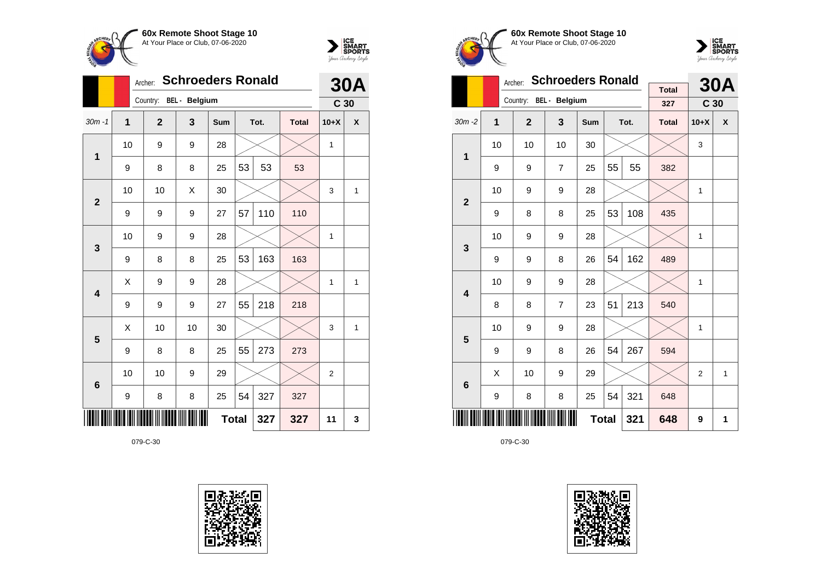



|                 |                | <b>Schroeders Ronald</b><br>Archer: |    |              | <b>30A</b> |      |              |                |                 |
|-----------------|----------------|-------------------------------------|----|--------------|------------|------|--------------|----------------|-----------------|
|                 |                | Country: BEL - Belgium              |    |              |            |      |              |                | C <sub>30</sub> |
| $30m - 1$       | $\overline{1}$ | $\overline{2}$                      | 3  | Sum          |            | Tot. | <b>Total</b> | $10+X$         | X               |
| 1               | 10             | 9                                   | 9  | 28           |            |      |              | 1              |                 |
|                 | 9              | 8                                   | 8  | 25           | 53         | 53   | 53           |                |                 |
| $\overline{2}$  | 10             | 10                                  | X  | 30           |            |      |              | 3              | 1               |
|                 | 9              | 9                                   | 9  | 27           | 57         | 110  | 110          |                |                 |
| 3               | 10             | 9                                   | 9  | 28           |            |      |              | 1              |                 |
|                 | 9              | 8                                   | 8  | 25           | 53         | 163  | 163          |                |                 |
| 4               | X              | 9                                   | 9  | 28           |            |      |              | 1              | 1               |
|                 | 9              | 9                                   | 9  | 27           | 55         | 218  | 218          |                |                 |
| 5               | X              | 10                                  | 10 | 30           |            |      |              | 3              | 1               |
|                 | 9              | 8                                   | 8  | 25           | 55         | 273  | 273          |                |                 |
| $6\phantom{1}6$ | 10             | 10                                  | 9  | 29           |            |      |              | $\overline{2}$ |                 |
|                 | 9              | 8                                   | 8  | 25           | 54         | 327  | 327          |                |                 |
|                 |                |                                     |    | <b>Total</b> |            | 327  | 327          | 11             | 3               |







|                         |    | Archer:        | <b>Schroeders Ronald</b> | <b>Total</b> |    | <b>30A</b> |              |                 |   |
|-------------------------|----|----------------|--------------------------|--------------|----|------------|--------------|-----------------|---|
|                         |    |                | Country: BEL - Belgium   |              |    |            | 327          | C <sub>30</sub> |   |
| $30m - 2$               | 1  | $\overline{2}$ | 3                        | Sum          |    | Tot.       | <b>Total</b> | $10+X$          | X |
| 1                       | 10 | 10             | 10                       | 30           |    |            |              | 3               |   |
|                         | 9  | 9              | $\overline{7}$           | 25           | 55 | 55         | 382          |                 |   |
| $\overline{2}$          | 10 | 9              | 9                        | 28           |    |            |              | 1               |   |
|                         | 9  | 8              | 8                        | 25           | 53 | 108        | 435          |                 |   |
| 3                       | 10 | 9              | 9                        | 28           |    |            |              | 1               |   |
|                         | 9  | 9              | 8                        | 26           | 54 | 162        | 489          |                 |   |
| $\overline{\mathbf{4}}$ | 10 | 9              | 9                        | 28           |    |            |              | 1               |   |
|                         | 8  | 8              | $\overline{7}$           | 23           | 51 | 213        | 540          |                 |   |
| 5                       | 10 | 9              | 9                        | 28           |    |            |              | 1               |   |
|                         | 9  | 9              | 8                        | 26           | 54 | 267        | 594          |                 |   |
| 6                       | X  | 10             | 9                        | 29           |    |            |              | $\overline{2}$  | 1 |
|                         | 9  | 8              | 8                        | 25           | 54 | 321        | 648          |                 |   |
|                         |    |                |                          | <b>Total</b> |    | 321        | 648          | 9               | 1 |

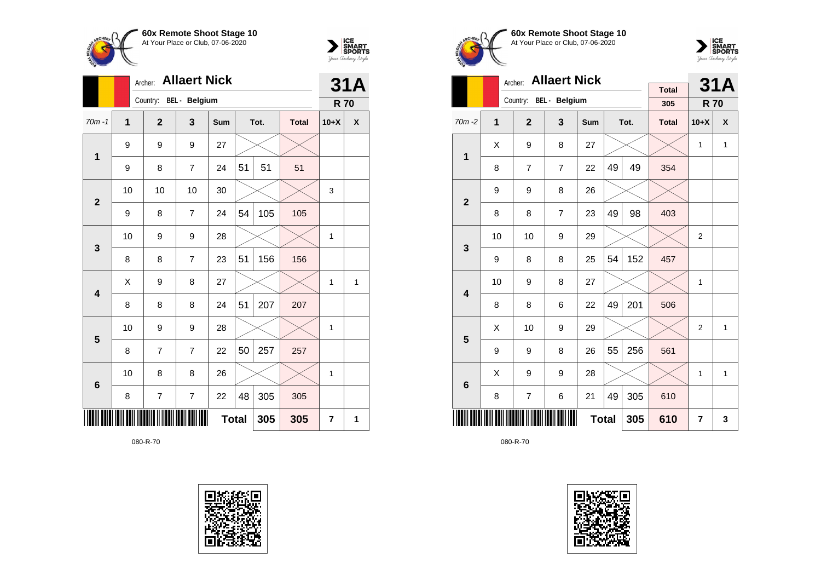



|             |                |                        | <b>31A</b>     |              |    |      |              |            |   |
|-------------|----------------|------------------------|----------------|--------------|----|------|--------------|------------|---|
|             |                | Country: BEL - Belgium |                |              |    |      |              | <b>R70</b> |   |
| $70m - 1$   | $\overline{1}$ | $\overline{2}$         | 3              | <b>Sum</b>   |    | Tot. | <b>Total</b> | $10+X$     | X |
| $\mathbf 1$ | 9              | 9                      | 9              | 27           |    |      |              |            |   |
|             | 9              | 8                      | 7              | 24           | 51 | 51   | 51           |            |   |
| $\mathbf 2$ | 10             | 10                     | 10             | 30           |    |      |              | 3          |   |
|             | 9              | 8                      | 7              | 24           | 54 | 105  | 105          |            |   |
| 3           | 10             | 9                      | 9              | 28           |    |      |              | 1          |   |
|             | 8              | 8                      | 7              | 23           | 51 | 156  | 156          |            |   |
| 4           | X              | 9                      | 8              | 27           |    |      |              | 1          | 1 |
|             | 8              | 8                      | 8              | 24           | 51 | 207  | 207          |            |   |
| 5           | 10             | 9                      | 9              | 28           |    |      |              | 1          |   |
|             | 8              | 7                      | 7              | 22           | 50 | 257  | 257          |            |   |
| 6           | 10             | 8                      | 8              | 26           |    |      |              | 1          |   |
|             | 8              | $\overline{7}$         | $\overline{7}$ | 22           | 48 | 305  | 305          |            |   |
|             |                |                        |                | <b>Total</b> |    | 305  | 305          | 7          | 1 |







|                |    | <b>Allaert Nick</b><br>Archer: |                |            |    | <b>31A</b> |                     |                |              |
|----------------|----|--------------------------------|----------------|------------|----|------------|---------------------|----------------|--------------|
|                |    | Country:                       | BEL - Belgium  |            |    |            | <b>Total</b><br>305 | <b>R70</b>     |              |
| $70m - 2$      | 1  | $\overline{2}$                 | 3              | <b>Sum</b> |    | Tot.       | <b>Total</b>        | $10+X$         | X            |
| 1              | X  | 9                              | 8              | 27         |    |            |                     | 1              | $\mathbf{1}$ |
|                | 8  | $\overline{7}$                 | $\overline{7}$ | 22         | 49 | 49         | 354                 |                |              |
| $\overline{2}$ | 9  | 9                              | 8              | 26         |    |            |                     |                |              |
|                | 8  | 8                              | $\overline{7}$ | 23         | 49 | 98         | 403                 |                |              |
| 3              | 10 | 10                             | 9              | 29         |    |            |                     | $\overline{2}$ |              |
|                | 9  | 8                              | 8              | 25         | 54 | 152        | 457                 |                |              |
| 4              | 10 | 9                              | 8              | 27         |    |            |                     | $\mathbf{1}$   |              |
|                | 8  | 8                              | 6              | 22         | 49 | 201        | 506                 |                |              |
| 5              | X  | 10                             | 9              | 29         |    |            |                     | $\overline{2}$ | 1            |
|                | 9  | 9                              | 8              | 26         | 55 | 256        | 561                 |                |              |
| $6\phantom{1}$ | X  | 9                              | 9              | 28         |    |            |                     | $\mathbf{1}$   | 1            |
|                | 8  | 7                              | 6              | 21         | 49 | 305        | 610                 |                |              |
|                |    |                                | 610            | 7          | 3  |            |                     |                |              |

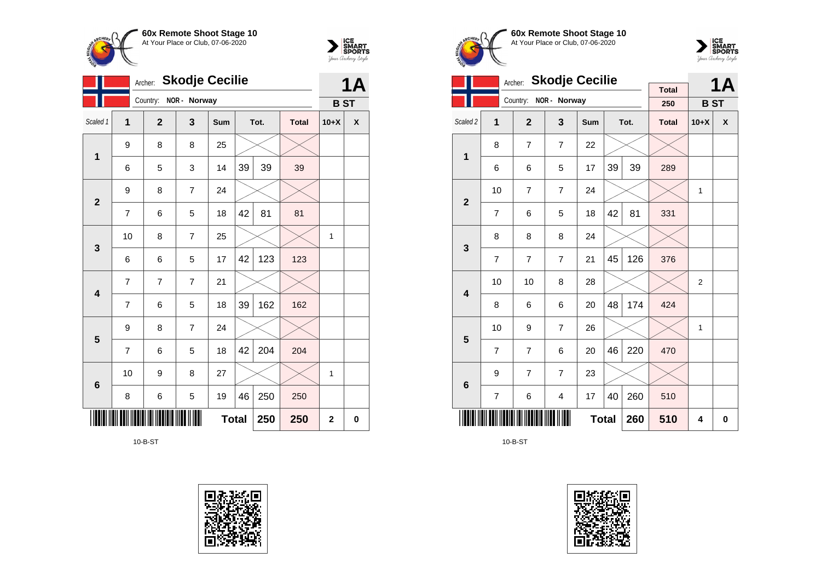



|                         |                | Archer:                 | <b>Skodje Cecilie</b> |              |    |      |              |                | 1Α |
|-------------------------|----------------|-------------------------|-----------------------|--------------|----|------|--------------|----------------|----|
|                         |                | Country:                | NOR - Norway          |              |    |      |              | <b>BST</b>     |    |
| Scaled 1                | $\overline{1}$ | $\overline{\mathbf{2}}$ | 3                     | <b>Sum</b>   |    | Tot. | <b>Total</b> | $10+X$         | X  |
| $\mathbf 1$             | 9              | 8                       | 8                     | 25           |    |      |              |                |    |
|                         | 6              | 5                       | 3                     | 14           | 39 | 39   | 39           |                |    |
| $\overline{2}$          | 9              | 8                       | $\overline{7}$        | 24           |    |      |              |                |    |
|                         | 7              | 6                       | 5                     | 18           | 42 | 81   | 81           |                |    |
| 3                       | 10             | 8                       | $\overline{7}$        | 25           |    |      |              | 1              |    |
|                         | 6              | 6                       | 5                     | 17           | 42 | 123  | 123          |                |    |
| $\overline{\mathbf{4}}$ | 7              | $\overline{7}$          | $\overline{7}$        | 21           |    |      |              |                |    |
|                         | $\overline{7}$ | 6                       | 5                     | 18           | 39 | 162  | 162          |                |    |
| $\overline{\mathbf{5}}$ | 9              | 8                       | $\overline{7}$        | 24           |    |      |              |                |    |
|                         | 7              | 6                       | 5                     | 18           | 42 | 204  | 204          |                |    |
| 6                       | 10             | 9                       | 8                     | 27           |    |      |              | 1              |    |
|                         | 8              | 6                       | 5                     | 19           | 46 | 250  | 250          |                |    |
|                         |                |                         |                       | <b>Total</b> |    | 250  | 250          | $\overline{2}$ | 0  |

10-B-ST







|                         |                | <b>Skodje Cecilie</b><br>Archer: |                |              |    | <b>1A</b> |                     |                |             |
|-------------------------|----------------|----------------------------------|----------------|--------------|----|-----------|---------------------|----------------|-------------|
|                         |                | Country:                         | NOR - Norway   |              |    |           | <b>Total</b><br>250 | <b>BST</b>     |             |
|                         |                |                                  |                |              |    |           |                     |                |             |
| Scaled 2                | 1              | $\overline{2}$                   | 3              | Sum          |    | Tot.      | <b>Total</b>        | $10+X$         | X           |
| 1                       | 8              | 7                                | $\overline{7}$ | 22           |    |           |                     |                |             |
|                         | 6              | 6                                | 5              | 17           | 39 | 39        | 289                 |                |             |
| $\overline{2}$          | 10             | $\overline{7}$                   | $\overline{7}$ | 24           |    |           |                     | 1              |             |
|                         | $\overline{7}$ | 6                                | 5              | 18           | 42 | 81        | 331                 |                |             |
| 3                       | 8              | 8                                | 8              | 24           |    |           |                     |                |             |
|                         | $\overline{7}$ | $\overline{7}$                   | $\overline{7}$ | 21           | 45 | 126       | 376                 |                |             |
| $\overline{\mathbf{4}}$ | 10             | 10                               | 8              | 28           |    |           |                     | $\overline{2}$ |             |
|                         | 8              | 6                                | 6              | 20           | 48 | 174       | 424                 |                |             |
| 5                       | 10             | 9                                | $\overline{7}$ | 26           |    |           |                     | 1              |             |
|                         | $\overline{7}$ | 7                                | 6              | 20           | 46 | 220       | 470                 |                |             |
| $6\phantom{1}6$         | 9              | $\overline{7}$                   | $\overline{7}$ | 23           |    |           |                     |                |             |
|                         | 7              | 6                                | 4              | 17           | 40 | 260       | 510                 |                |             |
|                         |                |                                  |                | <b>Total</b> |    | 260       | 510                 | 4              | $\mathbf 0$ |

10-B-ST

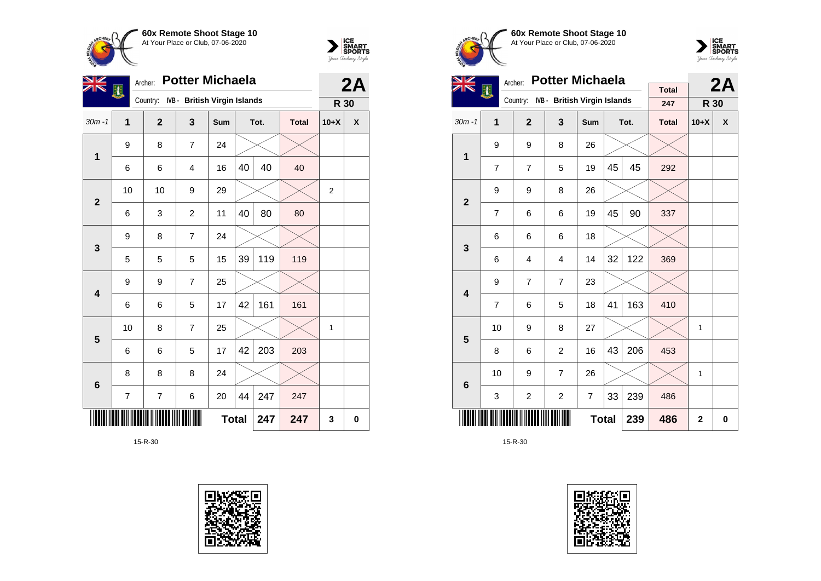



| NK<br>$\overline{\mathbf{N}}$ | Archer:<br>躙 |                |                                     | 2A           |    |      |              |                |   |
|-------------------------------|--------------|----------------|-------------------------------------|--------------|----|------|--------------|----------------|---|
|                               |              | Country:       | <b>IVB - British Virgin Islands</b> |              |    |      |              | R 30           |   |
| $30m - 1$                     | 1            | $\overline{2}$ | 3                                   | Sum          |    | Tot. | <b>Total</b> | $10+X$         | X |
| 1                             | 9            | 8              | $\overline{7}$                      | 24           |    |      |              |                |   |
|                               | 6            | 6              | 4                                   | 16           | 40 | 40   | 40           |                |   |
| $\mathbf{2}$                  | 10           | 10             | 9                                   | 29           |    |      |              | $\overline{2}$ |   |
|                               | 6            | 3              | $\overline{c}$                      | 11           | 40 | 80   | 80           |                |   |
| 3                             | 9            | 8              | $\overline{7}$                      | 24           |    |      |              |                |   |
|                               | 5            | 5              | 5                                   | 15           | 39 | 119  | 119          |                |   |
| 4                             | 9            | 9              | $\overline{7}$                      | 25           |    |      |              |                |   |
|                               | 6            | 6              | 5                                   | 17           | 42 | 161  | 161          |                |   |
| 5                             | 10           | 8              | $\overline{7}$                      | 25           |    |      |              | 1              |   |
|                               | 6            | 6              | 5                                   | 17           | 42 | 203  | 203          |                |   |
| $6\phantom{1}6$               | 8            | 8              | 8                                   | 24           |    |      |              |                |   |
|                               | 7            | 7              | 6                                   | 20           | 44 | 247  | 247          |                |   |
|                               |              |                |                                     | <b>Total</b> |    | 247  | 247          | 3              | 0 |







| NIZ                     |                | Archer:                               | <b>Potter Michaela</b> |              |    |      | 2A           |              |   |
|-------------------------|----------------|---------------------------------------|------------------------|--------------|----|------|--------------|--------------|---|
|                         | 网              |                                       |                        |              |    |      | <b>Total</b> |              |   |
|                         |                | Country: IVB - British Virgin Islands |                        |              |    |      | 247          | R 30         |   |
| $30m - 1$               | 1              | $\overline{2}$                        | 3                      | Sum          |    | Tot. | <b>Total</b> | $10+X$       | X |
| $\mathbf{1}$            | 9              | 9                                     | 8                      | 26           |    |      |              |              |   |
|                         | $\overline{7}$ | $\overline{7}$                        | 5                      | 19           | 45 | 45   | 292          |              |   |
| $\overline{2}$          | 9              | 9                                     | 8                      | 26           |    |      |              |              |   |
|                         | $\overline{7}$ | 6                                     | 6                      | 19           | 45 | 90   | 337          |              |   |
| 3                       | 6              | 6                                     | 6                      | 18           |    |      |              |              |   |
|                         | 6              | 4                                     | 4                      | 14           | 32 | 122  | 369          |              |   |
| $\overline{\mathbf{4}}$ | 9              | $\overline{7}$                        | $\overline{7}$         | 23           |    |      |              |              |   |
|                         | $\overline{7}$ | 6                                     | 5                      | 18           | 41 | 163  | 410          |              |   |
| 5                       | 10             | 9                                     | 8                      | 27           |    |      |              | $\mathbf{1}$ |   |
|                         | 8              | 6                                     | $\overline{2}$         | 16           | 43 | 206  | 453          |              |   |
| 6                       | 10             | 9                                     | $\overline{7}$         | 26           |    |      |              | $\mathbf{1}$ |   |
|                         | 3              | 2                                     | 2                      | 7            | 33 | 239  | 486          |              |   |
|                         |                |                                       |                        | <b>Total</b> |    | 239  | 486          | $\mathbf{2}$ | 0 |

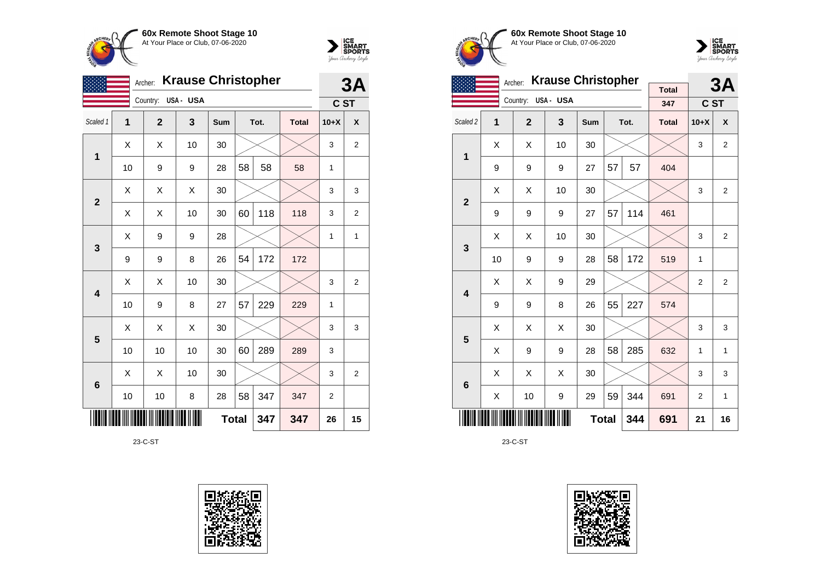



| <b>Krause Christopher</b><br>Archer: |    |                    |    |              |    |      |              | 3A             |                |
|--------------------------------------|----|--------------------|----|--------------|----|------|--------------|----------------|----------------|
|                                      |    | Country: USA - USA |    |              |    |      |              | C ST           |                |
| Scaled 1                             | 1  | $\overline{2}$     | 3  | Sum          |    | Tot. | <b>Total</b> | $10+X$         | X              |
| 1                                    | X  | X                  | 10 | 30           |    |      |              | 3              | $\overline{2}$ |
|                                      | 10 | 9                  | 9  | 28           | 58 | 58   | 58           | 1              |                |
| $\mathbf{2}$                         | X  | X                  | X  | 30           |    |      |              | 3              | 3              |
|                                      | Χ  | X                  | 10 | 30           | 60 | 118  | 118          | 3              | $\overline{2}$ |
| $\mathbf{3}$                         | Χ  | 9                  | 9  | 28           |    |      |              | 1              | 1              |
|                                      | 9  | 9                  | 8  | 26           | 54 | 172  | 172          |                |                |
| 4                                    | X  | X                  | 10 | 30           |    |      |              | 3              | 2              |
|                                      | 10 | 9                  | 8  | 27           | 57 | 229  | 229          | 1              |                |
| 5                                    | Χ  | X                  | X  | 30           |    |      |              | 3              | 3              |
|                                      | 10 | 10                 | 10 | 30           | 60 | 289  | 289          | 3              |                |
| $\bf 6$                              | X  | X                  | 10 | 30           |    |      |              | 3              | $\overline{2}$ |
|                                      | 10 | 10                 | 8  | 28           | 58 | 347  | 347          | $\overline{c}$ |                |
|                                      |    |                    |    | <b>Total</b> |    | 347  | 347          | 26             | 15             |

23-C-ST









|                         |    | Archer:        | <b>Krause Christopher</b> |              |    | 3A   |                     |              |                |
|-------------------------|----|----------------|---------------------------|--------------|----|------|---------------------|--------------|----------------|
|                         |    | Country:       | USA- USA                  |              |    |      | <b>Total</b><br>347 | C ST         |                |
| Scaled <sub>2</sub>     | 1  | $\overline{2}$ | 3                         | <b>Sum</b>   |    | Tot. | <b>Total</b>        | $10+X$       | X              |
| 1                       | X  | Χ              | 10                        | 30           |    |      |                     | 3            | 2              |
|                         | 9  | 9              | 9                         | 27           | 57 | 57   | 404                 |              |                |
| $\overline{2}$          | Χ  | Χ              | 10                        | 30           |    |      |                     | 3            | 2              |
|                         | 9  | 9              | 9                         | 27           | 57 | 114  | 461                 |              |                |
| 3                       | X  | X              | 10                        | 30           |    |      |                     | 3            | $\overline{2}$ |
|                         | 10 | 9              | 9                         | 28           | 58 | 172  | 519                 | $\mathbf{1}$ |                |
| $\overline{\mathbf{4}}$ | X  | Χ              | 9                         | 29           |    |      |                     | 2            | $\overline{2}$ |
|                         | 9  | 9              | 8                         | 26           | 55 | 227  | 574                 |              |                |
| 5                       | X  | Χ              | Χ                         | 30           |    |      |                     | 3            | 3              |
|                         | X  | 9              | 9                         | 28           | 58 | 285  | 632                 | 1            | 1              |
| 6                       | X  | X              | X                         | 30           |    |      |                     | 3            | 3              |
|                         | X  | 10             | 9                         | 29           | 59 | 344  | 691                 | 2            | 1              |
|                         |    |                |                           | <b>Total</b> |    | 344  | 691                 | 21           | 16             |

23-C-ST

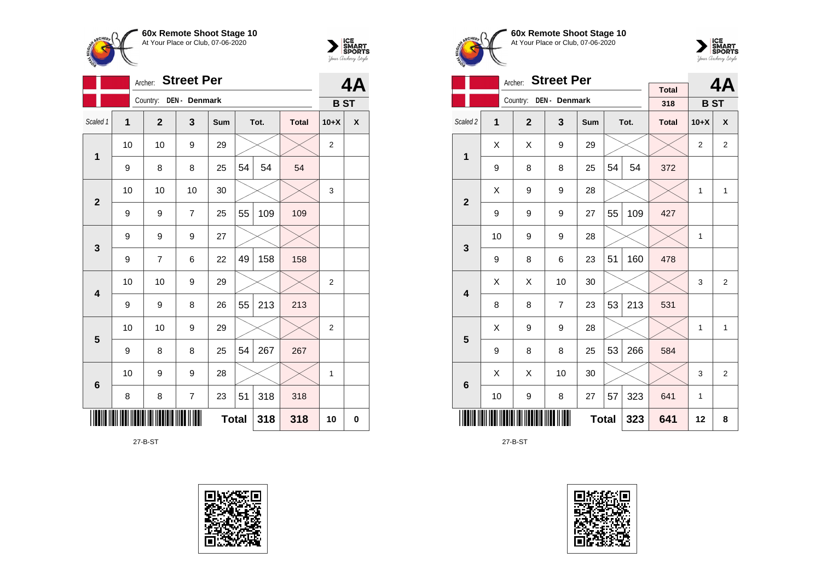



|                         | <b>Street Per</b><br>Archer: |                |                          |              |    |      |              |                | 4A |
|-------------------------|------------------------------|----------------|--------------------------|--------------|----|------|--------------|----------------|----|
|                         |                              | Country:       | DEN - Denmark            |              |    |      |              | <b>BST</b>     |    |
| Scaled 1                | 1                            | $\mathbf{2}$   | 3                        | Sum          |    | Tot. | <b>Total</b> | $10+X$         | X  |
| $\mathbf{1}$            | 10                           | 10             | 9                        | 29           |    |      |              | $\overline{2}$ |    |
|                         | 9                            | 8              | 8                        | 25           | 54 | 54   | 54           |                |    |
| $\overline{2}$          | 10                           | 10             | 10                       | 30           |    |      |              | 3              |    |
|                         | 9                            | 9              | $\overline{7}$           | 25           | 55 | 109  | 109          |                |    |
| 3                       | 9                            | 9              | 9                        | 27           |    |      |              |                |    |
|                         | 9                            | $\overline{7}$ | 6                        | 22           | 49 | 158  | 158          |                |    |
| $\overline{\mathbf{4}}$ | 10                           | 10             | 9                        | 29           |    |      |              | $\overline{2}$ |    |
|                         | 9                            | 9              | 8                        | 26           | 55 | 213  | 213          |                |    |
| 5                       | 10                           | 10             | 9                        | 29           |    |      |              | 2              |    |
|                         | 9                            | 8              | 8                        | 25           | 54 | 267  | 267          |                |    |
| $6\phantom{1}6$         | 10                           | 9              | 9                        | 28           |    |      |              | 1              |    |
|                         | 8                            | 8              | $\overline{\mathcal{I}}$ | 23           | 51 | 318  | 318          |                |    |
|                         |                              |                |                          | <b>Total</b> |    | 318  | 318          | 10             | 0  |

27-B-ST









|                         | <b>Street Per</b><br>Archer: |                |                        |              |    |      |                     |                | 4A             |
|-------------------------|------------------------------|----------------|------------------------|--------------|----|------|---------------------|----------------|----------------|
|                         |                              |                | Country: DEN - Denmark |              |    |      | <b>Total</b><br>318 | <b>BST</b>     |                |
| Scaled 2                | 1                            | $\overline{2}$ | 3                      | <b>Sum</b>   |    | Tot. | <b>Total</b>        | $10+X$         | X              |
| 1                       | Χ                            | X              | 9                      | 29           |    |      |                     | $\overline{2}$ | 2              |
|                         | 9                            | 8              | 8                      | 25           | 54 | 54   | 372                 |                |                |
| $\overline{2}$          | Χ                            | 9              | 9                      | 28           |    |      |                     | 1              | $\mathbf{1}$   |
|                         | 9                            | 9              | 9                      | 27           | 55 | 109  | 427                 |                |                |
| 3                       | 10                           | 9              | 9                      | 28           |    |      |                     | 1              |                |
|                         | 9                            | 8              | 6                      | 23           | 51 | 160  | 478                 |                |                |
| $\overline{\mathbf{4}}$ | X                            | X              | 10                     | 30           |    |      |                     | 3              | $\overline{2}$ |
|                         | 8                            | 8              | $\overline{7}$         | 23           | 53 | 213  | 531                 |                |                |
| 5                       | Χ                            | 9              | 9                      | 28           |    |      |                     | $\mathbf{1}$   | 1              |
|                         | 9                            | 8              | 8                      | 25           | 53 | 266  | 584                 |                |                |
| $6\phantom{1}6$         | Χ                            | Χ              | 10                     | 30           |    |      |                     | 3              | $\overline{2}$ |
|                         | 10                           | 9              | 8                      | 27           | 57 | 323  | 641                 | 1              |                |
|                         |                              |                |                        | <b>Total</b> |    | 323  | 641                 | 12             | 8              |

27-B-ST

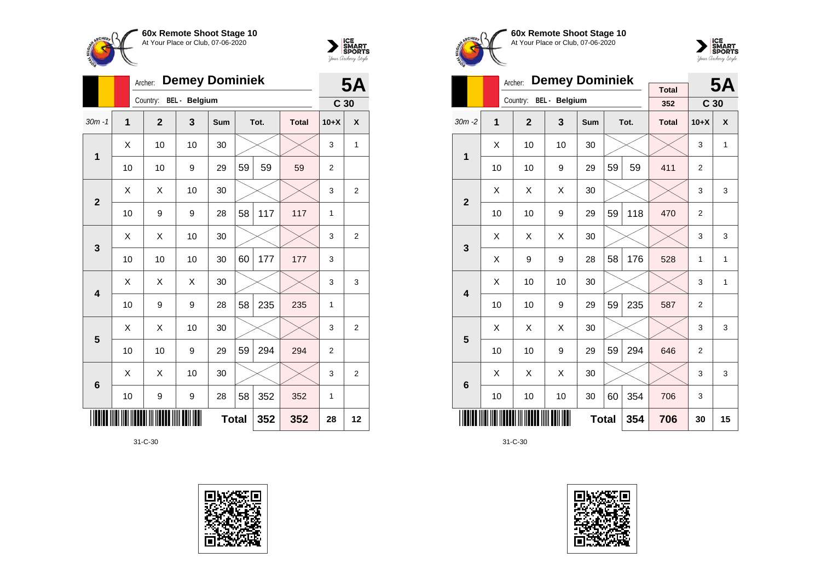



|                | Archer:        |                        |     | <b>5A</b>  |    |      |              |                 |                |
|----------------|----------------|------------------------|-----|------------|----|------|--------------|-----------------|----------------|
|                |                | Country: BEL - Belgium |     |            |    |      |              | C <sub>30</sub> |                |
| $30m - 1$      | $\overline{1}$ | $\overline{2}$         | 3   | <b>Sum</b> |    | Tot. | <b>Total</b> | $10+X$          | X              |
| 1              | X              | 10                     | 10  | 30         |    |      |              | 3               | 1              |
|                | 10             | 10                     | 9   | 29         | 59 | 59   | 59           | 2               |                |
| $\overline{2}$ | X              | X                      | 10  | 30         |    |      |              | 3               | $\overline{2}$ |
|                | 10             | 9                      | 9   | 28         | 58 | 117  | 117          | $\mathbf{1}$    |                |
| 3              | X              | Χ                      | 10  | 30         |    |      |              | 3               | $\overline{2}$ |
|                | 10             | 10                     | 10  | 30         | 60 | 177  | 177          | 3               |                |
| 4              | X              | X                      | X   | 30         |    |      |              | 3               | 3              |
|                | 10             | 9                      | 9   | 28         | 58 | 235  | 235          | 1               |                |
| 5              | X              | Χ                      | 10  | 30         |    |      |              | 3               | $\overline{2}$ |
|                | 10             | 10                     | 9   | 29         | 59 | 294  | 294          | $\overline{2}$  |                |
| 6              | X              | X                      | 10  | 30         |    |      |              | 3               | $\overline{2}$ |
|                | 10             | 9                      | 9   | 28         | 58 | 352  | 352          | 1               |                |
|                |                |                        | 352 | 352        | 28 | 12   |              |                 |                |







|                |    | <b>Demey Dominiek</b><br>Archer: |                      |     |    | <b>5A</b> |                     |                 |                  |
|----------------|----|----------------------------------|----------------------|-----|----|-----------|---------------------|-----------------|------------------|
|                |    | Country:                         | <b>BEL</b> - Belgium |     |    |           | <b>Total</b><br>352 | C <sub>30</sub> |                  |
| $30m - 2$      | 1  | $\overline{2}$                   | 3                    | Sum |    | Tot.      | <b>Total</b>        | $10+X$          | $\boldsymbol{x}$ |
| 1              | X  | 10                               | 10                   | 30  |    |           |                     | 3               | 1                |
|                | 10 | 10                               | 9                    | 29  | 59 | 59        | 411                 | $\overline{2}$  |                  |
| $\overline{2}$ | X  | X                                | X                    | 30  |    |           |                     | 3               | 3                |
|                | 10 | 10                               | 9                    | 29  | 59 | 118       | 470                 | $\overline{2}$  |                  |
| 3              | X  | X                                | Χ                    | 30  |    |           |                     | 3               | 3                |
|                | X  | 9                                | 9                    | 28  | 58 | 176       | 528                 | $\mathbf{1}$    | 1                |
| 4              | Χ  | 10                               | 10                   | 30  |    |           |                     | 3               | 1                |
|                | 10 | 10                               | 9                    | 29  | 59 | 235       | 587                 | $\overline{2}$  |                  |
| 5              | Χ  | X                                | Χ                    | 30  |    |           |                     | 3               | 3                |
|                | 10 | 10                               | 9                    | 29  | 59 | 294       | 646                 | $\overline{2}$  |                  |
| 6              | X  | X                                | X                    | 30  |    |           |                     | 3               | 3                |
|                | 10 | 10                               | 10                   | 30  | 60 | 354       | 706                 | 3               |                  |
|                |    |                                  | 706                  | 30  | 15 |           |                     |                 |                  |

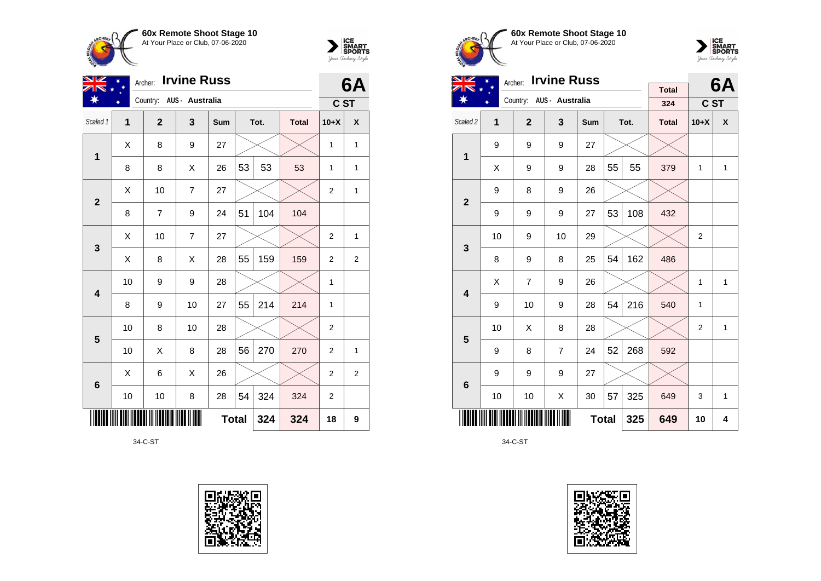



| VZ              | 6A             |                          |                         |     |              |      |              |                |                |
|-----------------|----------------|--------------------------|-------------------------|-----|--------------|------|--------------|----------------|----------------|
| ¥               |                | Country: AUS - Australia |                         |     |              |      |              | C ST           |                |
| Scaled 1        | $\overline{1}$ | $\overline{2}$           | $\overline{\mathbf{3}}$ | Sum |              | Tot. | <b>Total</b> | $10+X$         | X              |
| 1               | Χ              | 8                        | 9                       | 27  |              |      |              | 1              | 1              |
|                 | 8              | 8                        | X                       | 26  | 53           | 53   | 53           | 1              | $\mathbf{1}$   |
| $\overline{2}$  | Χ              | 10                       | $\overline{7}$          | 27  |              |      |              | $\overline{2}$ | $\mathbf{1}$   |
|                 | 8              | 7                        | 9                       | 24  | 51           | 104  | 104          |                |                |
| 3               | Χ              | 10                       | $\overline{7}$          | 27  |              |      |              | 2              | $\mathbf{1}$   |
|                 | X              | 8                        | X                       | 28  | 55           | 159  | 159          | $\overline{2}$ | $\overline{2}$ |
| 4               | 10             | 9                        | 9                       | 28  |              |      |              | 1              |                |
|                 | 8              | 9                        | 10                      | 27  | 55           | 214  | 214          | 1              |                |
| 5               | 10             | 8                        | 10                      | 28  |              |      |              | 2              |                |
|                 | 10             | X                        | 8                       | 28  | 56           | 270  | 270          | $\overline{2}$ | $\mathbf{1}$   |
| $6\phantom{1}6$ | X              | 6                        | X                       | 26  |              |      |              | 2              | 2              |
|                 | 10             | 10                       | 8                       | 28  | 54           | 324  | 324          | $\overline{2}$ |                |
|                 |                |                          |                         |     | <b>Total</b> | 324  | 324          | 18             | 9              |

34-C-ST







| VZ                      |              | <b>Irvine Russ</b><br>Archer: |                          |              |    | 6A   |                     |                |   |
|-------------------------|--------------|-------------------------------|--------------------------|--------------|----|------|---------------------|----------------|---|
|                         |              |                               | Country: AUS - Australia |              |    |      | <b>Total</b><br>324 | C ST           |   |
| Scaled 2                | $\mathbf{1}$ | $\overline{2}$                | 3                        | Sum          |    | Tot. | <b>Total</b>        | $10+X$         | X |
| 1                       | 9            | 9                             | 9                        | 27           |    |      |                     |                |   |
|                         | Χ            | 9                             | 9                        | 28           | 55 | 55   | 379                 | $\mathbf{1}$   | 1 |
| $\overline{2}$          | 9            | 8                             | 9                        | 26           |    |      |                     |                |   |
|                         | 9            | 9                             | 9                        | 27           | 53 | 108  | 432                 |                |   |
| 3                       | 10           | 9                             | 10                       | 29           |    |      |                     | $\overline{2}$ |   |
|                         | 8            | 9                             | 8                        | 25           | 54 | 162  | 486                 |                |   |
| $\overline{\mathbf{4}}$ | X            | $\overline{7}$                | 9                        | 26           |    |      |                     | $\mathbf{1}$   | 1 |
|                         | 9            | 10                            | 9                        | 28           | 54 | 216  | 540                 | $\mathbf{1}$   |   |
| 5                       | 10           | X                             | 8                        | 28           |    |      |                     | 2              | 1 |
|                         | 9            | 8                             | $\overline{7}$           | 24           | 52 | 268  | 592                 |                |   |
| 6                       | 9            | 9                             | 9                        | 27           |    |      |                     |                |   |
|                         | 10           | 10                            | X                        | 30           | 57 | 325  | 649                 | 3              | 1 |
|                         |              |                               |                          | <b>Total</b> |    | 325  | 649                 | 10             | 4 |

34-C-ST

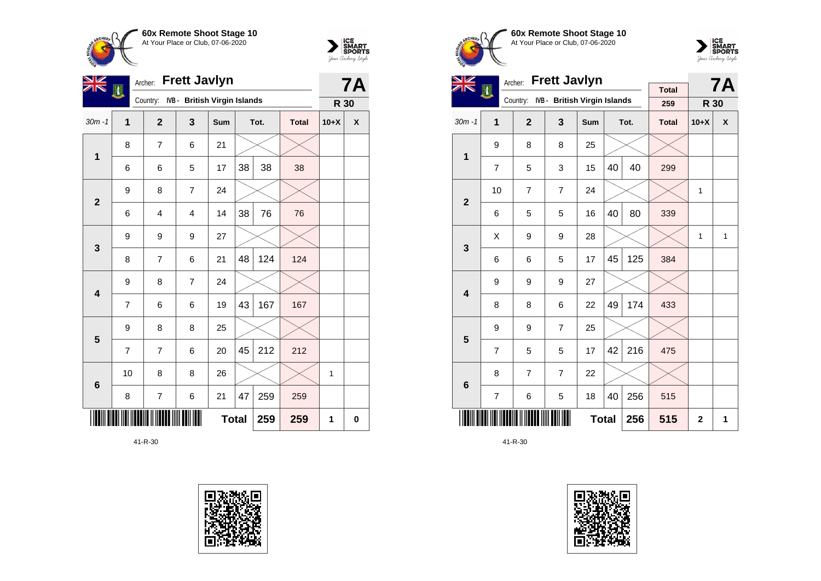



| NK<br>N                 | Archer:<br>阠   |                |                              | <b>7A</b>    |    |      |              |              |   |
|-------------------------|----------------|----------------|------------------------------|--------------|----|------|--------------|--------------|---|
|                         |                | Country:       | IVB - British Virgin Islands |              |    |      |              | R 30         |   |
| $30m - 1$               | 1              | $\overline{2}$ | 3                            | Sum          |    | Tot. | <b>Total</b> | $10+X$       | X |
| $\mathbf{1}$            | 8              | $\overline{7}$ | 6                            | 21           |    |      |              |              |   |
|                         | 6              | 6              | 5                            | 17           | 38 | 38   | 38           |              |   |
| $\overline{2}$          | 9              | 8              | $\overline{7}$               | 24           |    |      |              |              |   |
|                         | 6              | $\overline{4}$ | $\overline{4}$               | 14           | 38 | 76   | 76           |              |   |
| 3                       | 9              | 9              | 9                            | 27           |    |      |              |              |   |
|                         | 8              | $\overline{7}$ | 6                            | 21           | 48 | 124  | 124          |              |   |
| $\overline{\mathbf{4}}$ | 9              | 8              | $\overline{7}$               | 24           |    |      |              |              |   |
|                         | $\overline{7}$ | 6              | 6                            | 19           | 43 | 167  | 167          |              |   |
| 5                       | 9              | 8              | 8                            | 25           |    |      |              |              |   |
|                         | $\overline{7}$ | $\overline{7}$ | 6                            | 20           | 45 | 212  | 212          |              |   |
| $6\phantom{1}6$         | 10             | 8              | 8                            | 26           |    |      |              | $\mathbf{1}$ |   |
|                         | 8              | 7              | 6                            | 21           | 47 | 259  | 259          |              |   |
|                         |                |                |                              | <b>Total</b> |    | 259  | 259          | 1            | 0 |







| <b>NZ</b>               |                | Archer:                               | <b>Frett Javlyn</b> |            |              |      | <b>7A</b>    |                |   |
|-------------------------|----------------|---------------------------------------|---------------------|------------|--------------|------|--------------|----------------|---|
|                         | E              | Country: IVB - British Virgin Islands |                     |            |              |      | <b>Total</b> |                |   |
|                         |                |                                       |                     |            |              |      | 259          | R 30           |   |
| $30m - 1$               | 1              | $\overline{2}$                        | 3                   | <b>Sum</b> |              | Tot. | <b>Total</b> | $10+X$         | X |
| 1                       | 9              | 8                                     | 8                   | 25         |              |      |              |                |   |
|                         | $\overline{7}$ | 5                                     | 3                   | 15         | 40           | 40   | 299          |                |   |
| $\overline{2}$          | 10             | 7                                     | $\overline{7}$      | 24         |              |      |              | 1              |   |
|                         | 6              | 5                                     | 5                   | 16         | 40           | 80   | 339          |                |   |
| 3                       | X              | 9                                     | 9                   | 28         |              |      |              | 1              | 1 |
|                         | 6              | 6                                     | 5                   | 17         | 45           | 125  | 384          |                |   |
| $\overline{\mathbf{4}}$ | 9              | 9                                     | 9                   | 27         |              |      |              |                |   |
|                         | 8              | 8                                     | 6                   | 22         | 49           | 174  | 433          |                |   |
| 5                       | 9              | 9                                     | $\overline{7}$      | 25         |              |      |              |                |   |
|                         | $\overline{7}$ | 5                                     | 5                   | 17         | 42           | 216  | 475          |                |   |
| 6                       | 8              | $\overline{7}$                        | $\overline{7}$      | 22         |              |      |              |                |   |
|                         | $\overline{7}$ | 6                                     | 5                   | 18         | 40           | 256  | 515          |                |   |
|                         |                |                                       |                     |            | <b>Total</b> | 256  | 515          | $\overline{2}$ | 1 |

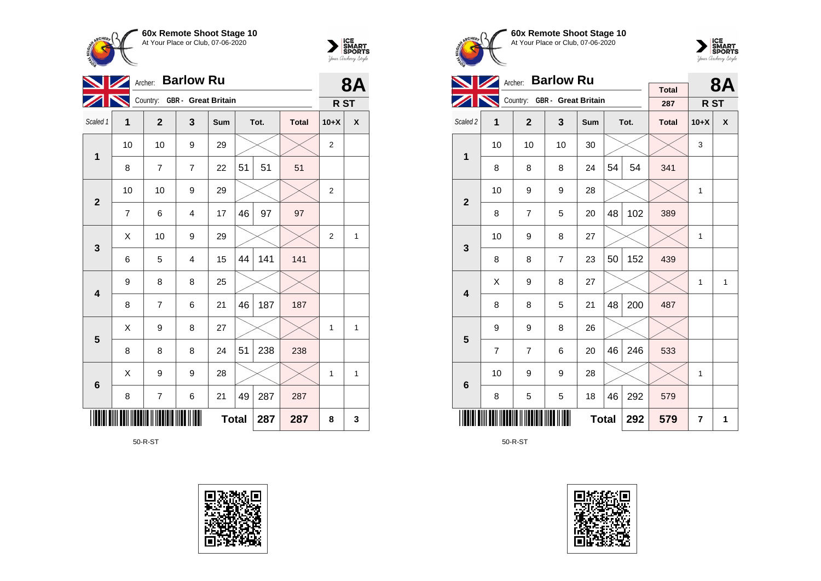



|                         |                            | <b>8A</b>                    |                         |     |    |      |              |                 |              |  |
|-------------------------|----------------------------|------------------------------|-------------------------|-----|----|------|--------------|-----------------|--------------|--|
|                         |                            | Country: GBR - Great Britain |                         |     |    |      |              | R <sub>ST</sub> |              |  |
| Scaled 1                | $\mathbf{1}$               | $\overline{2}$               | 3                       | Sum |    | Tot. | <b>Total</b> | $10+X$          | X            |  |
| 1                       | 10                         | 10                           | 9                       | 29  |    |      |              | 2               |              |  |
|                         | 8                          | $\overline{7}$               | $\overline{7}$          | 22  | 51 | 51   | 51           |                 |              |  |
| $\overline{2}$          | 10                         | 10                           | 9                       | 29  |    |      |              | $\overline{2}$  |              |  |
|                         | 7                          | 6                            | $\overline{\mathbf{4}}$ | 17  | 46 | 97   | 97           |                 |              |  |
| $\mathbf{3}$            | Χ                          | 10                           | 9                       | 29  |    |      |              | $\overline{2}$  | 1            |  |
|                         | 6                          | 5                            | $\overline{4}$          | 15  | 44 | 141  | 141          |                 |              |  |
| $\overline{\mathbf{4}}$ | 9                          | 8                            | 8                       | 25  |    |      |              |                 |              |  |
|                         | 8                          | 7                            | 6                       | 21  | 46 | 187  | 187          |                 |              |  |
| $\overline{\mathbf{5}}$ | Χ                          | 9                            | 8                       | 27  |    |      |              | 1               | $\mathbf{1}$ |  |
|                         | 8                          | 8                            | 8                       | 24  | 51 | 238  | 238          |                 |              |  |
| $6\phantom{1}6$         | X                          | 9                            | 9                       | 28  |    |      |              | 1               | 1            |  |
|                         | 8                          | 7                            | 6                       | 21  | 49 | 287  | 287          |                 |              |  |
|                         | <b>Total</b><br>287<br>287 |                              |                         |     |    |      |              |                 |              |  |

50-R-ST







|                |                | Archer: Barlow Ru |                              |            |    | <b>8A</b> |                     |              |   |
|----------------|----------------|-------------------|------------------------------|------------|----|-----------|---------------------|--------------|---|
|                |                |                   | Country: GBR - Great Britain |            |    |           | <b>Total</b><br>287 | R ST         |   |
| Scaled 2       | 1              | $\overline{2}$    | 3                            | <b>Sum</b> |    | Tot.      | <b>Total</b>        | $10+X$       | X |
|                | 10             | 10                | 10                           | 30         |    |           |                     | 3            |   |
| $\mathbf 1$    | 8              | 8                 | 8                            | 24         | 54 | 54        | 341                 |              |   |
| $\overline{2}$ | 10             | 9                 | 9                            | 28         |    |           |                     | $\mathbf{1}$ |   |
|                | 8              | $\overline{7}$    | 5                            | 20         | 48 | 102       | 389                 |              |   |
| 3              | 10             | 9                 | 8                            | 27         |    |           |                     | $\mathbf{1}$ |   |
|                | 8              | 8                 | $\overline{7}$               | 23         | 50 | 152       | 439                 |              |   |
| 4              | X              | 9                 | 8                            | 27         |    |           |                     | $\mathbf{1}$ | 1 |
|                | 8              | 8                 | 5                            | 21         | 48 | 200       | 487                 |              |   |
| 5              | 9              | 9                 | 8                            | 26         |    |           |                     |              |   |
|                | $\overline{7}$ | $\overline{7}$    | 6                            | 20         | 46 | 246       | 533                 |              |   |
| 6              | 10             | 9                 | 9                            | 28         |    |           |                     | $\mathbf{1}$ |   |
|                | 8              | 5                 | 5                            | 18         | 46 | 292       | 579                 |              |   |
|                |                |                   | 292                          | 579        | 7  | 1         |                     |              |   |

50-R-ST

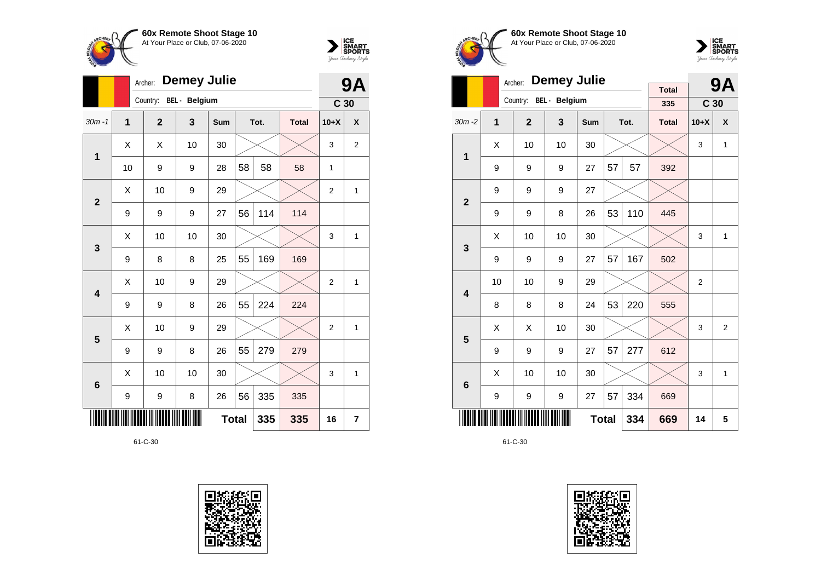



|                 |                            | <b>Demey Julie</b><br>Archer: |                      |            |    |      |              |                |                 |  |  |
|-----------------|----------------------------|-------------------------------|----------------------|------------|----|------|--------------|----------------|-----------------|--|--|
|                 |                            | Country:                      | <b>BEL</b> - Belgium |            |    |      |              |                | C <sub>30</sub> |  |  |
| $30m - 1$       | 1                          | $\overline{2}$                | 3                    | <b>Sum</b> |    | Tot. | <b>Total</b> | $10+X$         | X               |  |  |
| 1               | X                          | X                             | 10                   | 30         |    |      |              | 3              | 2               |  |  |
|                 | 10                         | 9                             | 9                    | 28         | 58 | 58   | 58           | 1              |                 |  |  |
| $\overline{2}$  | X                          | 10                            | 9                    | 29         |    |      |              | $\overline{2}$ | 1               |  |  |
|                 | 9                          | 9                             | 9                    | 27         | 56 | 114  | 114          |                |                 |  |  |
| $\mathbf{3}$    | X                          | 10                            | 10                   | 30         |    |      |              | 3              | 1               |  |  |
|                 | 9                          | 8                             | 8                    | 25         | 55 | 169  | 169          |                |                 |  |  |
| 4               | Χ                          | 10                            | 9                    | 29         |    |      |              | $\overline{2}$ | 1               |  |  |
|                 | 9                          | 9                             | 8                    | 26         | 55 | 224  | 224          |                |                 |  |  |
| 5               | Χ                          | 10                            | 9                    | 29         |    |      |              | $\overline{2}$ | 1               |  |  |
|                 | 9                          | 9                             | 8                    | 26         | 55 | 279  | 279          |                |                 |  |  |
| $6\phantom{1}6$ | X                          | 10                            | 10                   | 30         |    |      |              | 3              | 1               |  |  |
|                 | 9                          | 9                             | 8                    | 26         | 56 | 335  | 335          |                |                 |  |  |
|                 | <b>Total</b><br>335<br>335 |                               |                      |            |    |      |              |                |                 |  |  |







|                         |    | <b>Demey Julie</b><br>Archer: |               |              |    | <b>9A</b> |                     |                 |              |
|-------------------------|----|-------------------------------|---------------|--------------|----|-----------|---------------------|-----------------|--------------|
|                         |    | Country:                      | BEL - Belgium |              |    |           | <b>Total</b><br>335 | C <sub>30</sub> |              |
| $30m - 2$               | 1  | $\overline{2}$                | 3             | <b>Sum</b>   |    | Tot.      | <b>Total</b>        | $10+X$          | X            |
| 1                       | X  | 10                            | 10            | 30           |    |           |                     | 3               | $\mathbf{1}$ |
|                         | 9  | 9                             | 9             | 27           | 57 | 57        | 392                 |                 |              |
| $\overline{2}$          | 9  | 9                             | 9             | 27           |    |           |                     |                 |              |
|                         | 9  | 9                             | 8             | 26           | 53 | 110       | 445                 |                 |              |
| 3                       | X  | 10                            | 10            | 30           |    |           |                     | 3               | $\mathbf{1}$ |
|                         | 9  | 9                             | 9             | 27           | 57 | 167       | 502                 |                 |              |
| $\overline{\mathbf{4}}$ | 10 | 10                            | 9             | 29           |    |           |                     | $\overline{2}$  |              |
|                         | 8  | 8                             | 8             | 24           | 53 | 220       | 555                 |                 |              |
| 5                       | X  | X                             | 10            | 30           |    |           |                     | 3               | 2            |
|                         | 9  | 9                             | 9             | 27           | 57 | 277       | 612                 |                 |              |
| $6\phantom{1}6$         | Χ  | 10                            | 10            | 30           |    |           |                     | 3               | 1            |
|                         | 9  | 9                             | 9             | 27           | 57 | 334       | 669                 |                 |              |
|                         |    |                               |               | <b>Total</b> |    | 334       | 669                 | 14              | 5            |

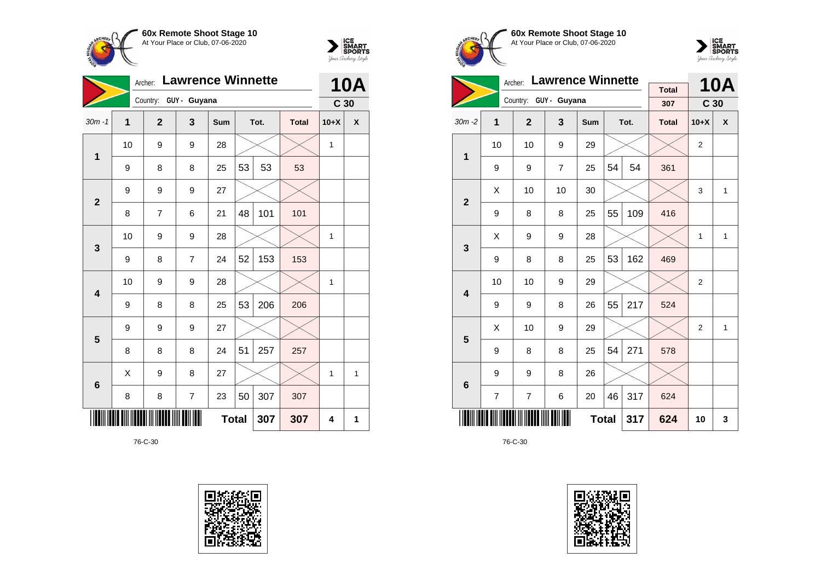



|                         | <b>Lawrence Winnette</b><br>Archer: |                       |                |              |    |      |              |                 |              |  |
|-------------------------|-------------------------------------|-----------------------|----------------|--------------|----|------|--------------|-----------------|--------------|--|
|                         |                                     | Country: GUY - Guyana |                |              |    |      |              | C <sub>30</sub> |              |  |
| $30m - 1$               | $\overline{1}$                      | $\overline{2}$        | 3              | Sum          |    | Tot. | <b>Total</b> | $10+X$          | X            |  |
| $\mathbf{1}$            | 10                                  | 9                     | 9              | 28           |    |      |              | 1               |              |  |
|                         | 9                                   | 8                     | 8              | 25           | 53 | 53   | 53           |                 |              |  |
| $\overline{2}$          | 9                                   | 9                     | 9              | 27           |    |      |              |                 |              |  |
|                         | 8                                   | 7                     | 6              | 21           | 48 | 101  | 101          |                 |              |  |
| $\mathbf{3}$            | 10                                  | 9                     | 9              | 28           |    |      |              | 1               |              |  |
|                         | 9                                   | 8                     | $\overline{7}$ | 24           | 52 | 153  | 153          |                 |              |  |
| $\overline{\mathbf{4}}$ | 10                                  | 9                     | 9              | 28           |    |      |              | 1               |              |  |
|                         | 9                                   | 8                     | 8              | 25           | 53 | 206  | 206          |                 |              |  |
| $5\phantom{1}$          | 9                                   | 9                     | 9              | 27           |    |      |              |                 |              |  |
|                         | 8                                   | 8                     | 8              | 24           | 51 | 257  | 257          |                 |              |  |
| $6\phantom{1}$          | X                                   | 9                     | 8              | 27           |    |      |              | 1               | $\mathbf{1}$ |  |
|                         | 8                                   | 8                     | $\overline{7}$ | 23           | 50 | 307  | 307          |                 |              |  |
|                         |                                     |                       |                | <b>Total</b> |    | 307  | 307          | 4               | 1            |  |







|                         |    | Archer:        | <b>Lawrence Winnette</b> |              |    | <b>10A</b> |              |                 |              |
|-------------------------|----|----------------|--------------------------|--------------|----|------------|--------------|-----------------|--------------|
|                         |    |                | Country: GUY - Guyana    |              |    |            | <b>Total</b> |                 |              |
|                         |    |                |                          |              |    |            | 307          | C <sub>30</sub> |              |
| $30m - 2$               | 1  | $\overline{2}$ | 3                        | Sum          |    | Tot.       | <b>Total</b> | $10+X$          | X            |
| $\mathbf{1}$            | 10 | 10             | 9                        | 29           |    |            |              | $\overline{2}$  |              |
|                         | 9  | 9              | 7                        | 25           | 54 | 54         | 361          |                 |              |
| $\overline{2}$          | X  | 10             | 10                       | 30           |    |            |              | 3               | 1            |
|                         | 9  | 8              | 8                        | 25           | 55 | 109        | 416          |                 |              |
| 3                       | X  | 9              | 9                        | 28           |    |            |              | $\mathbf{1}$    | 1            |
|                         | 9  | 8              | 8                        | 25           | 53 | 162        | 469          |                 |              |
| $\overline{\mathbf{4}}$ | 10 | 10             | 9                        | 29           |    |            |              | $\overline{2}$  |              |
|                         | 9  | 9              | 8                        | 26           | 55 | 217        | 524          |                 |              |
| 5                       | X  | 10             | 9                        | 29           |    |            |              | $\overline{2}$  | $\mathbf{1}$ |
|                         | 9  | 8              | 8                        | 25           | 54 | 271        | 578          |                 |              |
| $6\phantom{1}6$         | 9  | 9              | 8                        | 26           |    |            |              |                 |              |
|                         | 7  | 7              | 6                        | 20           | 46 | 317        | 624          |                 |              |
|                         |    |                |                          | <b>Total</b> |    | 317        | 624          | 10              | 3            |

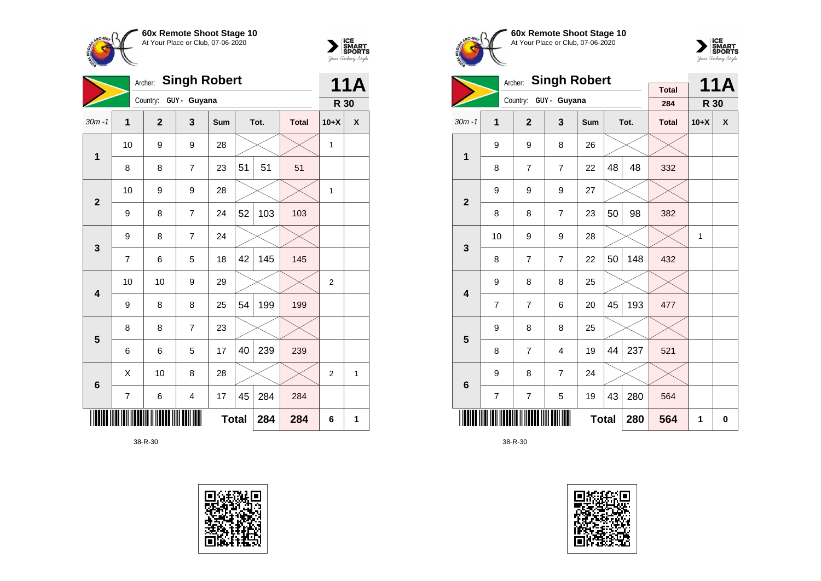



|                         | <b>Singh Robert</b><br>Archer: |                       |                         |              |    |      |              |                | <b>11A</b> |
|-------------------------|--------------------------------|-----------------------|-------------------------|--------------|----|------|--------------|----------------|------------|
|                         |                                | Country: GUY - Guyana |                         |              |    |      |              | R 30           |            |
| $30m - 1$               | 1                              | $\mathbf{2}$          | 3                       | Sum          |    | Tot. | <b>Total</b> | $10+X$         | X          |
| 1                       | 10                             | 9                     | 9                       | 28           |    |      |              | 1              |            |
|                         | 8                              | 8                     | $\overline{7}$          | 23           | 51 | 51   | 51           |                |            |
| $\mathbf{2}$            | 10                             | 9                     | 9                       | 28           |    |      |              | 1              |            |
|                         | 9                              | 8                     | $\overline{7}$          | 24           | 52 | 103  | 103          |                |            |
| $\mathbf{3}$            | 9                              | 8                     | $\overline{7}$          | 24           |    |      |              |                |            |
|                         | $\overline{7}$                 | 6                     | 5                       | 18           | 42 | 145  | 145          |                |            |
| $\overline{\mathbf{4}}$ | 10                             | 10                    | 9                       | 29           |    |      |              | $\overline{2}$ |            |
|                         | 9                              | 8                     | 8                       | 25           | 54 | 199  | 199          |                |            |
| 5                       | 8                              | 8                     | $\overline{7}$          | 23           |    |      |              |                |            |
|                         | 6                              | 6                     | 5                       | 17           | 40 | 239  | 239          |                |            |
| $6\phantom{1}6$         | Χ                              | 10                    | 8                       | 28           |    |      |              | $\overline{2}$ | 1          |
|                         | $\overline{7}$                 | 6                     | $\overline{\mathbf{4}}$ | 17           | 45 | 284  | 284          |                |            |
|                         |                                |                       |                         | <b>Total</b> |    | 284  | 284          | 6              | 1          |

38-R-30







|                         |    | <b>Singh Robert</b><br>Archer: |                         |            |    | <b>11A</b> |                     |        |   |
|-------------------------|----|--------------------------------|-------------------------|------------|----|------------|---------------------|--------|---|
|                         |    | Country:                       | GUY - Guyana            |            |    |            | <b>Total</b><br>284 | R 30   |   |
| $30m - 1$               | 1  | $\overline{2}$                 | 3                       | <b>Sum</b> |    | Tot.       | <b>Total</b>        | $10+X$ | X |
| 1                       | 9  | 9                              | 8                       | 26         |    |            |                     |        |   |
|                         | 8  | $\overline{7}$                 | $\overline{7}$          | 22         | 48 | 48         | 332                 |        |   |
| $\overline{2}$          | 9  | 9                              | 9                       | 27         |    |            |                     |        |   |
|                         | 8  | 8                              | $\overline{7}$          | 23         | 50 | 98         | 382                 |        |   |
| 3                       | 10 | 9                              | 9                       | 28         |    |            |                     | 1      |   |
|                         | 8  | $\overline{7}$                 | $\overline{7}$          | 22         | 50 | 148        | 432                 |        |   |
| $\overline{\mathbf{4}}$ | 9  | 8                              | 8                       | 25         |    |            |                     |        |   |
|                         | 7  | $\overline{7}$                 | 6                       | 20         | 45 | 193        | 477                 |        |   |
| 5                       | 9  | 8                              | 8                       | 25         |    |            |                     |        |   |
|                         | 8  | $\overline{7}$                 | $\overline{\mathbf{4}}$ | 19         | 44 | 237        | 521                 |        |   |
| $6\phantom{1}$          | 9  | 8                              | $\overline{7}$          | 24         |    |            |                     |        |   |
|                         | 7  | $\overline{7}$                 | 5                       | 19         | 43 | 280        | 564                 |        |   |
|                         |    |                                |                         |            |    | 280        | 564                 | 1      | 0 |

38-R-30

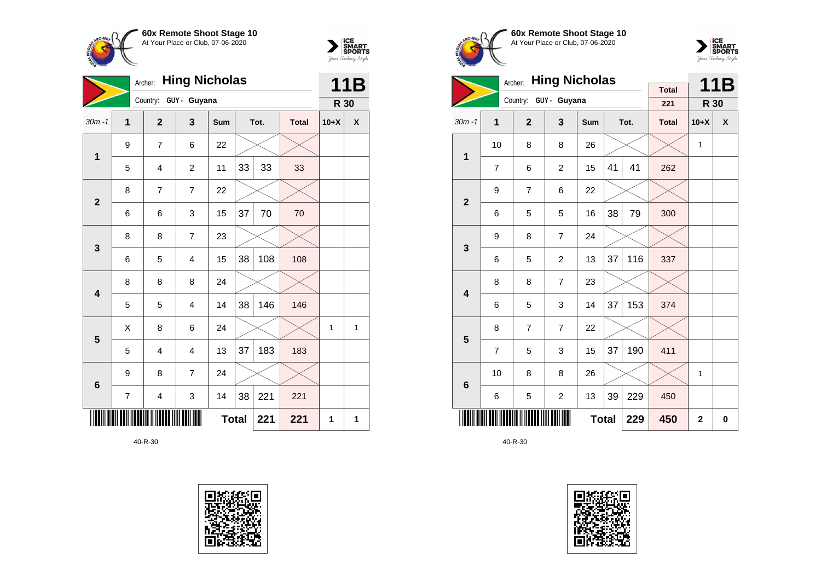



| <b>Hing Nicholas</b><br>Archer: |                |                       |                |              |    |      |              |        | 11B |
|---------------------------------|----------------|-----------------------|----------------|--------------|----|------|--------------|--------|-----|
|                                 |                | Country: GUY - Guyana |                |              |    |      |              | R 30   |     |
| $30m - 1$                       | $\overline{1}$ | $\overline{2}$        | 3              | Sum          |    | Tot. | <b>Total</b> | $10+X$ | X   |
| 1                               | 9              | $\overline{7}$        | 6              | 22           |    |      |              |        |     |
|                                 | 5              | $\overline{4}$        | $\overline{c}$ | 11           | 33 | 33   | 33           |        |     |
| $\mathbf{2}$                    | 8              | 7                     | $\overline{7}$ | 22           |    |      |              |        |     |
|                                 | 6              | 6                     | 3              | 15           | 37 | 70   | 70           |        |     |
| 3                               | 8              | 8                     | $\overline{7}$ | 23           |    |      |              |        |     |
|                                 | 6              | 5                     | $\overline{4}$ | 15           | 38 | 108  | 108          |        |     |
| 4                               | 8              | 8                     | 8              | 24           |    |      |              |        |     |
|                                 | 5              | 5                     | $\overline{4}$ | 14           | 38 | 146  | 146          |        |     |
| 5                               | Χ              | 8                     | 6              | 24           |    |      |              | 1      | 1   |
|                                 | 5              | $\overline{4}$        | $\overline{4}$ | 13           | 37 | 183  | 183          |        |     |
| $6\phantom{1}6$                 | 9              | 8                     | $\overline{7}$ | 24           |    |      |              |        |     |
|                                 | $\overline{7}$ | 4                     | 3              | 14           | 38 | 221  | 221          |        |     |
|                                 |                |                       |                | <b>Total</b> |    | 221  | 221          | 1      | 1   |

40-R-30







|                         |                | Archer:        | <b>Hing Nicholas</b> |              |    |      |                     |              | 11B |
|-------------------------|----------------|----------------|----------------------|--------------|----|------|---------------------|--------------|-----|
|                         |                | Country:       | GUY - Guyana         |              |    |      | <b>Total</b><br>221 | R 30         |     |
| $30m - 1$               | 1              | $\overline{2}$ | 3                    | Sum          |    | Tot. | <b>Total</b>        | $10+X$       | X   |
| $\mathbf 1$             | 10             | 8              | 8                    | 26           |    |      |                     | 1            |     |
|                         | $\overline{7}$ | 6              | $\overline{c}$       | 15           | 41 | 41   | 262                 |              |     |
| $\overline{2}$          | 9              | $\overline{7}$ | 6                    | 22           |    |      |                     |              |     |
|                         | 6              | 5              | 5                    | 16           | 38 | 79   | 300                 |              |     |
| 3                       | 9              | 8              | $\overline{7}$       | 24           |    |      |                     |              |     |
|                         | 6              | 5              | $\overline{2}$       | 13           | 37 | 116  | 337                 |              |     |
| $\overline{\mathbf{4}}$ | 8              | 8              | $\overline{7}$       | 23           |    |      |                     |              |     |
|                         | 6              | 5              | 3                    | 14           | 37 | 153  | 374                 |              |     |
| 5                       | 8              | $\overline{7}$ | $\overline{7}$       | 22           |    |      |                     |              |     |
|                         | $\overline{7}$ | 5              | 3                    | 15           | 37 | 190  | 411                 |              |     |
| $6\phantom{1}$          | 10             | 8              | 8                    | 26           |    |      |                     | 1            |     |
|                         | 6              | 5              | $\overline{c}$       | 13           | 39 | 229  | 450                 |              |     |
|                         |                |                |                      | <b>Total</b> |    | 229  | 450                 | $\mathbf{2}$ | 0   |

40-R-30

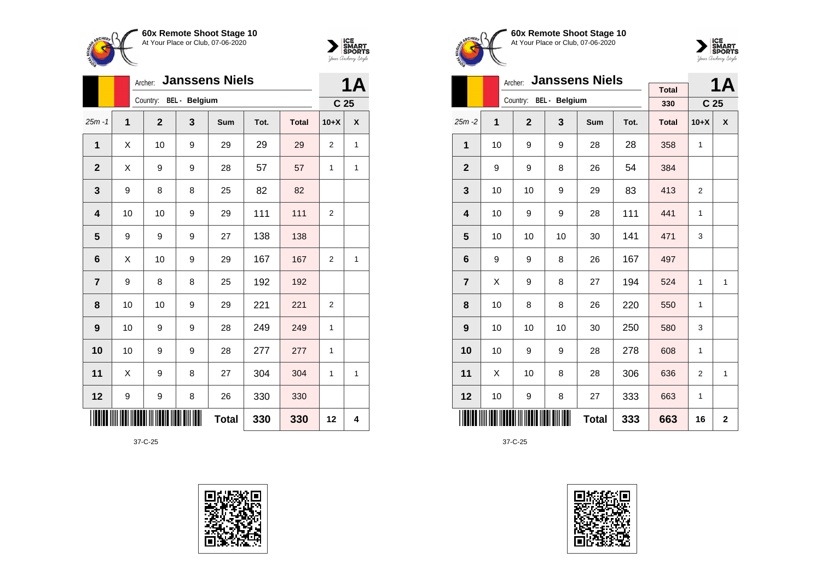



|                |                | <b>Janssens Niels</b><br>Archer: |   |              | <b>1A</b> |              |                |                    |
|----------------|----------------|----------------------------------|---|--------------|-----------|--------------|----------------|--------------------|
|                |                | Country: BEL - Belgium           |   |              |           |              |                | C <sub>25</sub>    |
| $25m - 1$      | $\overline{1}$ | $\mathbf{2}$                     | 3 | Sum          | Tot.      | <b>Total</b> | $10+X$         | $\pmb{\mathsf{X}}$ |
| 1              | X              | 10                               | 9 | 29           | 29        | 29           | 2              | 1                  |
| $\mathbf 2$    | Χ              | 9                                | 9 | 28           | 57        | 57           | 1              | 1                  |
| 3              | 9              | 8                                | 8 | 25           | 82        | 82           |                |                    |
| 4              | 10             | 10                               | 9 | 29           | 111       | 111          | $\overline{2}$ |                    |
| 5              | 9              | 9                                | 9 | 27           | 138       | 138          |                |                    |
| 6              | X              | 10                               | 9 | 29           | 167       | 167          | $\overline{2}$ | 1                  |
| $\overline{7}$ | 9              | 8                                | 8 | 25           | 192       | 192          |                |                    |
| 8              | 10             | 10                               | 9 | 29           | 221       | 221          | $\overline{2}$ |                    |
| 9              | 10             | 9                                | 9 | 28           | 249       | 249          | 1              |                    |
| 10             | 10             | 9                                | 9 | 28           | 277       | 277          | 1              |                    |
| 11             | X              | 9                                | 8 | 27           | 304       | 304          | 1              | 1                  |
| 12             | 9              | 9                                | 8 | 26           | 330       | 330          |                |                    |
|                |                |                                  |   | <b>Total</b> | 330       | 330          | 12             | 4                  |









|                         |    | <b>Janssens Niels</b><br>Archer: |                        |            |              | <b>1A</b>           |                 |              |
|-------------------------|----|----------------------------------|------------------------|------------|--------------|---------------------|-----------------|--------------|
|                         |    |                                  | Country: BEL - Belgium |            |              | <b>Total</b><br>330 | C <sub>25</sub> |              |
|                         |    |                                  |                        |            |              |                     |                 |              |
| $25m - 2$               | 1  | $\mathbf{2}$                     | 3                      | <b>Sum</b> | Tot.         | <b>Total</b>        | $10+X$          | X            |
| 1                       | 10 | 9                                | 9                      | 28         | 28           | 358                 | 1               |              |
| $\overline{2}$          | 9  | 9                                | 8                      | 26         | 54           | 384                 |                 |              |
| 3                       | 10 | 10                               | 9                      | 29         | 83           | 413                 | $\overline{2}$  |              |
| $\overline{\mathbf{4}}$ | 10 | 9                                | 9                      | 28         | 111          | 441                 | 1               |              |
| 5                       | 10 | 10                               | 10                     | 30         | 141          | 471                 | 3               |              |
| 6                       | 9  | 9                                | 8                      | 26         | 167          | 497                 |                 |              |
| $\overline{7}$          | X  | 9                                | 8                      | 27         | 194          | 524                 | 1               | 1            |
| 8                       | 10 | 8                                | 8                      | 26         | 220          | 550                 | 1               |              |
| 9                       | 10 | 10                               | 10                     | 30         | 250          | 580                 | 3               |              |
| 10                      | 10 | 9                                | 9                      | 28         | 278          | 608                 | 1               |              |
| 11                      | Χ  | 10                               | 8                      | 28         | 306          | 636                 | $\overline{2}$  | $\mathbf{1}$ |
| 12                      | 10 | 9                                | 8                      | 27         | 333          | 663                 | 1               |              |
|                         |    |                                  | 663                    | 16         | $\mathbf{2}$ |                     |                 |              |

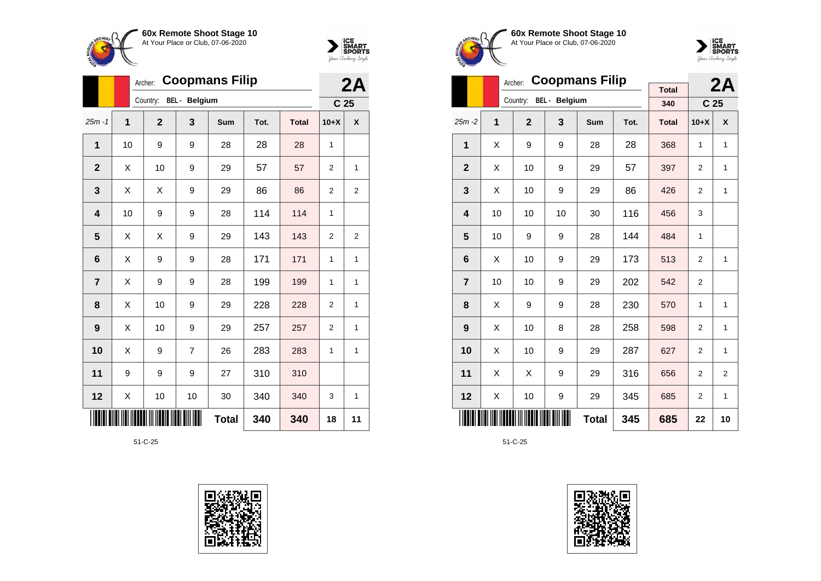



|                         |    | Archer: | <b>Coopmans Filip</b> |                      |              | 2A   |              |                 |                |
|-------------------------|----|---------|-----------------------|----------------------|--------------|------|--------------|-----------------|----------------|
|                         |    |         | Country:              | <b>BEL</b> - Belgium |              |      |              | C <sub>25</sub> |                |
| $25m - 1$               | 1  |         | $\overline{2}$        | 3                    | <b>Sum</b>   | Tot. | <b>Total</b> | $10+X$          | X              |
| 1                       | 10 |         | 9                     | 9                    | 28           | 28   | 28           | 1               |                |
| $\overline{2}$          | Χ  |         | 10                    | 9                    | 29           | 57   | 57           | $\overline{2}$  | 1              |
| $\mathbf{3}$            | Χ  |         | Χ                     | 9                    | 29           | 86   | 86           | $\overline{2}$  | $\overline{2}$ |
| $\overline{\mathbf{4}}$ | 10 |         | 9                     | 9                    | 28           | 114  | 114          | 1               |                |
| 5                       | X  |         | Χ                     | 9                    | 29           | 143  | 143          | $\overline{2}$  | $\overline{2}$ |
| 6                       | Χ  |         | 9                     | 9                    | 28           | 171  | 171          | 1               | 1              |
| $\overline{7}$          | Χ  |         | 9                     | 9                    | 28           | 199  | 199          | 1               | 1              |
| 8                       | X  |         | 10                    | 9                    | 29           | 228  | 228          | 2               | 1              |
| $\boldsymbol{9}$        | Χ  |         | 10                    | 9                    | 29           | 257  | 257          | $\overline{2}$  | 1              |
| 10                      | Χ  |         | 9                     | 7                    | 26           | 283  | 283          | 1               | 1              |
| 11                      | 9  |         | 9                     | 9                    | 27           | 310  | 310          |                 |                |
| 12                      | Χ  |         | 10                    | 10                   | 30           | 340  | 340          | 3               | 1              |
|                         |    |         |                       |                      | <b>Total</b> | 340  | 340          | 18              | 11             |









|                         | <b>Coopmans Filip</b><br>Archer: |                |                        |            |      |              |                 | 2A             |
|-------------------------|----------------------------------|----------------|------------------------|------------|------|--------------|-----------------|----------------|
|                         |                                  |                | Country: BEL - Belgium |            |      | <b>Total</b> |                 |                |
|                         |                                  |                |                        |            |      | 340          | C <sub>25</sub> |                |
| $25m - 2$               | 1                                | $\overline{2}$ | 3                      | <b>Sum</b> | Tot. | <b>Total</b> | $10+X$          | X              |
| 1                       | X                                | 9              | 9                      | 28         | 28   | 368          | 1               | 1              |
| $\overline{2}$          | Χ                                | 10             | 9                      | 29         | 57   | 397          | $\overline{2}$  | 1              |
| 3                       | X                                | 10             | 9                      | 29         | 86   | 426          | $\overline{2}$  | $\mathbf{1}$   |
| $\overline{\mathbf{4}}$ | 10                               | 10             | 10                     | 30         | 116  | 456          | 3               |                |
| 5                       | 10                               | 9              | 9                      | 28         | 144  | 484          | 1               |                |
| 6                       | X                                | 10             | 9                      | 29         | 173  | 513          | $\overline{2}$  | $\mathbf{1}$   |
| $\overline{7}$          | 10                               | 10             | 9                      | 29         | 202  | 542          | $\overline{2}$  |                |
| 8                       | X                                | 9              | 9                      | 28         | 230  | 570          | 1               | 1              |
| 9                       | X                                | 10             | 8                      | 28         | 258  | 598          | 2               | 1              |
| 10                      | Χ                                | 10             | 9                      | 29         | 287  | 627          | $\overline{2}$  | $\mathbf{1}$   |
| 11                      | X                                | X              | 9                      | 29         | 316  | 656          | $\overline{2}$  | $\overline{2}$ |
| 12                      | X                                | 10             | 9                      | 29         | 345  | 685          | 2               | 1              |
|                         |                                  |                | 685                    | 22         | 10   |              |                 |                |

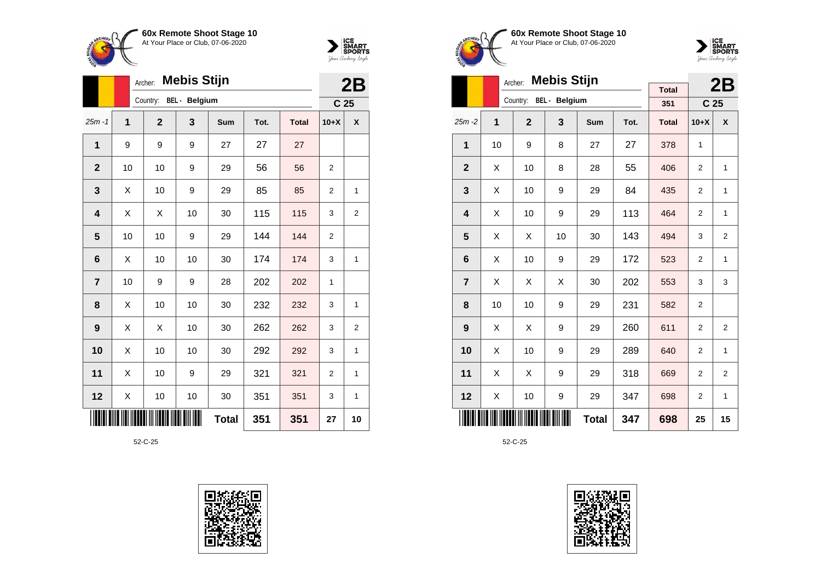



|                 | <b>Mebis Stijn</b><br>Archer: |                        |    |            |      |              |                 |   |  |
|-----------------|-------------------------------|------------------------|----|------------|------|--------------|-----------------|---|--|
|                 |                               | Country: BEL - Belgium |    |            |      |              | C <sub>25</sub> |   |  |
| $25m - 1$       | 1                             | $\overline{2}$         | 3  | <b>Sum</b> | Tot. | <b>Total</b> | $10+X$          | X |  |
| 1               | 9                             | 9                      | 9  | 27         | 27   | 27           |                 |   |  |
| $\overline{2}$  | 10                            | 10                     | 9  | 29         | 56   | 56           | $\overline{2}$  |   |  |
| 3               | X                             | 10                     | 9  | 29         | 85   | 85           | $\overline{2}$  | 1 |  |
| 4               | X                             | Χ                      | 10 | 30         | 115  | 115          | 3               | 2 |  |
| 5               | 10                            | 10                     | 9  | 29         | 144  | 144          | $\overline{2}$  |   |  |
| $6\phantom{1}6$ | X                             | 10                     | 10 | 30         | 174  | 174          | 3               | 1 |  |
| $\overline{7}$  | 10                            | 9                      | 9  | 28         | 202  | 202          | 1               |   |  |
| 8               | X                             | 10                     | 10 | 30         | 232  | 232          | 3               | 1 |  |
| 9               | Χ                             | X                      | 10 | 30         | 262  | 262          | 3               | 2 |  |
| 10              | Χ                             | 10                     | 10 | 30         | 292  | 292          | 3               | 1 |  |
| 11              | X                             | 10                     | 9  | 29         | 321  | 321          | $\overline{2}$  | 1 |  |
| 12              | X                             | 10                     | 10 | 30         | 351  | 351          | 3               | 1 |  |
|                 | <b>Total</b><br>351<br>351    |                        |    |            |      |              |                 |   |  |









|                |    | <b>Mebis Stijn</b><br>Archer: |                      |            |      | 2B                  |                |                 |
|----------------|----|-------------------------------|----------------------|------------|------|---------------------|----------------|-----------------|
|                |    | Country:                      | <b>BEL</b> - Belgium |            |      | <b>Total</b><br>351 |                | C <sub>25</sub> |
| $25m - 2$      | 1  | $\overline{2}$                | 3                    | <b>Sum</b> | Tot. | <b>Total</b>        | $10+X$         | X               |
| 1              | 10 | 9                             | 8                    | 27         | 27   | 378                 | 1              |                 |
| $\overline{2}$ | X  | 10                            | 8                    | 28         | 55   | 406                 | $\overline{2}$ | 1               |
| 3              | X  | 10                            | 9                    | 29         | 84   | 435                 | $\overline{2}$ | 1               |
| 4              | Χ  | 10                            | 9                    | 29         | 113  | 464                 | $\overline{2}$ | 1               |
| 5              | X  | X                             | 10                   | 30         | 143  | 494                 | 3              | $\overline{2}$  |
| 6              | X  | 10                            | 9                    | 29         | 172  | 523                 | $\overline{2}$ | $\mathbf{1}$    |
| $\overline{7}$ | X  | Χ                             | Χ                    | 30         | 202  | 553                 | 3              | 3               |
| 8              | 10 | 10                            | 9                    | 29         | 231  | 582                 | $\overline{2}$ |                 |
| 9              | X  | X                             | 9                    | 29         | 260  | 611                 | 2              | 2               |
| 10             | X  | 10                            | 9                    | 29         | 289  | 640                 | $\overline{2}$ | 1               |
| 11             | Χ  | Χ                             | 9                    | 29         | 318  | 669                 | $\overline{2}$ | $\overline{2}$  |
| 12             | Χ  | 10                            | 9                    | 29         | 347  | 698                 | $\overline{2}$ | 1               |
|                |    |                               | 347                  | 698        | 25   | 15                  |                |                 |

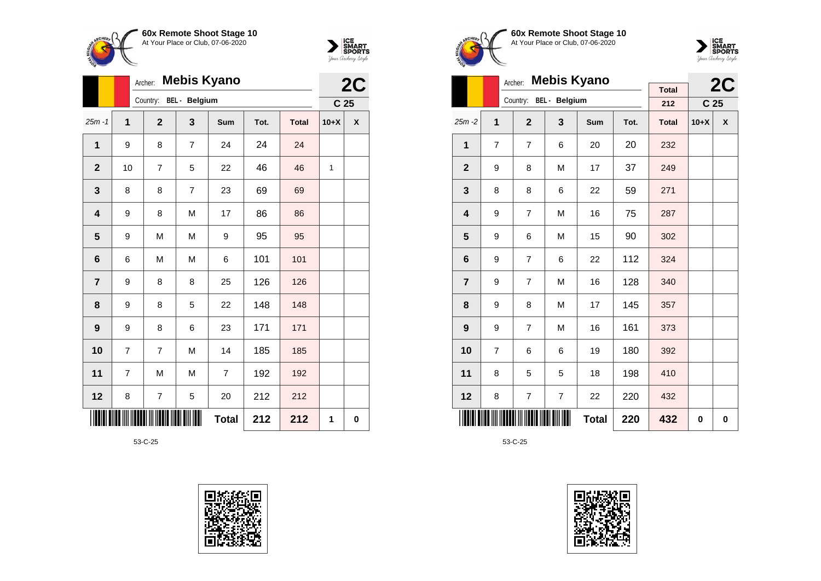



|                         |                | <b>Mebis Kyano</b><br>Archer: |                |                | 2C   |              |                 |             |
|-------------------------|----------------|-------------------------------|----------------|----------------|------|--------------|-----------------|-------------|
|                         |                | Country:                      | BEL - Belgium  |                |      |              | C <sub>25</sub> |             |
| $25m - 1$               | $\overline{1}$ | $\mathbf{2}$                  | 3              | Sum            | Tot. | <b>Total</b> | $10+X$          | X           |
| 1                       | 9              | 8                             | $\overline{7}$ | 24             | 24   | 24           |                 |             |
| $\overline{2}$          | 10             | $\overline{7}$                | 5              | 22             | 46   | 46           | 1               |             |
| 3                       | 8              | 8                             | $\overline{7}$ | 23             | 69   | 69           |                 |             |
| 4                       | 9              | 8                             | M              | 17             | 86   | 86           |                 |             |
| 5                       | 9              | M                             | M              | 9              | 95   | 95           |                 |             |
| 6                       | 6              | M                             | M              | 6              | 101  | 101          |                 |             |
| $\overline{\mathbf{r}}$ | 9              | 8                             | 8              | 25             | 126  | 126          |                 |             |
| 8                       | 9              | 8                             | 5              | 22             | 148  | 148          |                 |             |
| 9                       | 9              | 8                             | 6              | 23             | 171  | 171          |                 |             |
| 10                      | $\overline{7}$ | $\overline{7}$                | M              | 14             | 185  | 185          |                 |             |
| 11                      | 7              | M                             | M              | $\overline{7}$ | 192  | 192          |                 |             |
| 12                      | 8              | 7                             | 5              | 20             | 212  | 212          |                 |             |
|                         |                |                               |                | <b>Total</b>   | 212  | 212          | 1               | $\mathbf 0$ |







 $\sum_{\text{Jour} \text{Grefers}} \frac{ICE}{SPACE}$ 

|                         |                | <b>Mebis Kyano</b><br>Archer: |                         |              | 2C   |              |                 |   |
|-------------------------|----------------|-------------------------------|-------------------------|--------------|------|--------------|-----------------|---|
|                         |                | Country:                      | BEL - Belgium           |              |      | <b>Total</b> |                 |   |
|                         |                |                               |                         |              |      | 212          | C <sub>25</sub> |   |
| 25m -2                  | 1              | $\mathbf{2}$                  | 3                       | <b>Sum</b>   | Tot. | <b>Total</b> | $10+X$          | X |
| $\mathbf{1}$            | $\overline{7}$ | $\overline{7}$                | 6                       | 20           | 20   | 232          |                 |   |
| $\mathbf{2}$            | 9              | 8                             | M                       | 17           | 37   | 249          |                 |   |
| 3                       | 8              | 8                             | 6                       | 22           | 59   | 271          |                 |   |
| $\overline{\mathbf{4}}$ | 9              | 7                             | M                       | 16           | 75   | 287          |                 |   |
| 5                       | 9              | 6                             | M                       | 15           | 90   | 302          |                 |   |
| 6                       | 9              | $\overline{7}$                | 6                       | 22           | 112  | 324          |                 |   |
| $\overline{\mathbf{7}}$ | 9              | 7                             | M                       | 16           | 128  | 340          |                 |   |
| 8                       | 9              | 8                             | M                       | 17           | 145  | 357          |                 |   |
| 9                       | 9              | $\overline{7}$                | M                       | 16           | 161  | 373          |                 |   |
| 10                      | $\overline{7}$ | 6                             | 6                       | 19           | 180  | 392          |                 |   |
| 11                      | 8              | 5                             | 5                       | 18           | 198  | 410          |                 |   |
| 12                      | 8              | 7                             | $\overline{\mathbf{7}}$ | 22           | 220  | 432          |                 |   |
|                         |                |                               |                         | <b>Total</b> | 220  | 432          | 0               | 0 |